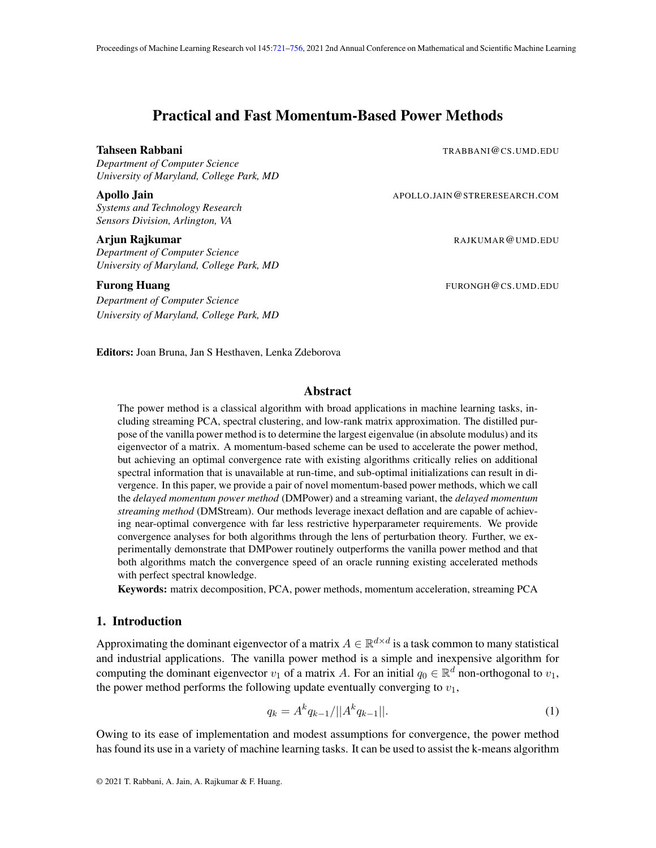# Practical and Fast Momentum-Based Power Methods

*Department of Computer Science University of Maryland, College Park, MD*

*Systems and Technology Research Sensors Division, Arlington, VA*

*Department of Computer Science University of Maryland, College Park, MD*

*Department of Computer Science University of Maryland, College Park, MD*

<span id="page-0-0"></span>Tahseen Rabbani TRABBANI@CS.UMD.EDU

Apollo Jain **Apollo Jain** APOLLO.JAIN@STRERESEARCH.COM

**Arjun Rajkumar** RAJKUMAR@UMD.EDU

Furong Huang Furong Huang Furong Huang Furong Huang Furong Huang Furong Huang Furong Huang Furong Huang Furong Huang Furong Huang Furong Huang Furong Huang Furong Huang Furong Huang Furong Huang Furong Huang Furong Huang F

Editors: Joan Bruna, Jan S Hesthaven, Lenka Zdeborova

### Abstract

The power method is a classical algorithm with broad applications in machine learning tasks, including streaming PCA, spectral clustering, and low-rank matrix approximation. The distilled purpose of the vanilla power method is to determine the largest eigenvalue (in absolute modulus) and its eigenvector of a matrix. A momentum-based scheme can be used to accelerate the power method, but achieving an optimal convergence rate with existing algorithms critically relies on additional spectral information that is unavailable at run-time, and sub-optimal initializations can result in divergence. In this paper, we provide a pair of novel momentum-based power methods, which we call the *delayed momentum power method* (DMPower) and a streaming variant, the *delayed momentum streaming method* (DMStream). Our methods leverage inexact deflation and are capable of achieving near-optimal convergence with far less restrictive hyperparameter requirements. We provide convergence analyses for both algorithms through the lens of perturbation theory. Further, we experimentally demonstrate that DMPower routinely outperforms the vanilla power method and that both algorithms match the convergence speed of an oracle running existing accelerated methods with perfect spectral knowledge.

Keywords: matrix decomposition, PCA, power methods, momentum acceleration, streaming PCA

### 1. Introduction

Approximating the dominant eigenvector of a matrix  $A \in \mathbb{R}^{d \times d}$  is a task common to many statistical and industrial applications. The vanilla power method is a simple and inexpensive algorithm for computing the dominant eigenvector  $v_1$  of a matrix A. For an initial  $q_0 \in \mathbb{R}^d$  non-orthogonal to  $v_1$ , the power method performs the following update eventually converging to  $v_1$ ,

<span id="page-0-1"></span>
$$
q_k = A^k q_{k-1} / ||A^k q_{k-1}||. \tag{1}
$$

Owing to its ease of implementation and modest assumptions for convergence, the power method has found its use in a variety of machine learning tasks. It can be used to assist the k-means algorithm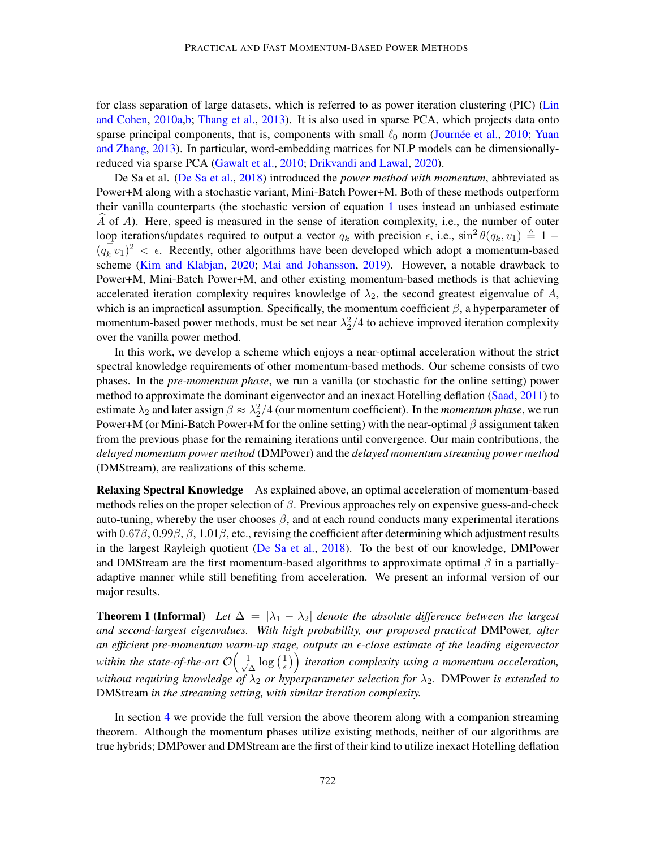for class separation of large datasets, which is referred to as power iteration clustering (PIC) [\(Lin](#page-16-0) [and Cohen,](#page-16-0) [2010a](#page-16-0)[,b;](#page-17-0) [Thang et al.,](#page-17-1) [2013\)](#page-17-1). It is also used in sparse PCA, which projects data onto sparse principal components, that is, components with small  $\ell_0$  norm (Journée et al., [2010;](#page-16-1) [Yuan](#page-18-0) [and Zhang,](#page-18-0) [2013\)](#page-18-0). In particular, word-embedding matrices for NLP models can be dimensionallyreduced via sparse PCA [\(Gawalt et al.,](#page-16-2) [2010;](#page-16-2) [Drikvandi and Lawal,](#page-16-3) [2020\)](#page-16-3).

De Sa et al. [\(De Sa et al.,](#page-16-4) [2018\)](#page-16-4) introduced the *power method with momentum*, abbreviated as Power+M along with a stochastic variant, Mini-Batch Power+M. Both of these methods outperform their vanilla counterparts (the stochastic version of equation [1](#page-0-1) uses instead an unbiased estimate  $\overline{A}$  of  $\overline{A}$ ). Here, speed is measured in the sense of iteration complexity, i.e., the number of outer loop iterations/updates required to output a vector  $q_k$  with precision  $\epsilon$ , i.e.,  $\sin^2 \theta(q_k, v_1) \triangleq 1 - \epsilon$  $(q_k^{\top} v_1)^2 < \epsilon$ . Recently, other algorithms have been developed which adopt a momentum-based scheme [\(Kim and Klabjan,](#page-16-5) [2020;](#page-16-5) [Mai and Johansson,](#page-17-2) [2019\)](#page-17-2). However, a notable drawback to Power+M, Mini-Batch Power+M, and other existing momentum-based methods is that achieving accelerated iteration complexity requires knowledge of  $\lambda_2$ , the second greatest eigenvalue of A, which is an impractical assumption. Specifically, the momentum coefficient  $\beta$ , a hyperparameter of momentum-based power methods, must be set near  $\lambda_2^2/4$  to achieve improved iteration complexity over the vanilla power method.

In this work, we develop a scheme which enjoys a near-optimal acceleration without the strict spectral knowledge requirements of other momentum-based methods. Our scheme consists of two phases. In the *pre-momentum phase*, we run a vanilla (or stochastic for the online setting) power method to approximate the dominant eigenvector and an inexact Hotelling deflation [\(Saad,](#page-17-3) [2011\)](#page-17-3) to estimate  $\lambda_2$  and later assign  $\beta \approx \lambda_2^2/4$  (our momentum coefficient). In the *momentum phase*, we run Power+M (or Mini-Batch Power+M for the online setting) with the near-optimal  $\beta$  assignment taken from the previous phase for the remaining iterations until convergence. Our main contributions, the *delayed momentum power method* (DMPower) and the *delayed momentum streaming power method* (DMStream), are realizations of this scheme.

Relaxing Spectral Knowledge As explained above, an optimal acceleration of momentum-based methods relies on the proper selection of  $\beta$ . Previous approaches rely on expensive guess-and-check auto-tuning, whereby the user chooses  $\beta$ , and at each round conducts many experimental iterations with  $0.67\beta$ ,  $0.99\beta$ ,  $\beta$ ,  $1.01\beta$ , etc., revising the coefficient after determining which adjustment results in the largest Rayleigh quotient [\(De Sa et al.,](#page-16-4) [2018\)](#page-16-4). To the best of our knowledge, DMPower and DMStream are the first momentum-based algorithms to approximate optimal  $\beta$  in a partiallyadaptive manner while still benefiting from acceleration. We present an informal version of our major results.

**Theorem 1 (Informal)** Let  $\Delta = |\lambda_1 - \lambda_2|$  denote the absolute difference between the largest *and second-largest eigenvalues. With high probability, our proposed practical* DMPower*, after an efficient pre-momentum warm-up stage, outputs an -close estimate of the leading eigenvector* within the state-of-the-art  $\mathcal{O}\Big(\frac{1}{\sqrt{2}}\Big)$  $\frac{1}{\Delta} \log \left( \frac{1}{\epsilon} \right)$  $\left(\frac{1}{\epsilon}\right)$  iteration complexity using a momentum acceleration, *without requiring knowledge of*  $\lambda_2$  *or hyperparameter selection for*  $\lambda_2$ *. DMPower is extended to* DMStream *in the streaming setting, with similar iteration complexity.*

In section [4](#page-8-0) we provide the full version the above theorem along with a companion streaming theorem. Although the momentum phases utilize existing methods, neither of our algorithms are true hybrids; DMPower and DMStream are the first of their kind to utilize inexact Hotelling deflation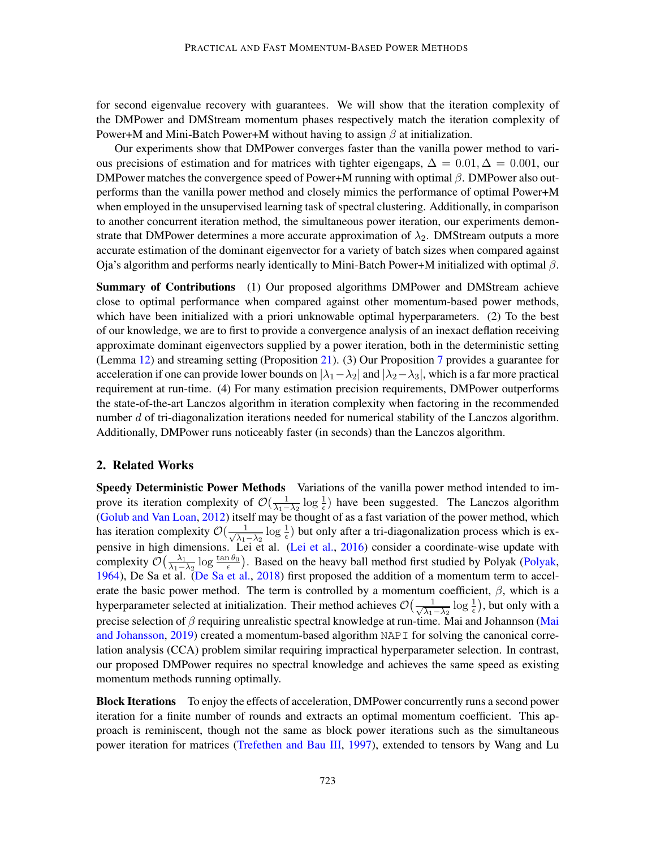for second eigenvalue recovery with guarantees. We will show that the iteration complexity of the DMPower and DMStream momentum phases respectively match the iteration complexity of Power+M and Mini-Batch Power+M without having to assign  $\beta$  at initialization.

Our experiments show that DMPower converges faster than the vanilla power method to various precisions of estimation and for matrices with tighter eigengaps,  $\Delta = 0.01, \Delta = 0.001$ , our DMPower matches the convergence speed of Power+M running with optimal  $\beta$ . DMPower also outperforms than the vanilla power method and closely mimics the performance of optimal Power+M when employed in the unsupervised learning task of spectral clustering. Additionally, in comparison to another concurrent iteration method, the simultaneous power iteration, our experiments demonstrate that DMPower determines a more accurate approximation of  $\lambda_2$ . DMStream outputs a more accurate estimation of the dominant eigenvector for a variety of batch sizes when compared against Oja's algorithm and performs nearly identically to Mini-Batch Power+M initialized with optimal  $β$ .

Summary of Contributions (1) Our proposed algorithms DMPower and DMStream achieve close to optimal performance when compared against other momentum-based power methods, which have been initialized with a priori unknowable optimal hyperparameters. (2) To the best of our knowledge, we are to first to provide a convergence analysis of an inexact deflation receiving approximate dominant eigenvectors supplied by a power iteration, both in the deterministic setting (Lemma [12\)](#page-21-0) and streaming setting (Proposition [21\)](#page-26-0). (3) Our Proposition [7](#page-11-0) provides a guarantee for acceleration if one can provide lower bounds on  $|\lambda_1 - \lambda_2|$  and  $|\lambda_2 - \lambda_3|$ , which is a far more practical requirement at run-time. (4) For many estimation precision requirements, DMPower outperforms the state-of-the-art Lanczos algorithm in iteration complexity when factoring in the recommended number d of tri-diagonalization iterations needed for numerical stability of the Lanczos algorithm. Additionally, DMPower runs noticeably faster (in seconds) than the Lanczos algorithm.

### 2. Related Works

Speedy Deterministic Power Methods Variations of the vanilla power method intended to improve its iteration complexity of  $\mathcal{O}(\frac{1}{\lambda_1-\lambda_2}\log\frac{1}{\epsilon})$  have been suggested. The Lanczos algorithm [\(Golub and Van Loan,](#page-16-6) [2012\)](#page-16-6) itself may be thought of as a fast variation of the power method, which has iteration complexity  $\mathcal{O}(\frac{1}{\sqrt{N}})$  $\frac{1}{\lambda_1-\lambda_2}$  log  $\frac{1}{\epsilon}$ ) but only after a tri-diagonalization process which is ex-pensive in high dimensions. Lei et al. [\(Lei et al.,](#page-16-7) [2016\)](#page-16-7) consider a coordinate-wise update with complexity  $\mathcal{O}\left(\frac{\lambda_1}{\lambda_1 - \lambda_2}\right)$  $\frac{\lambda_1}{\lambda_1-\lambda_2}$  log  $\frac{\tan \theta_0}{\epsilon}$ ). Based on the heavy ball method first studied by Polyak [\(Polyak,](#page-17-4) [1964\)](#page-17-4), De Sa et al. [\(De Sa et al.,](#page-16-4) [2018\)](#page-16-4) first proposed the addition of a momentum term to accelerate the basic power method. The term is controlled by a momentum coefficient,  $\beta$ , which is a hyperparameter selected at initialization. Their method achieves  $\mathcal{O}\left(\frac{1}{\sqrt{N}}\right)$  $\frac{1}{\lambda_1 - \lambda_2} \log \frac{1}{\epsilon}$ ), but only with a precise selection of  $\beta$  requiring unrealistic spectral knowledge at run-time. Mai and Johannson [\(Mai](#page-17-2) [and Johansson,](#page-17-2) [2019\)](#page-17-2) created a momentum-based algorithm NAPI for solving the canonical correlation analysis (CCA) problem similar requiring impractical hyperparameter selection. In contrast, our proposed DMPower requires no spectral knowledge and achieves the same speed as existing momentum methods running optimally.

Block Iterations To enjoy the effects of acceleration, DMPower concurrently runs a second power iteration for a finite number of rounds and extracts an optimal momentum coefficient. This approach is reminiscent, though not the same as block power iterations such as the simultaneous power iteration for matrices [\(Trefethen and Bau III,](#page-17-5) [1997\)](#page-17-5), extended to tensors by Wang and Lu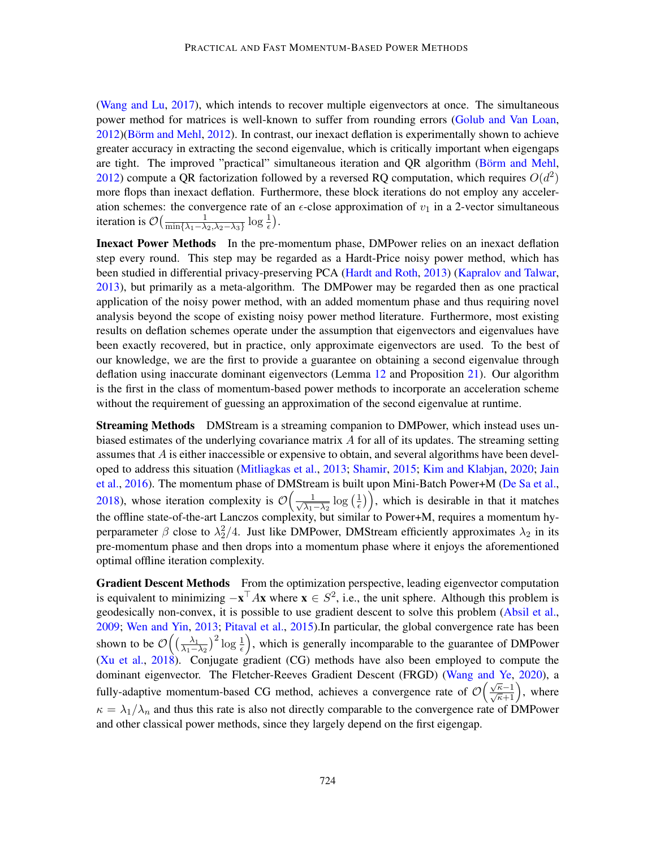[\(Wang and Lu,](#page-17-6) [2017\)](#page-17-6), which intends to recover multiple eigenvectors at once. The simultaneous power method for matrices is well-known to suffer from rounding errors [\(Golub and Van Loan,](#page-16-6) [2012\)](#page-16-8)(Börm and Mehl, 2012). In contrast, our inexact deflation is experimentally shown to achieve greater accuracy in extracting the second eigenvalue, which is critically important when eigengaps are tight. The improved "practical" simultaneous iteration and QR algorithm (Börm and Mehl, [2012\)](#page-16-8) compute a QR factorization followed by a reversed RQ computation, which requires  $O(d^2)$ more flops than inexact deflation. Furthermore, these block iterations do not employ any acceleration schemes: the convergence rate of an  $\epsilon$ -close approximation of  $v_1$  in a 2-vector simultaneous iteration is  $\mathcal{O}\left(\frac{1}{\min\{\lambda_1-\lambda\}}\right)$  $\frac{1}{\min\{\lambda_1-\lambda_2, \lambda_2-\lambda_3\}}\log \frac{1}{\epsilon}$ ).

Inexact Power Methods In the pre-momentum phase, DMPower relies on an inexact deflation step every round. This step may be regarded as a Hardt-Price noisy power method, which has been studied in differential privacy-preserving PCA [\(Hardt and Roth,](#page-16-9) [2013\)](#page-16-9) [\(Kapralov and Talwar,](#page-16-10) [2013\)](#page-16-10), but primarily as a meta-algorithm. The DMPower may be regarded then as one practical application of the noisy power method, with an added momentum phase and thus requiring novel analysis beyond the scope of existing noisy power method literature. Furthermore, most existing results on deflation schemes operate under the assumption that eigenvectors and eigenvalues have been exactly recovered, but in practice, only approximate eigenvectors are used. To the best of our knowledge, we are the first to provide a guarantee on obtaining a second eigenvalue through deflation using inaccurate dominant eigenvectors (Lemma [12](#page-21-0) and Proposition [21\)](#page-26-0). Our algorithm is the first in the class of momentum-based power methods to incorporate an acceleration scheme without the requirement of guessing an approximation of the second eigenvalue at runtime.

**Streaming Methods** DMStream is a streaming companion to DMPower, which instead uses unbiased estimates of the underlying covariance matrix A for all of its updates. The streaming setting assumes that A is either inaccessible or expensive to obtain, and several algorithms have been developed to address this situation [\(Mitliagkas et al.,](#page-17-7) [2013;](#page-17-7) [Shamir,](#page-17-8) [2015;](#page-17-8) [Kim and Klabjan,](#page-16-5) [2020;](#page-16-5) [Jain](#page-16-11) [et al.,](#page-16-11) [2016\)](#page-16-11). The momentum phase of DMStream is built upon Mini-Batch Power+M [\(De Sa et al.,](#page-16-4) [2018\)](#page-16-4), whose iteration complexity is  $\mathcal{O}\left(\frac{1}{\sqrt{2}}\right)$  $\frac{1}{\lambda_1 - \lambda_2} \log \left( \frac{1}{\epsilon} \right)$  $(\frac{1}{\epsilon})$ , which is desirable in that it matches the offline state-of-the-art Lanczos complexity, but similar to Power+M, requires a momentum hyperparameter  $\beta$  close to  $\lambda_2^2/4$ . Just like DMPower, DMStream efficiently approximates  $\lambda_2$  in its pre-momentum phase and then drops into a momentum phase where it enjoys the aforementioned optimal offline iteration complexity.

Gradient Descent Methods From the optimization perspective, leading eigenvector computation is equivalent to minimizing  $-\mathbf{x}^\top A\mathbf{x}$  where  $\mathbf{x} \in S^2$ , i.e., the unit sphere. Although this problem is geodesically non-convex, it is possible to use gradient descent to solve this problem [\(Absil et al.,](#page-16-12) [2009;](#page-16-12) [Wen and Yin,](#page-18-1) [2013;](#page-18-1) [Pitaval et al.,](#page-17-9) [2015\)](#page-17-9).In particular, the global convergence rate has been shown to be  $\mathcal{O}\left(\left(\frac{\lambda_1}{\lambda_1 - \lambda_2}\right)\right)$  $\frac{\lambda_1}{\lambda_1-\lambda_2}$ )<sup>2</sup> log  $\frac{1}{\epsilon}$ ), which is generally incomparable to the guarantee of DMPower [\(Xu et al.,](#page-18-2) [2018\)](#page-18-2). Conjugate gradient (CG) methods have also been employed to compute the dominant eigenvector. The Fletcher-Reeves Gradient Descent (FRGD) [\(Wang and Ye,](#page-17-10) [2020\)](#page-17-10), a fully-adaptive momentum-based CG method, achieves a convergence rate of  $\mathcal{O}\left(\frac{\sqrt{\kappa}-1}{\sqrt{\kappa}+1}\right)$ , where  $\kappa = \lambda_1/\lambda_n$  and thus this rate is also not directly comparable to the convergence rate of DMPower and other classical power methods, since they largely depend on the first eigengap.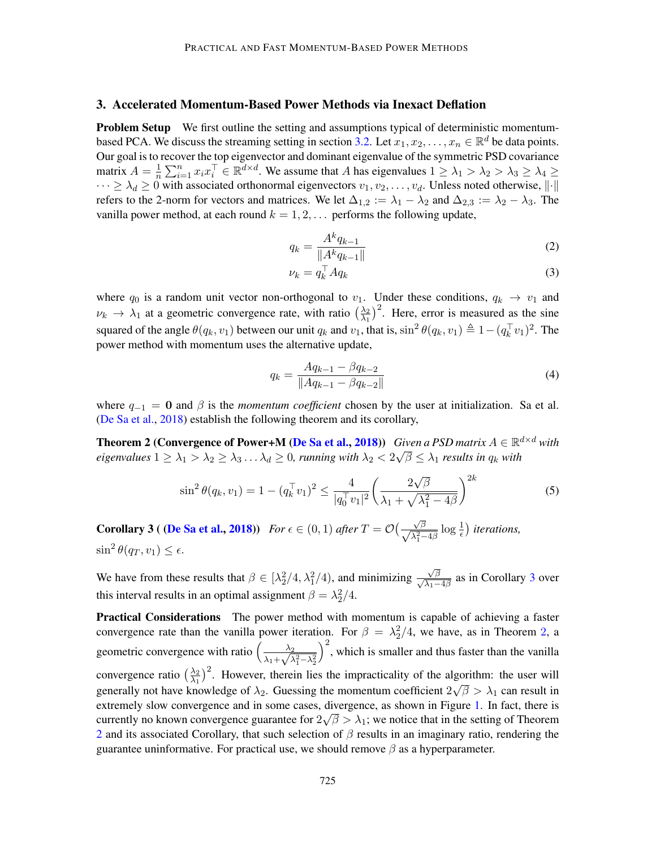## 3. Accelerated Momentum-Based Power Methods via Inexact Deflation

**Problem Setup** We first outline the setting and assumptions typical of deterministic momentum-based PCA. We discuss the streaming setting in section [3.2.](#page-7-0) Let  $x_1, x_2, \ldots, x_n \in \mathbb{R}^d$  be data points. Our goal is to recover the top eigenvector and dominant eigenvalue of the symmetric PSD covariance matrix  $A = \frac{1}{n}$  $\frac{1}{n} \sum_{i=1}^{n} x_i x_i^{\top} \in \mathbb{R}^{d \times d}$ . We assume that A has eigenvalues  $1 \ge \lambda_1 > \lambda_2 > \lambda_3 \ge \lambda_4 \ge$  $\cdots \ge \lambda_d \ge 0$  with associated orthonormal eigenvectors  $v_1, v_2, \ldots, v_d$ . Unless noted otherwise,  $\|\cdot\|$ refers to the 2-norm for vectors and matrices. We let  $\Delta_{1,2} := \lambda_1 - \lambda_2$  and  $\Delta_{2,3} := \lambda_2 - \lambda_3$ . The vanilla power method, at each round  $k = 1, 2, \ldots$  performs the following update,

<span id="page-4-3"></span>
$$
q_k = \frac{A^k q_{k-1}}{\|A^k q_{k-1}\|} \tag{2}
$$

<span id="page-4-4"></span>
$$
\nu_k = q_k^\top A q_k \tag{3}
$$

where  $q_0$  is a random unit vector non-orthogonal to  $v_1$ . Under these conditions,  $q_k \to v_1$  and  $\nu_k \rightarrow \lambda_1$  at a geometric convergence rate, with ratio  $\left(\frac{\lambda_2}{\lambda_1}\right)$  $\frac{\lambda_2}{\lambda_1}$ <sup>2</sup>. Here, error is measured as the sine squared of the angle  $\theta(q_k, v_1)$  between our unit  $q_k$  and  $v_1$ , that is,  $\sin^2 \theta(q_k, v_1) \triangleq 1 - (q_k^{\top} v_1)^2$ . The power method with momentum uses the alternative update,

<span id="page-4-2"></span><span id="page-4-1"></span>
$$
q_k = \frac{Aq_{k-1} - \beta q_{k-2}}{\|Aq_{k-1} - \beta q_{k-2}\|}\tag{4}
$$

where  $q_{-1} = 0$  and  $\beta$  is the *momentum coefficient* chosen by the user at initialization. Sa et al. [\(De Sa et al.,](#page-16-4) [2018\)](#page-16-4) establish the following theorem and its corollary,

**Theorem 2 (Convergence of Power+M [\(De Sa et al.,](#page-16-4) [2018\)](#page-16-4))** *Given a PSD matrix*  $A \in \mathbb{R}^{d \times d}$  *with*  $eigenvalues$   $1\geq\lambda_1>\lambda_2\geq\lambda_3\ldots\lambda_d\geq 0$ , running with  $\lambda_2< 2\sqrt{\beta}\leq\lambda_1$  results in  $q_k$  with

$$
\sin^2 \theta(q_k, v_1) = 1 - (q_k^\top v_1)^2 \le \frac{4}{|q_0^\top v_1|^2} \left(\frac{2\sqrt{\beta}}{\lambda_1 + \sqrt{\lambda_1^2 - 4\beta}}\right)^{2k} \tag{5}
$$

<span id="page-4-0"></span>**Corollary 3 ( [\(De Sa et al.,](#page-16-4) [2018\)](#page-16-4))** *For*  $\epsilon \in (0,1)$  *after*  $T = \mathcal{O}(\frac{\sqrt{\beta}}{\sqrt{2}})$  $\frac{\sqrt{\beta}}{\lambda_1^2-4\beta}\log\frac{1}{\epsilon}$ ) *iterations*,  $\sin^2 \theta(q_T, v_1) \leq \epsilon.$ 

We have from these results that  $\beta \in [\lambda_2^2/4, \lambda_1^2/4)$ , and minimizing  $\frac{\sqrt{\beta}}{\sqrt{\lambda_1-4\beta}}$  as in Corollary [3](#page-4-0) over this interval results in an optimal assignment  $\beta = \lambda_2^2/4$ .

Practical Considerations The power method with momentum is capable of achieving a faster convergence rate than the vanilla power iteration. For  $\beta = \lambda_2^2/4$  $\beta = \lambda_2^2/4$  $\beta = \lambda_2^2/4$ , we have, as in Theorem 2, a geometric convergence with ratio  $\left(\frac{\lambda_2}{\lambda_1+\sqrt{\lambda_2}}\right)$  $\frac{\lambda_2}{\lambda_1 + \sqrt{\lambda_1^2 - \lambda_2^2}}$  $\int_{0}^{2}$ , which is smaller and thus faster than the vanilla convergence ratio  $\left(\frac{\lambda_2}{\lambda_1}\right)$  $\frac{\lambda_2}{\lambda_1}$ <sup>2</sup>. However, therein lies the impracticality of the algorithm: the user will generally not have knowledge of  $\lambda_2$ . Guessing the momentum coefficient  $2\sqrt{\beta} > \lambda_1$  can result in extremely slow convergence and in some cases, divergence, as shown in Figure [1.](#page-5-0) In fact, there is currently no known convergence guarantee for  $2\sqrt{\beta} > \lambda_1$ ; we notice that in the setting of Theorem [2](#page-4-1) and its associated Corollary, that such selection of  $\beta$  results in an imaginary ratio, rendering the guarantee uninformative. For practical use, we should remove  $\beta$  as a hyperparameter.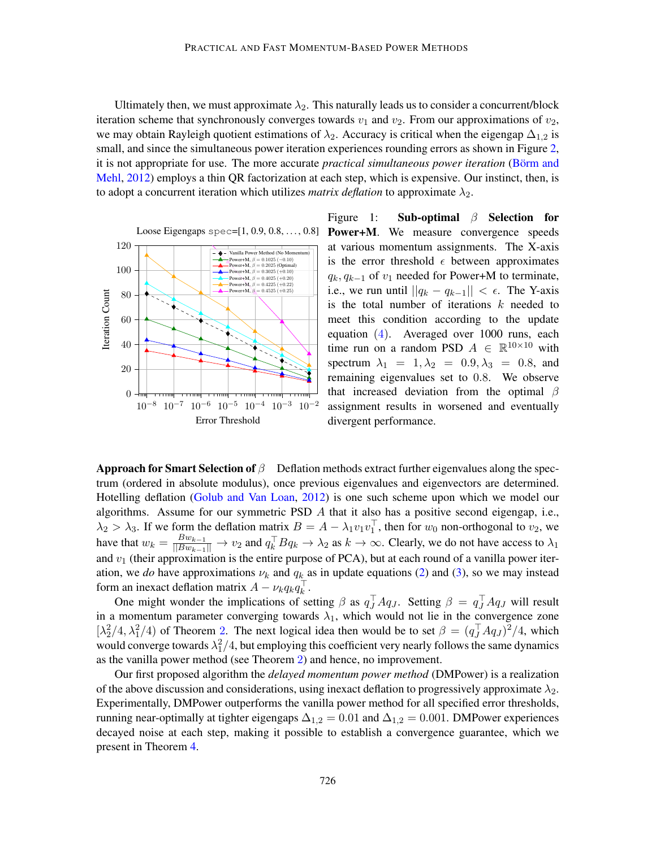Ultimately then, we must approximate  $\lambda_2$ . This naturally leads us to consider a concurrent/block iteration scheme that synchronously converges towards  $v_1$  and  $v_2$ . From our approximations of  $v_2$ , we may obtain Rayleigh quotient estimations of  $\lambda_2$ . Accuracy is critical when the eigengap  $\Delta_{1,2}$  is small, and since the simultaneous power iteration experiences rounding errors as shown in Figure [2,](#page-6-0) it is not appropriate for use. The more accurate *practical simultaneous power iteration* (Börm and [Mehl,](#page-16-8) [2012\)](#page-16-8) employs a thin QR factorization at each step, which is expensive. Our instinct, then, is to adopt a concurrent iteration which utilizes *matrix deflation* to approximate  $\lambda_2$ .

<span id="page-5-0"></span>

Loose Eigengaps spec=[1, 0.9, 0.8, ..., 0.8] Power+M. We measure convergence speeds Figure 1: Sub-optimal  $\beta$  Selection for at various momentum assignments. The X-axis is the error threshold  $\epsilon$  between approximates  $q_k, q_{k-1}$  of  $v_1$  needed for Power+M to terminate, i.e., we run until  $||q_k - q_{k-1}|| < \epsilon$ . The Y-axis is the total number of iterations  $k$  needed to meet this condition according to the update equation  $(4)$ . Averaged over 1000 runs, each time run on a random PSD  $A \in \mathbb{R}^{10 \times 10}$  with spectrum  $\lambda_1 = 1, \lambda_2 = 0.9, \lambda_3 = 0.8$ , and remaining eigenvalues set to 0.8. We observe that increased deviation from the optimal  $\beta$ assignment results in worsened and eventually divergent performance.

**Approach for Smart Selection of**  $\beta$  Deflation methods extract further eigenvalues along the spectrum (ordered in absolute modulus), once previous eigenvalues and eigenvectors are determined. Hotelling deflation [\(Golub and Van Loan,](#page-16-6) [2012\)](#page-16-6) is one such scheme upon which we model our algorithms. Assume for our symmetric PSD  $A$  that it also has a positive second eigengap, i.e.,  $\lambda_2 > \lambda_3$ . If we form the deflation matrix  $B = A - \lambda_1 v_1 v_1^{\top}$ , then for  $w_0$  non-orthogonal to  $v_2$ , we have that  $w_k = \frac{Bw_{k-1}}{\|Bw_{k-1}\|} \to v_2$  and  $q_k^{\top} Bq_k \to \lambda_2$  as  $k \to \infty$ . Clearly, we do not have access to  $\lambda_1$ and  $v_1$  (their approximation is the entire purpose of PCA), but at each round of a vanilla power iteration, we *do* have approximations  $\nu_k$  and  $q_k$  as in update equations [\(2\)](#page-4-3) and [\(3\)](#page-4-4), so we may instead form an inexact deflation matrix  $A - \nu_k q_k q_k^{\top}$ .

One might wonder the implications of setting  $\beta$  as  $q_J^{\top} A q_J$ . Setting  $\beta = q_J^{\top} A q_J$  will result in a momentum parameter converging towards  $\lambda_1$ , which would not lie in the convergence zone  $[\lambda_2^2/4, \lambda_1^2/4)$  $[\lambda_2^2/4, \lambda_1^2/4)$  $[\lambda_2^2/4, \lambda_1^2/4)$  of Theorem 2. The next logical idea then would be to set  $\beta = (q_J^T A q_J)^2/4$ , which would converge towards  $\lambda_1^2/4$ , but employing this coefficient very nearly follows the same dynamics as the vanilla power method (see Theorem [2](#page-4-1)) and hence, no improvement.

Our first proposed algorithm the *delayed momentum power method* (DMPower) is a realization of the above discussion and considerations, using inexact deflation to progressively approximate  $\lambda_2$ . Experimentally, DMPower outperforms the vanilla power method for all specified error thresholds, running near-optimally at tighter eigengaps  $\Delta_{1,2} = 0.01$  and  $\Delta_{1,2} = 0.001$ . DMPower experiences decayed noise at each step, making it possible to establish a convergence guarantee, which we present in Theorem [4.](#page-8-1)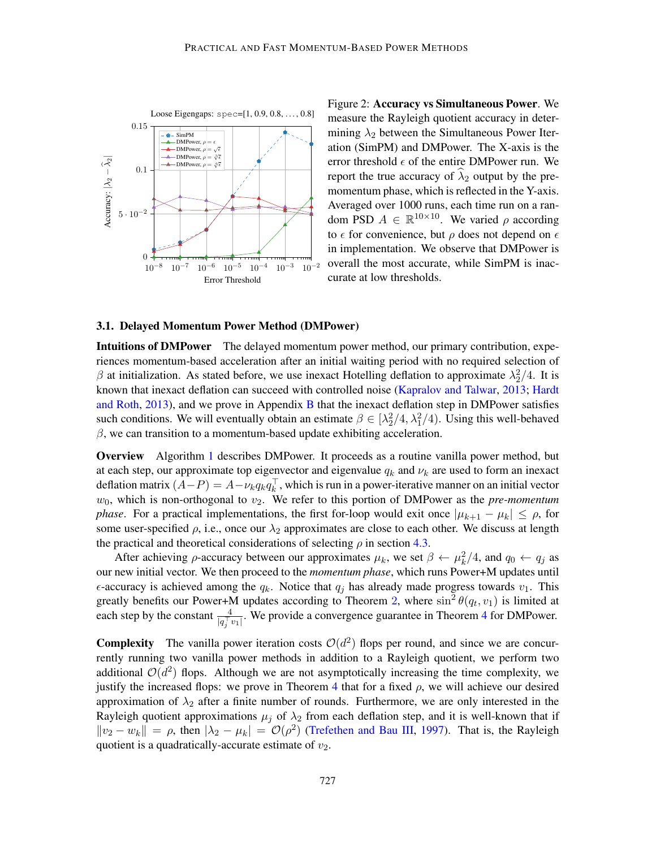<span id="page-6-0"></span>

Figure 2: Accuracy vs Simultaneous Power. We measure the Rayleigh quotient accuracy in determining  $\lambda_2$  between the Simultaneous Power Iteration (SimPM) and DMPower. The X-axis is the error threshold  $\epsilon$  of the entire DMPower run. We report the true accuracy of  $\hat{\lambda}_2$  output by the premomentum phase, which is reflected in the Y-axis. Averaged over 1000 runs, each time run on a random PSD  $A \in \mathbb{R}^{10 \times 10}$ . We varied  $\rho$  according to  $\epsilon$  for convenience, but  $\rho$  does not depend on  $\epsilon$ in implementation. We observe that DMPower is overall the most accurate, while SimPM is inaccurate at low thresholds.

## 3.1. Delayed Momentum Power Method (DMPower)

Intuitions of DMPower The delayed momentum power method, our primary contribution, experiences momentum-based acceleration after an initial waiting period with no required selection of  $\beta$  at initialization. As stated before, we use inexact Hotelling deflation to approximate  $\lambda_2^2/4$ . It is known that inexact deflation can succeed with controlled noise [\(Kapralov and Talwar,](#page-16-10) [2013;](#page-16-10) [Hardt](#page-16-9) [and Roth,](#page-16-9) [2013\)](#page-16-9), and we prove in Appendix [B](#page-20-0) that the inexact deflation step in DMPower satisfies such conditions. We will eventually obtain an estimate  $\beta \in [\lambda_2^2/4, \lambda_1^2/4)$ . Using this well-behaved  $\beta$ , we can transition to a momentum-based update exhibiting acceleration.

Overview Algorithm [1](#page-7-1) describes DMPower. It proceeds as a routine vanilla power method, but at each step, our approximate top eigenvector and eigenvalue  $q_k$  and  $\nu_k$  are used to form an inexact deflation matrix  $(A-P) = A - \nu_k q_k q_k^{\top}$ , which is run in a power-iterative manner on an initial vector  $w_0$ , which is non-orthogonal to  $v_2$ . We refer to this portion of DMPower as the *pre-momentum phase*. For a practical implementations, the first for-loop would exit once  $|\mu_{k+1} - \mu_k| \le \rho$ , for some user-specified  $\rho$ , i.e., once our  $\lambda_2$  approximates are close to each other. We discuss at length the practical and theoretical considerations of selecting  $\rho$  in section [4.3.](#page-10-0)

After achieving  $\rho$ -accuracy between our approximates  $\mu_k$ , we set  $\beta \leftarrow \mu_k^2/4$ , and  $q_0 \leftarrow q_j$  as our new initial vector. We then proceed to the *momentum phase*, which runs Power+M updates until  $\epsilon$ -accuracy is achieved among the  $q_k$ . Notice that  $q_j$  has already made progress towards  $v_1$ . This greatly benefits our Power+M updates according to Theorem [2](#page-4-1), where  $\sin^2 \theta(q_t, v_1)$  is limited at each step by the constant  $\frac{4}{|q_j^{\top} v_1|}$  $\frac{4}{|q_j^{\top} v_1|}$  $\frac{4}{|q_j^{\top} v_1|}$ . We provide a convergence guarantee in Theorem 4 for DMPower.

**Complexity** The vanilla power iteration costs  $\mathcal{O}(d^2)$  flops per round, and since we are concurrently running two vanilla power methods in addition to a Rayleigh quotient, we perform two additional  $\mathcal{O}(d^2)$  flops. Although we are not asymptotically increasing the time complexity, we justify the increased flops: we prove in Theorem [4](#page-8-1) that for a fixed  $\rho$ , we will achieve our desired approximation of  $\lambda_2$  after a finite number of rounds. Furthermore, we are only interested in the Rayleigh quotient approximations  $\mu_j$  of  $\lambda_2$  from each deflation step, and it is well-known that if  $||v_2 - w_k|| = \rho$ , then  $|\lambda_2 - \mu_k| = \mathcal{O}(\rho^2)$  [\(Trefethen and Bau III,](#page-17-5) [1997\)](#page-17-5). That is, the Rayleigh quotient is a quadratically-accurate estimate of  $v_2$ .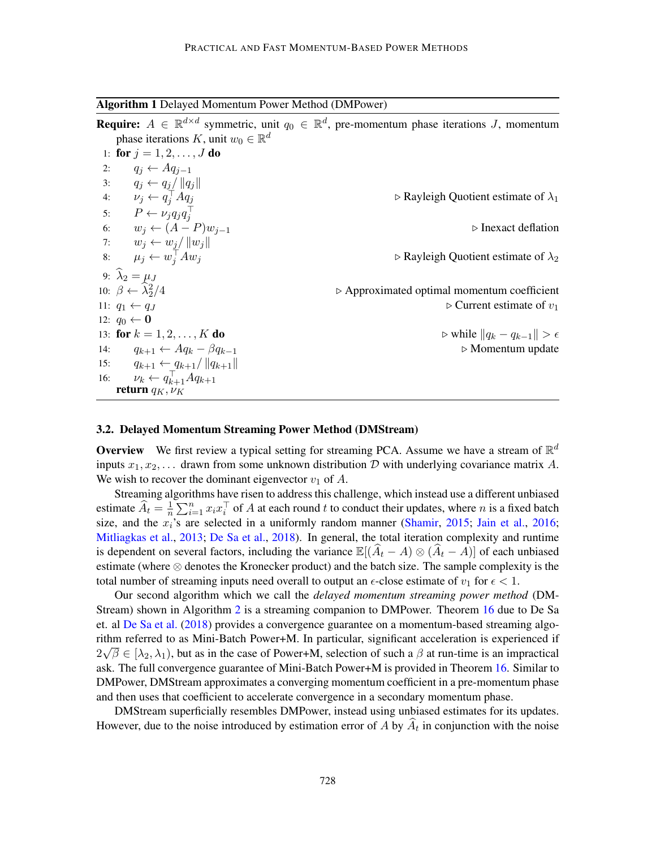<span id="page-7-1"></span>Algorithm 1 Delayed Momentum Power Method (DMPower)

**Require:**  $A \in \mathbb{R}^{d \times d}$  symmetric, unit  $q_0 \in \mathbb{R}^d$ , pre-momentum phase iterations J, momentum phase iterations K, unit  $w_0 \in \mathbb{R}^d$ 1: for  $j = 1, 2, ..., J$  do 2:  $q_i \leftarrow Aq_{i-1}$ 3:  $q_j \leftarrow q_j / ||q_j||$ 4:  $\nu_j \leftarrow q_j^{\top}$  $\triangleright$  Rayleigh Quotient estimate of  $\lambda_1$ 5:  $P \leftarrow \nu_j q_j q_j^\top$ 6:  $w_j$  ←  $(A - P)w_{j-1}$   $\triangleright$  Inexact deflation 7:  $w_j \leftarrow w_j / ||w_j||$ 8:  $\mu_j \leftarrow w_j^{\top}$  $\triangleright$  Rayleigh Quotient estimate of  $\lambda_2$ 9:  $\lambda_2 = \mu_J$ 10:  $\beta \leftarrow \widehat{\lambda}_2^2$  $\triangleright$  Approximated optimal momentum coefficient 11:  $q_1 \leftarrow q_J$  . Current estimate of  $v_1$ 12:  $q_0$  ← 0 13: **for**  $k = 1, 2, ..., K$  **do**  $\triangleright$  while  $||q_k - q_{k-1}|| > \epsilon$ 14:  $q_{k+1} \leftarrow Aq_k - \beta q_{k-1}$   $\triangleright$  Momentum update 15:  $q_{k+1} \leftarrow q_{k+1}/\|q_{k+1}\|$ 16:  $\nu_k \leftarrow q_{k+1}^{\top} A q_{k+1}$ return  $q_K, \nu_K$ 

#### <span id="page-7-0"></span>3.2. Delayed Momentum Streaming Power Method (DMStream)

**Overview** We first review a typical setting for streaming PCA. Assume we have a stream of  $\mathbb{R}^d$ inputs  $x_1, x_2, \ldots$  drawn from some unknown distribution D with underlying covariance matrix A. We wish to recover the dominant eigenvector  $v_1$  of A.

Streaming algorithms have risen to address this challenge, which instead use a different unbiased estimate  $\widehat{A}_t = \frac{1}{n}$  $\frac{1}{n} \sum_{i=1}^{n} x_i x_i^{\top}$  of A at each round t to conduct their updates, where n is a fixed batch size, and the  $x_i$ 's are selected in a uniformly random manner [\(Shamir,](#page-17-8) [2015;](#page-17-8) [Jain et al.,](#page-16-11) [2016;](#page-16-11) [Mitliagkas et al.,](#page-17-7) [2013;](#page-17-7) [De Sa et al.,](#page-16-4) [2018\)](#page-16-4). In general, the total iteration complexity and runtime is dependent on several factors, including the variance  $\mathbb{E}[(\hat{A}_t - A) \otimes (\hat{A}_t - A)]$  of each unbiased estimate (where ⊗ denotes the Kronecker product) and the batch size. The sample complexity is the total number of streaming inputs need overall to output an  $\epsilon$ -close estimate of  $v_1$  for  $\epsilon < 1$ .

Our second algorithm which we call the *delayed momentum streaming power method* (DM-Stream) shown in Algorithm [2](#page-8-2) is a streaming companion to DMPower. Theorem [16](#page-24-0) due to De Sa et. al [De Sa et al.](#page-16-4) [\(2018\)](#page-16-4) provides a convergence guarantee on a momentum-based streaming algorithm referred to as Mini-Batch Power+M. In particular, significant acceleration is experienced if √  $2\sqrt{\beta} \in [\lambda_2, \lambda_1)$ , but as in the case of Power+M, selection of such a  $\beta$  at run-time is an impractical ask. The full convergence guarantee of Mini-Batch Power+M is provided in Theorem [16.](#page-24-0) Similar to DMPower, DMStream approximates a converging momentum coefficient in a pre-momentum phase and then uses that coefficient to accelerate convergence in a secondary momentum phase.

DMStream superficially resembles DMPower, instead using unbiased estimates for its updates. However, due to the noise introduced by estimation error of  $A$  by  $A_t$  in conjunction with the noise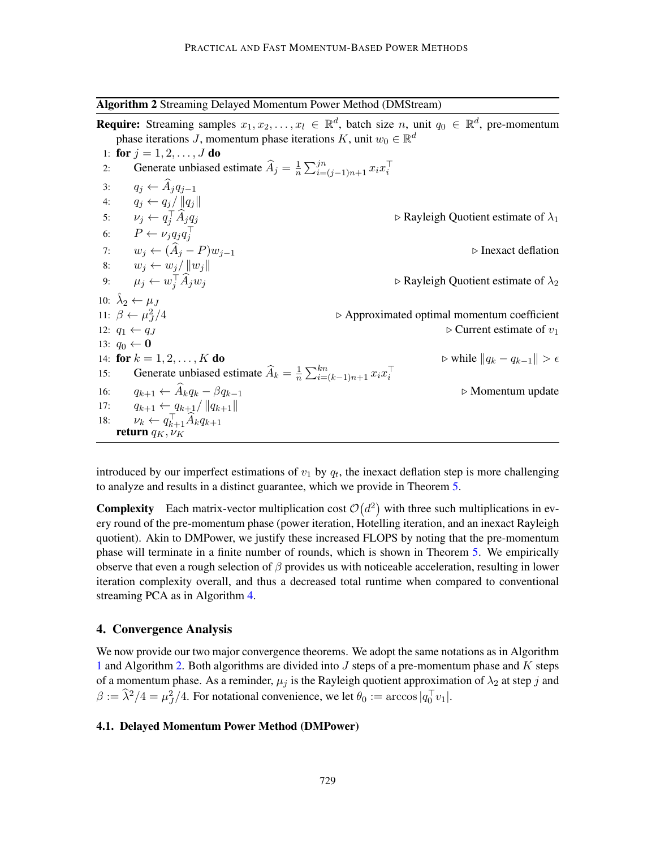<span id="page-8-2"></span>Algorithm 2 Streaming Delayed Momentum Power Method (DMStream)

**Require:** Streaming samples  $x_1, x_2, \ldots, x_l \in \mathbb{R}^d$ , batch size n, unit  $q_0 \in \mathbb{R}^d$ , pre-momentum phase iterations *J*, momentum phase iterations K, unit  $w_0 \in \mathbb{R}^d$ 1: for  $j = 1, 2, ..., J$  do 2: Generate unbiased estimate  $\widehat{A}_j = \frac{1}{n}$  $\frac{1}{n} \sum_{i=(j-1)n+1}^{jn} x_i x_i^{\top}$ 3:  $q_j \leftarrow \widehat{A}_j q_{j-1}$ <br>4:  $q_i \leftarrow q_i / ||q_i|$  $q_j \leftarrow q_j / ||q_j||$ 5:  $\nu_j \leftarrow q_j^{\top}$  $\triangleright$  Rayleigh Quotient estimate of  $\lambda_1$ 6:  $P \leftarrow \nu_j q_j q_j^\top$ 7:  $w_j \leftarrow (\widehat{A}_j - P)w_{j-1}$   $\triangleright$  Inexact deflation 8:  $w_j \leftarrow w_j / ||w_j||$ 9:  $\mu_j \leftarrow w_j^{\top}$  $\triangleright$  Rayleigh Quotient estimate of  $\lambda_2$ 10:  $\hat{\lambda}_2 \leftarrow \mu_J$ 11:  $\beta \leftarrow \mu_J^2$  $\triangleright$  Approximated optimal momentum coefficient 12:  $q_1 \leftarrow q_J$  . Current estimate of  $v_1$ 13:  $q_0 \leftarrow \mathbf{0}$ 14: for  $k = 1, 2, ..., K$  do  $\triangleright$  while  $||q_k - q_{k-1}|| > \epsilon$ 15: Generate unbiased estimate  $\widehat{A}_k = \frac{1}{n}$  $\frac{1}{n} \sum_{i=(k-1)n+1}^{kn} x_i x_i^{\top}$ 16:  $q_{k+1} \leftarrow \widehat{A}_k q_k - \beta q_{k-1}$   $\triangleright$  Momentum update  $q_{k+1} \leftarrow q_{k+1} / ||q_{k+1}||$ 17:  $q_{k+1} \leftarrow q_{k+1}/\|q_{k+1}\|$ 18:  $\nu_k \leftarrow q_{k+1}^\top \widehat{A}_k q_{k+1}$ <br>return  $q_K, \nu_K$ 

introduced by our imperfect estimations of  $v_1$  by  $q_t$ , the inexact deflation step is more challenging to analyze and results in a distinct guarantee, which we provide in Theorem [5.](#page-9-0)

**Complexity** Each matrix-vector multiplication cost  $\mathcal{O}(d^2)$  with three such multiplications in every round of the pre-momentum phase (power iteration, Hotelling iteration, and an inexact Rayleigh quotient). Akin to DMPower, we justify these increased FLOPS by noting that the pre-momentum phase will terminate in a finite number of rounds, which is shown in Theorem [5.](#page-9-0) We empirically observe that even a rough selection of  $\beta$  provides us with noticeable acceleration, resulting in lower iteration complexity overall, and thus a decreased total runtime when compared to conventional streaming PCA as in Algorithm [4.](#page-24-1)

### <span id="page-8-0"></span>4. Convergence Analysis

We now provide our two major convergence theorems. We adopt the same notations as in Algorithm [1](#page-7-1) and Algorithm [2.](#page-8-2) Both algorithms are divided into  $J$  steps of a pre-momentum phase and  $K$  steps of a momentum phase. As a reminder,  $\mu_i$  is the Rayleigh quotient approximation of  $\lambda_2$  at step j and  $\beta := \hat{\lambda}^2/4 = \mu_J^2/4$ . For notational convenience, we let  $\theta_0 := \arccos|q_0^{\top} v_1|$ .

#### <span id="page-8-1"></span>4.1. Delayed Momentum Power Method (DMPower)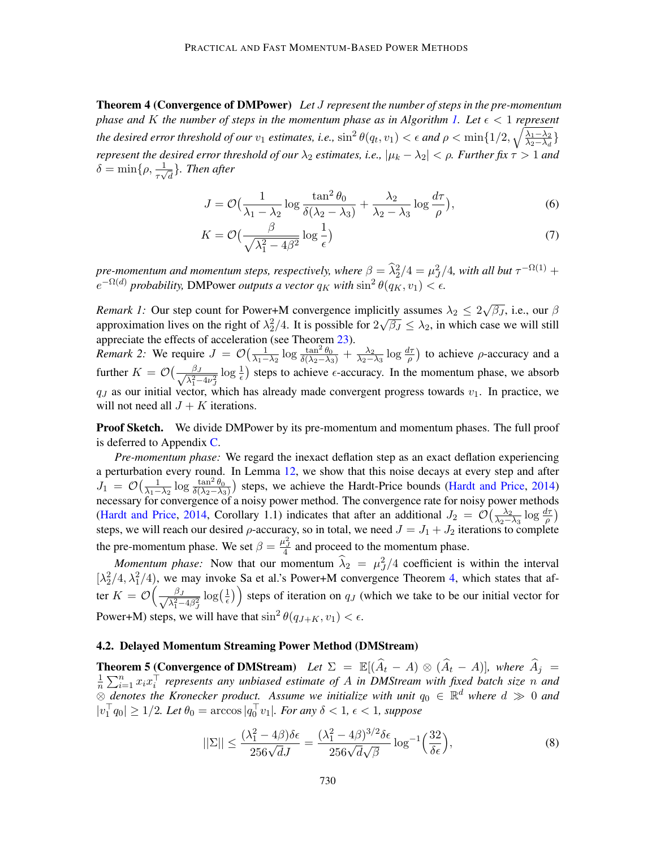Theorem 4 (Convergence of DMPower) *Let* J *represent the number of steps in the pre-momentum phase and* K *the number of steps in the momentum phase as in Algorithm [1.](#page-7-1) Let*  $\epsilon$  < 1 *represent the desired error threshold of our*  $v_1$  *estimates, i.e.,*  $\sin^2\theta(q_t, v_1) < \epsilon$  and  $\rho < \min\{1/2, \sqrt{\frac{\lambda_1 - \lambda_2}{\lambda_2 - \lambda_3}}\}$  $\frac{\lambda_1 - \lambda_2}{\lambda_2 - \lambda_d}$ *represent the desired error threshold of our*  $\lambda_2$  *estimates, i.e.,*  $|\mu_k - \lambda_2| < \rho$ *. Further fix*  $\tau > 1$  *and*  $\delta = \min\{\rho, \frac{1}{\tau \sqrt{d}}\}$ *. Then after* 

$$
J = \mathcal{O}\left(\frac{1}{\lambda_1 - \lambda_2} \log \frac{\tan^2 \theta_0}{\delta(\lambda_2 - \lambda_3)} + \frac{\lambda_2}{\lambda_2 - \lambda_3} \log \frac{d\tau}{\rho}\right),\tag{6}
$$

$$
K = \mathcal{O}\left(\frac{\beta}{\sqrt{\lambda_1^2 - 4\beta^2}} \log \frac{1}{\epsilon}\right) \tag{7}
$$

*pre-momentum and momentum steps, respectively, where*  $\beta = \frac{\widehat{\lambda}^2}{2} / 4 = \mu^2 / 4$ *, with all but*  $\tau^{-\Omega(1)} +$  $e^{-\Omega(d)}$  *probability,* DMPower *outputs a vector*  $q_K$  *with*  $\sin^2 \theta(q_K, v_1) < \epsilon$ .

*Remark 1:* Our step count for Power+M convergence implicitly assumes  $\lambda_2 \leq 2$ √ citly assumes  $\lambda_2 \leq 2\sqrt{\beta_J}$ , i.e., our  $\beta$ approximation lives on the right of  $\lambda_2^2/4$ . It is possible for  $2\sqrt{\beta_J} \leq \lambda_2$ , in which case we will still 2 appreciate the effects of acceleration (see Theorem [23\)](#page-32-0).

*Remark 2:* We require  $J = \mathcal{O}\left(\frac{1}{\lambda_1 - \lambda_2}\log \frac{\tan^2 \theta_0}{\delta(\lambda_2 - \lambda_3)} + \frac{\lambda_2}{\lambda_2 - \lambda_3}\right)$  $\frac{\lambda_2}{\lambda_2-\lambda_3}\log\frac{d\tau}{\rho}$  to achieve  $\rho$ -accuracy and a further  $K = \mathcal{O}\left(\frac{\beta_J}{\sqrt{2}}\right)$  $\frac{\beta_J}{\lambda_1^2-4\nu_J^2}$  log  $\frac{1}{\epsilon}$ ) steps to achieve  $\epsilon$ -accuracy. In the momentum phase, we absorb  $q_J$  as our initial vector, which has already made convergent progress towards  $v_1$ . In practice, we will not need all  $J + K$  iterations.

**Proof Sketch.** We divide DMPower by its pre-momentum and momentum phases. The full proof is deferred to Appendix [C.](#page-22-0)

*Pre-momentum phase:* We regard the inexact deflation step as an exact deflation experiencing a perturbation every round. In Lemma [12,](#page-21-0) we show that this noise decays at every step and after  $J_1 = \mathcal{O}\left(\frac{1}{\lambda_1 - \lambda_2} \log \frac{\tan^2 \theta_0}{\delta(\lambda_2 - \lambda_3)}\right)$  steps, we achieve the Hardt-Price bounds [\(Hardt and Price,](#page-16-13) [2014\)](#page-16-13) necessary for convergence of a noisy power method. The convergence rate for noisy power methods [\(Hardt and Price,](#page-16-13) [2014,](#page-16-13) Corollary 1.1) indicates that after an additional  $J_2 = \mathcal{O}(\frac{\lambda_2}{\lambda_2 - \lambda_1})$  $\frac{\lambda_2}{\lambda_2 - \lambda_3} \log \frac{d\tau}{\rho}$ steps, we will reach our desired  $\rho$ -accuracy, so in total, we need  $J = J_1 + J_2$  iterations to complete the pre-momentum phase. We set  $\beta = \frac{\mu_J^2}{4}$  and proceed to the momentum phase.

*Momentum phase:* Now that our momentum  $\hat{\lambda}_2 = \mu_j^2/4$  coefficient is within the interval  $[\lambda_2^2/4, \lambda_1^2/4)$  $[\lambda_2^2/4, \lambda_1^2/4)$  $[\lambda_2^2/4, \lambda_1^2/4)$ , we may invoke Sa et al.'s Power+M convergence Theorem 4, which states that after  $K = \mathcal{O}\left(\frac{\beta_J}{\sqrt{2}}\right)$  $\frac{\beta_J}{\lambda_1^2-4\beta_J^2}\log\left(\frac{1}{\epsilon}\right)$  $\left(\frac{1}{\epsilon}\right)$  steps of iteration on  $q_J$  (which we take to be our initial vector for Power+M) steps, we will have that  $\sin^2 \theta(q_{J+K}, v_1) < \epsilon$ .

## 4.2. Delayed Momentum Streaming Power Method (DMStream)

<span id="page-9-0"></span>**Theorem 5 (Convergence of DMStream)** *Let*  $\Sigma = \mathbb{E}[(\hat{A}_t - A) \otimes (\hat{A}_t - A)]$ *, where*  $\hat{A}_j =$ 1  $\frac{1}{n} \sum_{i=1}^{n} x_i x_i^{\top}$  represents any unbiased estimate of A in DMStream with fixed batch size n and  $\frac{a}{\otimes}$  *denotes the Kronecker product. Assume we initialize with unit*  $q_0 \in \mathbb{R}^d$  *where*  $d \gg 0$  *and*  $|v_1^\top q_0| \geq 1/2$ *. Let*  $\theta_0 = \arccos |q_0^\top v_1|$ *. For any*  $\delta < 1$ *,*  $\epsilon < 1$ *, suppose* 

<span id="page-9-1"></span>
$$
||\Sigma|| \le \frac{(\lambda_1^2 - 4\beta)\delta\epsilon}{256\sqrt{d}J} = \frac{(\lambda_1^2 - 4\beta)^{3/2}\delta\epsilon}{256\sqrt{d}\sqrt{\beta}}\log^{-1}\left(\frac{32}{\delta\epsilon}\right),\tag{8}
$$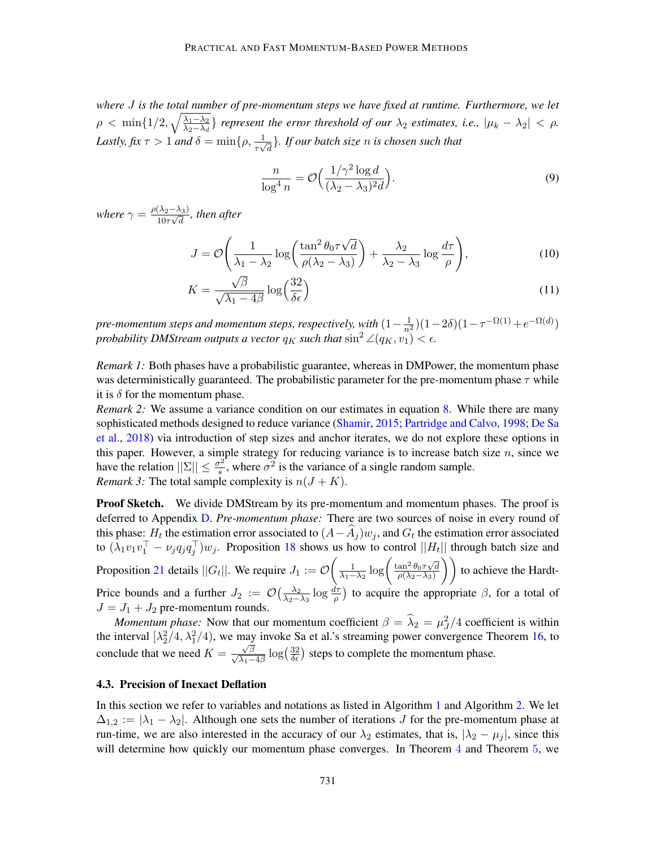*where* J *is the total number of pre-momentum steps we have fixed at runtime. Furthermore, we let*  $\rho < \min\{1/2, \sqrt{\frac{\lambda_1 - \lambda_2}{\lambda_2 - \lambda_1}}\}$  $\frac{\lambda_1-\lambda_2}{\lambda_2-\lambda_d}$  *represent the error threshold of our*  $\lambda_2$  *estimates, i.e.,*  $|\mu_k-\lambda_2| < \rho$ . Lastly, fix  $\tau > 1$  and  $\delta = \min\{\rho, \frac{1}{\tau\sqrt{d}}\}$ . If our batch size n is chosen such that

$$
\frac{n}{\log^4 n} = \mathcal{O}\Big(\frac{1/\gamma^2 \log d}{(\lambda_2 - \lambda_3)^2 d}\Big). \tag{9}
$$

*where*  $\gamma = \frac{\rho(\lambda_2 - \lambda_3)}{10^{-1/3}}$  $\frac{(\lambda_2 - \lambda_3)}{10\tau\sqrt{d}}$ , then after

$$
J = \mathcal{O}\left(\frac{1}{\lambda_1 - \lambda_2} \log\left(\frac{\tan^2 \theta_0 \tau \sqrt{d}}{\rho(\lambda_2 - \lambda_3)}\right) + \frac{\lambda_2}{\lambda_2 - \lambda_3} \log \frac{d\tau}{\rho}\right),\tag{10}
$$

$$
K = \frac{\sqrt{\beta}}{\sqrt{\lambda_1 - 4\beta}} \log \left( \frac{32}{\delta \epsilon} \right) \tag{11}
$$

*pre-momentum steps and momentum steps, respectively, with*  $(1-\frac{1}{n^2})(1-2\delta)(1-\tau^{-\Omega(1)}+e^{-\Omega(d)})$ *probability DMStream outputs a vector*  $q_K$  *such that*  $\sin^2 \angle (q_K, v_1) < \epsilon$ .

*Remark 1:* Both phases have a probabilistic guarantee, whereas in DMPower, the momentum phase was deterministically guaranteed. The probabilistic parameter for the pre-momentum phase  $\tau$  while it is  $\delta$  for the momentum phase.

*Remark 2:* We assume a variance condition on our estimates in equation [8.](#page-9-1) While there are many sophisticated methods designed to reduce variance [\(Shamir,](#page-17-8) [2015;](#page-17-8) [Partridge and Calvo,](#page-17-11) [1998;](#page-17-11) [De Sa](#page-16-4) [et al.,](#page-16-4) [2018\)](#page-16-4) via introduction of step sizes and anchor iterates, we do not explore these options in this paper. However, a simple strategy for reducing variance is to increase batch size  $n$ , since we have the relation  $||\Sigma|| \leq \frac{\sigma^2}{s}$  $\frac{\sigma^2}{s}$ , where  $\sigma^2$  is the variance of a single random sample. *Remark 3:* The total sample complexity is  $n(J + K)$ .

**Proof Sketch.** We divide DMStream by its pre-momentum and momentum phases. The proof is deferred to Appendix [D.](#page-24-2) *Pre-momentum phase:* There are two sources of noise in every round of this phase:  $H_t$  the estimation error associated to  $(A - A_j)w_j$ , and  $G_t$  the estimation error associated to  $(\lambda_1 v_1 v_1^\top - \nu_j q_j q_j^\top) w_j$ . Proposition [18](#page-25-0) shows us how to control  $||H_t||$  through batch size and Proposition [21](#page-26-0) details  $||G_t||$ . We require  $J_1 := \mathcal{O}\left(\frac{1}{\lambda_1 - \lambda_2} \log \left(\frac{\tan^2 \theta_0 \tau \sqrt{d}}{\rho(\lambda_2 - \lambda_3)}\right)\right)$  $\left(\frac{\sin^2 \theta_0 \tau \sqrt{d}}{\rho(\lambda_2 - \lambda_3)}\right)$  to achieve the Hardt-Price bounds and a further  $J_2 := \mathcal{O}\left(\frac{\lambda_2}{\lambda_2 - \lambda_1}\right)$  $\frac{\lambda_2}{\lambda_2-\lambda_3}$  log  $\frac{d\tau}{\rho}$ ) to acquire the appropriate  $\beta$ , for a total of  $J = J_1 + J_2$  pre-momentum rounds.

*Momentum phase:* Now that our momentum coefficient  $\beta = \lambda_2 = \mu_J^2/4$  coefficient is within the interval  $[\lambda_2^2/4, \lambda_1^2/4)$ , we may invoke Sa et al.'s streaming power convergence Theorem [16,](#page-24-0) to conclude that we need  $K =$  $\frac{\sqrt{\beta}}{\sqrt{\lambda_1-4\beta}}\log(\frac{32}{\delta\epsilon})$  steps to complete the momentum phase.

#### <span id="page-10-0"></span>4.3. Precision of Inexact Deflation

In this section we refer to variables and notations as listed in Algorithm [1](#page-7-1) and Algorithm [2.](#page-8-2) We let  $\Delta_{1,2} := |\lambda_1 - \lambda_2|$ . Although one sets the number of iterations J for the pre-momentum phase at run-time, we are also interested in the accuracy of our  $\lambda_2$  estimates, that is,  $|\lambda_2 - \mu_j|$ , since this will determine how quickly our momentum phase converges. In Theorem [4](#page-8-1) and Theorem [5](#page-9-0), we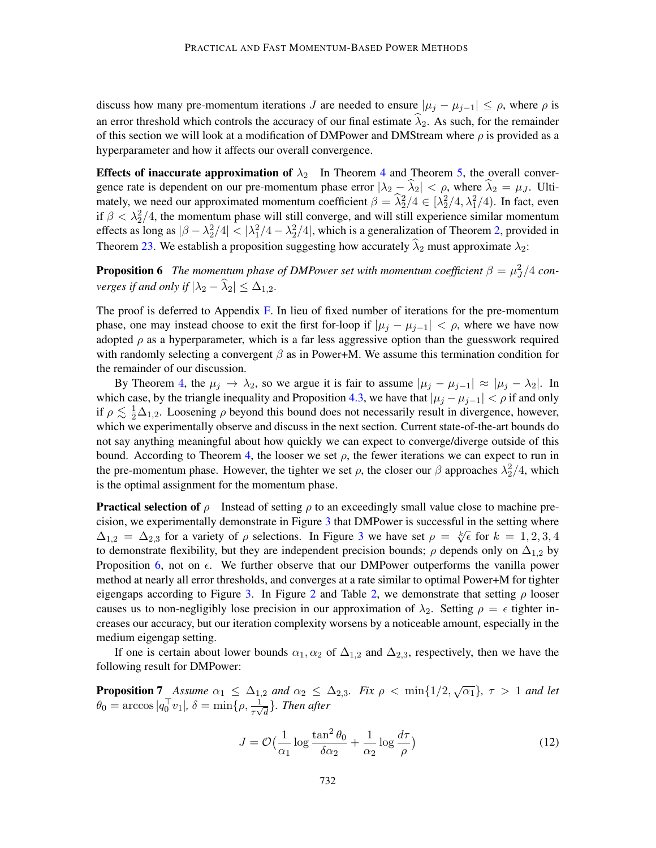discuss how many pre-momentum iterations J are needed to ensure  $|\mu_j - \mu_{j-1}| \leq \rho$ , where  $\rho$  is an error threshold which controls the accuracy of our final estimate  $\lambda_2$ . As such, for the remainder of this section we will look at a modification of DMPower and DMStream where  $\rho$  is provided as a hyperparameter and how it affects our overall convergence.

**Effects of inaccurate approximation of**  $\lambda_2$  In Theorem [4](#page-8-1) and Theorem [5,](#page-9-0) the overall convergence rate is dependent on our pre-momentum phase error  $|\lambda_2 - \hat{\lambda}_2| < \rho$ , where  $\hat{\lambda}_2 = \mu_J$ . Ultimately, we need our approximated momentum coefficient  $\beta = \frac{\lambda_2^2}{4} \in [\lambda_2^2/4, \lambda_1^2/4]$ . In fact, even if  $\beta < \lambda_2^2/4$ , the momentum phase will still converge, and will still experience similar momentum effects as long as  $|\beta - \lambda_2^2/4| < |\lambda_1^2/4 - \lambda_2^2/4|$ , which is a generalization of Theorem [2,](#page-4-1) provided in Theorem [23.](#page-32-0) We establish a proposition suggesting how accurately  $\hat{\lambda}_2$  must approximate  $\lambda_2$ :

<span id="page-11-1"></span>**Proposition 6** The momentum phase of DMPower set with momentum coefficient  $\beta = \mu_J^2/4$  con*verges if and only if*  $|\lambda_2 - \hat{\lambda}_2| \leq \Delta_{1,2}$ .

The proof is deferred to Appendix  $F$ . In lieu of fixed number of iterations for the pre-momentum phase, one may instead choose to exit the first for-loop if  $|\mu_j - \mu_{j-1}| < \rho$ , where we have now adopted  $\rho$  as a hyperparameter, which is a far less aggressive option than the guesswork required with randomly selecting a convergent  $\beta$  as in Power+M. We assume this termination condition for the remainder of our discussion.

By Theorem [4](#page-8-1), the  $\mu_j \to \lambda_2$ , so we argue it is fair to assume  $|\mu_j - \mu_{j-1}| \approx |\mu_j - \lambda_2|$ . In which case, by the triangle inequality and Proposition [4.3,](#page-10-0) we have that  $|\mu_j - \mu_{j-1}| < \rho$  if and only if  $\rho \lesssim \frac{1}{2}\Delta_{1,2}$ . Loosening  $\rho$  beyond this bound does not necessarily result in divergence, however, which we experimentally observe and discuss in the next section. Current state-of-the-art bounds do not say anything meaningful about how quickly we can expect to converge/diverge outside of this bound. According to Theorem [4,](#page-8-1) the looser we set  $\rho$ , the fewer iterations we can expect to run in the pre-momentum phase. However, the tighter we set  $\rho$ , the closer our  $\beta$  approaches  $\lambda_2^2/4$ , which is the optimal assignment for the momentum phase.

**Practical selection of**  $\rho$  Instead of setting  $\rho$  to an exceedingly small value close to machine precision, we experimentally demonstrate in Figure [3](#page-13-0) that DMPower is successful in the setting where Cision, we experimentally demonstrate in Figure [3](#page-13-0) that DMF ower is successful in the setting where  $\Delta_{1,2} = \Delta_{2,3}$  for a variety of  $\rho$  selections. In Figure 3 we have set  $\rho = \sqrt[k]{\epsilon}$  for  $k = 1, 2, 3, 4$ to demonstrate flexibility, but they are independent precision bounds;  $\rho$  depends only on  $\Delta_{1,2}$  by Proposition [6,](#page-11-1) not on  $\epsilon$ . We further observe that our DMPower outperforms the vanilla power method at nearly all error thresholds, and converges at a rate similar to optimal Power+M for tighter eigengaps according to Figure [3.](#page-13-0) In Figure [2](#page-6-0) and Table [2,](#page-30-0) we demonstrate that setting  $\rho$  looser causes us to non-negligibly lose precision in our approximation of  $\lambda_2$ . Setting  $\rho = \epsilon$  tighter increases our accuracy, but our iteration complexity worsens by a noticeable amount, especially in the medium eigengap setting.

If one is certain about lower bounds  $\alpha_1, \alpha_2$  of  $\Delta_{1,2}$  and  $\Delta_{2,3}$ , respectively, then we have the following result for DMPower:

**Proposition 7** Assume  $\alpha_1 \leq \Delta_{1,2}$  and  $\alpha_2 \leq \Delta_{2,3}$ . Fix  $\rho < \min\{1/2, \sqrt{\alpha_1}\}, \tau > 1$  and let  $\theta_0 = \arccos|q_0^\top v_1|, \, \delta = \min\{\rho, \frac{1}{\tau \sqrt{d}}\}.$  Then after

<span id="page-11-0"></span>
$$
J = \mathcal{O}\left(\frac{1}{\alpha_1}\log\frac{\tan^2\theta_0}{\delta\alpha_2} + \frac{1}{\alpha_2}\log\frac{d\tau}{\rho}\right)
$$
(12)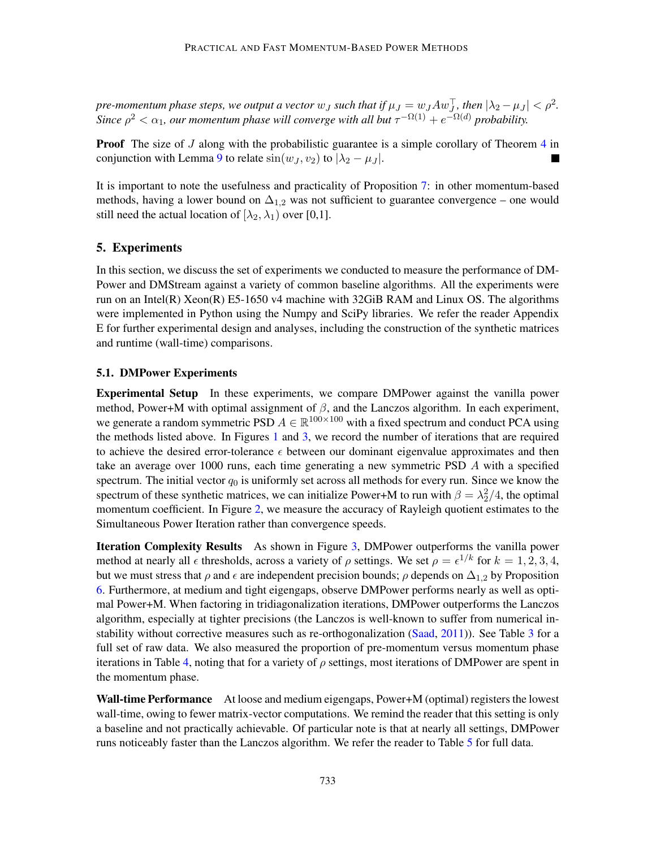*pre-momentum phase steps, we output a vector*  $w_J$  *such that if*  $\mu_J = w_J A w_J^{\top}$ , then  $|\lambda_2 - \mu_J| < \rho^2$ . Since  $\rho^2 < \alpha_1$ , our momentum phase will converge with all but  $\tau^{-\Omega(1)} + e^{-\Omega(d)}$  probability.

**Proof** The size of J along with the probabilistic guarantee is a simple corollary of Theorem [4](#page-8-1) in conjunction with Lemma [9](#page-19-0) to relate  $\sin(w_J, v_2)$  to  $|\lambda_2 - \mu_J|$ .  $\blacksquare$ 

It is important to note the usefulness and practicality of Proposition [7:](#page-11-0) in other momentum-based methods, having a lower bound on  $\Delta_{1,2}$  was not sufficient to guarantee convergence – one would still need the actual location of  $[\lambda_2, \lambda_1)$  over [0,1].

## 5. Experiments

In this section, we discuss the set of experiments we conducted to measure the performance of DM-Power and DMStream against a variety of common baseline algorithms. All the experiments were run on an Intel(R) Xeon(R) E5-1650 v4 machine with 32GiB RAM and Linux OS. The algorithms were implemented in Python using the Numpy and SciPy libraries. We refer the reader Appendix E for further experimental design and analyses, including the construction of the synthetic matrices and runtime (wall-time) comparisons.

#### 5.1. DMPower Experiments

Experimental Setup In these experiments, we compare DMPower against the vanilla power method, Power+M with optimal assignment of  $\beta$ , and the Lanczos algorithm. In each experiment, we generate a random symmetric PSD  $A \in \mathbb{R}^{100 \times 100}$  with a fixed spectrum and conduct PCA using the methods listed above. In Figures [1](#page-5-0) and [3,](#page-13-0) we record the number of iterations that are required to achieve the desired error-tolerance  $\epsilon$  between our dominant eigenvalue approximates and then take an average over 1000 runs, each time generating a new symmetric PSD A with a specified spectrum. The initial vector  $q_0$  is uniformly set across all methods for every run. Since we know the spectrum of these synthetic matrices, we can initialize Power+M to run with  $\beta = \lambda_2^2/4$ , the optimal momentum coefficient. In Figure [2,](#page-6-0) we measure the accuracy of Rayleigh quotient estimates to the Simultaneous Power Iteration rather than convergence speeds.

Iteration Complexity Results As shown in Figure [3,](#page-13-0) DMPower outperforms the vanilla power method at nearly all  $\epsilon$  thresholds, across a variety of  $\rho$  settings. We set  $\rho = \epsilon^{1/k}$  for  $k = 1, 2, 3, 4$ , but we must stress that  $\rho$  and  $\epsilon$  are independent precision bounds;  $\rho$  depends on  $\Delta_{1,2}$  by Proposition [6.](#page-11-1) Furthermore, at medium and tight eigengaps, observe DMPower performs nearly as well as optimal Power+M. When factoring in tridiagonalization iterations, DMPower outperforms the Lanczos algorithm, especially at tighter precisions (the Lanczos is well-known to suffer from numerical instability without corrective measures such as re-orthogonalization [\(Saad,](#page-17-3) [2011\)](#page-17-3)). See Table [3](#page-30-1) for a full set of raw data. We also measured the proportion of pre-momentum versus momentum phase iterations in Table [4,](#page-31-0) noting that for a variety of  $\rho$  settings, most iterations of DMPower are spent in the momentum phase.

Wall-time Performance At loose and medium eigengaps, Power+M (optimal) registers the lowest wall-time, owing to fewer matrix-vector computations. We remind the reader that this setting is only a baseline and not practically achievable. Of particular note is that at nearly all settings, DMPower runs noticeably faster than the Lanczos algorithm. We refer the reader to Table [5](#page-31-1) for full data.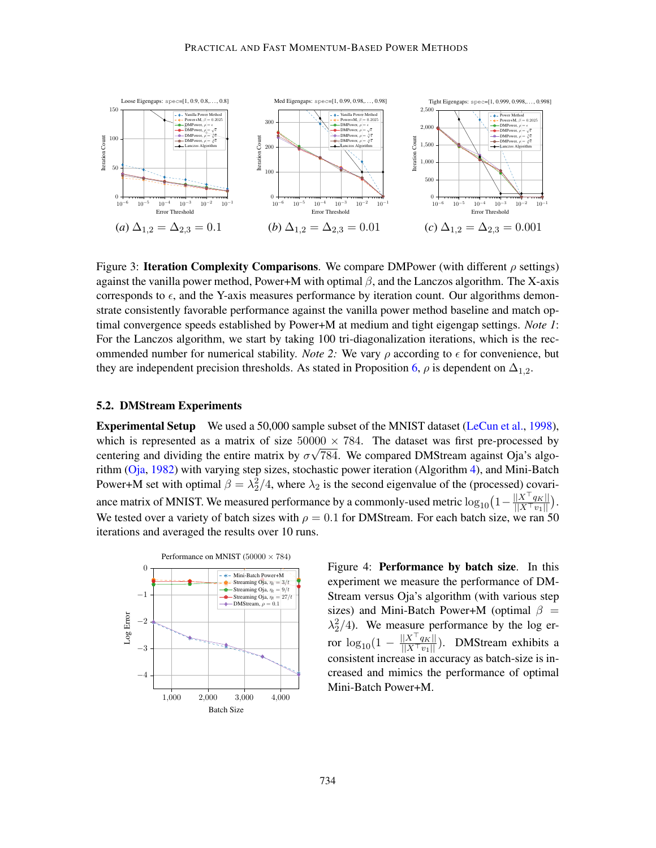<span id="page-13-0"></span>

Figure 3: **Iteration Complexity Comparisons**. We compare DMPower (with different  $\rho$  settings) against the vanilla power method, Power+M with optimal  $\beta$ , and the Lanczos algorithm. The X-axis corresponds to  $\epsilon$ , and the Y-axis measures performance by iteration count. Our algorithms demonstrate consistently favorable performance against the vanilla power method baseline and match optimal convergence speeds established by Power+M at medium and tight eigengap settings. *Note 1*: For the Lanczos algorithm, we start by taking 100 tri-diagonalization iterations, which is the recommended number for numerical stability. *Note 2:* We vary  $\rho$  according to  $\epsilon$  for convenience, but they are independent precision thresholds. As stated in Proposition [6,](#page-11-1)  $\rho$  is dependent on  $\Delta_{1,2}$ .

### 5.2. DMStream Experiments

Experimental Setup We used a 50,000 sample subset of the MNIST dataset [\(LeCun et al.,](#page-16-14) [1998\)](#page-16-14), which is represented as a matrix of size  $50000 \times 784$ . The dataset was first pre-processed by centering and dividing the entire matrix by  $\sigma\sqrt{784}$ . We compared DMStream against Oja's algorithm  $(Oja, 1982)$  $(Oja, 1982)$  $(Oja, 1982)$  with varying step sizes, stochastic power iteration (Algorithm [4\)](#page-24-1), and Mini-Batch Power+M set with optimal  $\beta = \lambda_2^2/4$ , where  $\lambda_2$  is the second eigenvalue of the (processed) covariance matrix of MNIST. We measured performance by a commonly-used metric  $\log_{10}\left(1-\frac{||X^\top q_K||}{||X^\top m||}\right)$  $\frac{||X-q_K||}{||X^\top v_1||}.$ We tested over a variety of batch sizes with  $\rho = 0.1$  for DMStream. For each batch size, we ran 50 iterations and averaged the results over 10 runs.

<span id="page-13-1"></span>

Figure 4: Performance by batch size. In this experiment we measure the performance of DM-Stream versus Oja's algorithm (with various step sizes) and Mini-Batch Power+M (optimal  $\beta$  =  $\lambda_2^2/4$ ). We measure performance by the log error  $log_{10}(1 - \frac{||X^\top q_K||}{||X^\top v_1||})$ . DMStream exhibits a consistent increase in accuracy as batch-size is increased and mimics the performance of optimal Mini-Batch Power+M.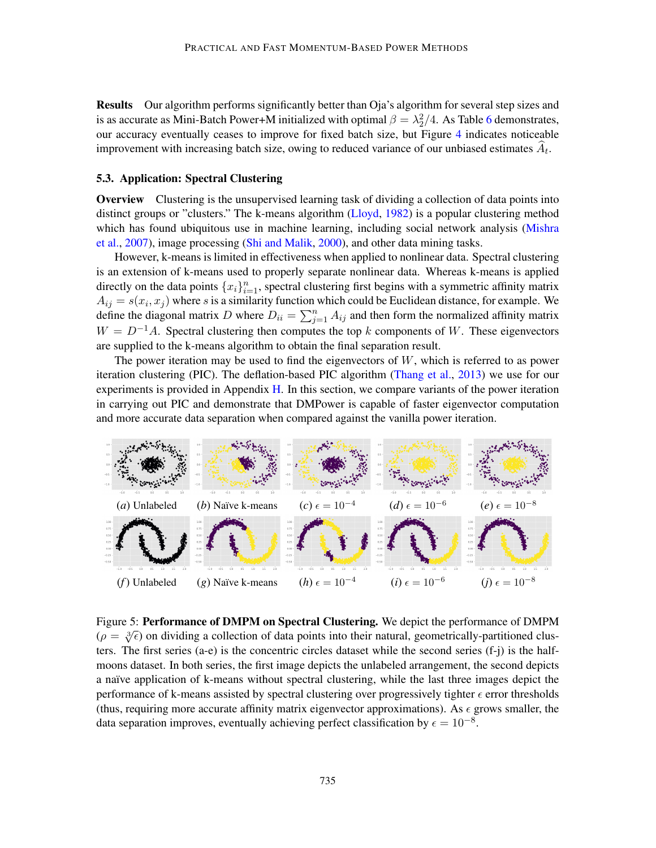Results Our algorithm performs significantly better than Oja's algorithm for several step sizes and is as accurate as Mini-Batch Power+M initialized with optimal  $\beta = \lambda_2^2/4$ . As Table [6](#page-32-2) demonstrates, our accuracy eventually ceases to improve for fixed batch size, but Figure [4](#page-13-1) indicates noticeable improvement with increasing batch size, owing to reduced variance of our unbiased estimates  $A_t$ .

#### 5.3. Application: Spectral Clustering

**Overview** Clustering is the unsupervised learning task of dividing a collection of data points into distinct groups or "clusters." The k-means algorithm [\(Lloyd,](#page-17-13) [1982\)](#page-17-13) is a popular clustering method which has found ubiquitous use in machine learning, including social network analysis [\(Mishra](#page-17-14) [et al.,](#page-17-14) [2007\)](#page-17-14), image processing [\(Shi and Malik,](#page-17-15) [2000\)](#page-17-15), and other data mining tasks.

However, k-means is limited in effectiveness when applied to nonlinear data. Spectral clustering is an extension of k-means used to properly separate nonlinear data. Whereas k-means is applied directly on the data points  $\{x_i\}_{i=1}^n$ , spectral clustering first begins with a symmetric affinity matrix  $A_{ij} = s(x_i, x_j)$  where s is a similarity function which could be Euclidean distance, for example. We define the diagonal matrix D where  $D_{ii} = \sum_{j=1}^{n} A_{ij}$  and then form the normalized affinity matrix  $W = D^{-1}A$ . Spectral clustering then computes the top k components of W. These eigenvectors are supplied to the k-means algorithm to obtain the final separation result.

The power iteration may be used to find the eigenvectors of  $W$ , which is referred to as power iteration clustering (PIC). The deflation-based PIC algorithm [\(Thang et al.,](#page-17-1) [2013\)](#page-17-1) we use for our experiments is provided in Appendix [H.](#page-33-0) In this section, we compare variants of the power iteration in carrying out PIC and demonstrate that DMPower is capable of faster eigenvector computation and more accurate data separation when compared against the vanilla power iteration.

<span id="page-14-0"></span>

Figure 5: Performance of DMPM on Spectral Clustering. We depict the performance of DMPM  $(\rho = \sqrt[3]{\epsilon})$  on dividing a collection of data points into their natural, geometrically-partitioned clusters. The first series (a-e) is the concentric circles dataset while the second series (f-j) is the halfmoons dataset. In both series, the first image depicts the unlabeled arrangement, the second depicts a naïve application of k-means without spectral clustering, while the last three images depict the performance of k-means assisted by spectral clustering over progressively tighter  $\epsilon$  error thresholds (thus, requiring more accurate affinity matrix eigenvector approximations). As  $\epsilon$  grows smaller, the data separation improves, eventually achieving perfect classification by  $\epsilon = 10^{-8}$ .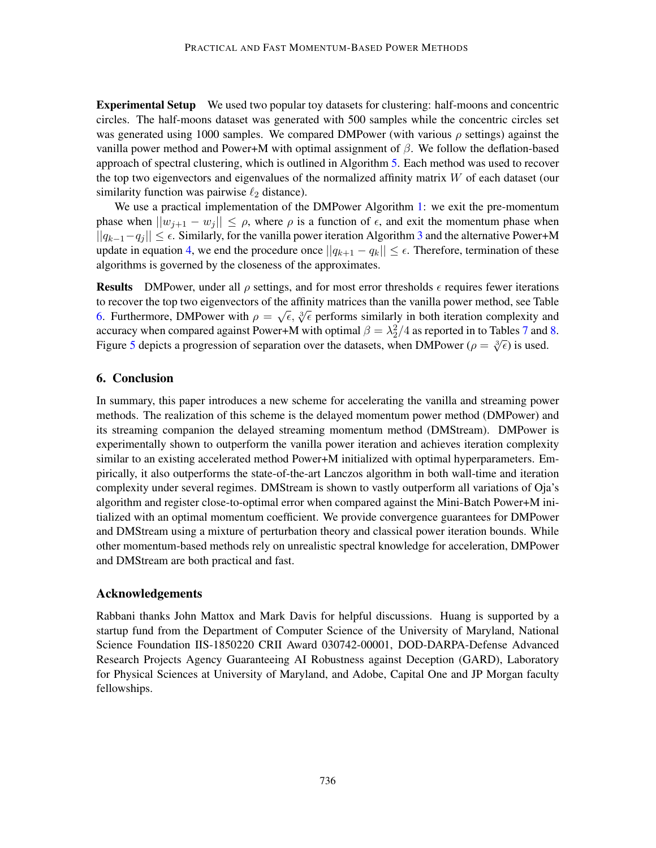Experimental Setup We used two popular toy datasets for clustering: half-moons and concentric circles. The half-moons dataset was generated with 500 samples while the concentric circles set was generated using 1000 samples. We compared DMPower (with various  $\rho$  settings) against the vanilla power method and Power+M with optimal assignment of β. We follow the deflation-based approach of spectral clustering, which is outlined in Algorithm [5.](#page-34-0) Each method was used to recover the top two eigenvectors and eigenvalues of the normalized affinity matrix  $W$  of each dataset (our similarity function was pairwise  $\ell_2$  distance).

We use a practical implementation of the DMPower Algorithm [1:](#page-7-1) we exit the pre-momentum phase when  $||w_{i+1} - w_i|| \leq \rho$ , where  $\rho$  is a function of  $\epsilon$ , and exit the momentum phase when  $||q_{k-1}-q_i|| \leq \epsilon$ . Similarly, for the vanilla power iteration Algorithm [3](#page-19-1) and the alternative Power+M update in equation [4,](#page-4-2) we end the procedure once  $||q_{k+1} - q_k|| \leq \epsilon$ . Therefore, termination of these algorithms is governed by the closeness of the approximates.

**Results** DMPower, under all  $\rho$  settings, and for most error thresholds  $\epsilon$  requires fewer iterations to recover the top two eigenvectors of the affinity matrices than the vanilla power method, see Table to recover the top two eigenvectors of the arithmy matrices than the valima power method, see Table [6.](#page-32-2) Furthermore, DMPower with  $\rho = \sqrt{\epsilon}$ ,  $\sqrt[3]{\epsilon}$  performs similarly in both iteration complexity and accuracy when compared against Power+M with optimal  $\beta = \lambda_2^2/4$  as reported in to Tables [7](#page-34-1) and [8.](#page-35-1) Figure [5](#page-14-0) depicts a progression of separation over the datasets, when DMPower  $(\rho = \sqrt[3]{\epsilon})$  is used.

## 6. Conclusion

In summary, this paper introduces a new scheme for accelerating the vanilla and streaming power methods. The realization of this scheme is the delayed momentum power method (DMPower) and its streaming companion the delayed streaming momentum method (DMStream). DMPower is experimentally shown to outperform the vanilla power iteration and achieves iteration complexity similar to an existing accelerated method Power+M initialized with optimal hyperparameters. Empirically, it also outperforms the state-of-the-art Lanczos algorithm in both wall-time and iteration complexity under several regimes. DMStream is shown to vastly outperform all variations of Oja's algorithm and register close-to-optimal error when compared against the Mini-Batch Power+M initialized with an optimal momentum coefficient. We provide convergence guarantees for DMPower and DMStream using a mixture of perturbation theory and classical power iteration bounds. While other momentum-based methods rely on unrealistic spectral knowledge for acceleration, DMPower and DMStream are both practical and fast.

#### Acknowledgements

Rabbani thanks John Mattox and Mark Davis for helpful discussions. Huang is supported by a startup fund from the Department of Computer Science of the University of Maryland, National Science Foundation IIS-1850220 CRII Award 030742-00001, DOD-DARPA-Defense Advanced Research Projects Agency Guaranteeing AI Robustness against Deception (GARD), Laboratory for Physical Sciences at University of Maryland, and Adobe, Capital One and JP Morgan faculty fellowships.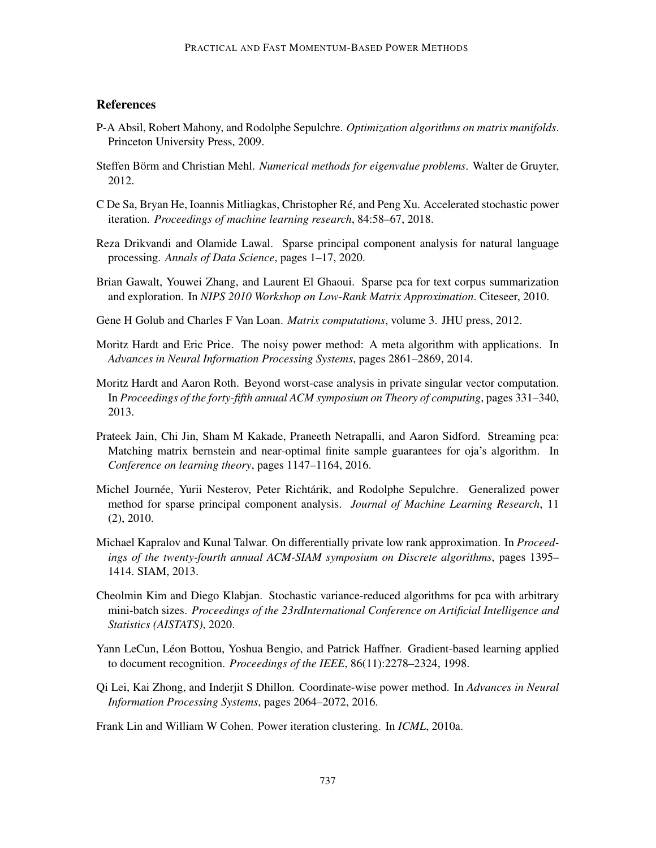## **References**

- <span id="page-16-12"></span>P-A Absil, Robert Mahony, and Rodolphe Sepulchre. *Optimization algorithms on matrix manifolds*. Princeton University Press, 2009.
- <span id="page-16-8"></span>Steffen Börm and Christian Mehl. *Numerical methods for eigenvalue problems*. Walter de Gruyter, 2012.
- <span id="page-16-4"></span>C De Sa, Bryan He, Ioannis Mitliagkas, Christopher Re, and Peng Xu. Accelerated stochastic power ´ iteration. *Proceedings of machine learning research*, 84:58–67, 2018.
- <span id="page-16-3"></span>Reza Drikvandi and Olamide Lawal. Sparse principal component analysis for natural language processing. *Annals of Data Science*, pages 1–17, 2020.
- <span id="page-16-2"></span>Brian Gawalt, Youwei Zhang, and Laurent El Ghaoui. Sparse pca for text corpus summarization and exploration. In *NIPS 2010 Workshop on Low-Rank Matrix Approximation*. Citeseer, 2010.
- <span id="page-16-6"></span>Gene H Golub and Charles F Van Loan. *Matrix computations*, volume 3. JHU press, 2012.
- <span id="page-16-13"></span>Moritz Hardt and Eric Price. The noisy power method: A meta algorithm with applications. In *Advances in Neural Information Processing Systems*, pages 2861–2869, 2014.
- <span id="page-16-9"></span>Moritz Hardt and Aaron Roth. Beyond worst-case analysis in private singular vector computation. In *Proceedings of the forty-fifth annual ACM symposium on Theory of computing*, pages 331–340, 2013.
- <span id="page-16-11"></span>Prateek Jain, Chi Jin, Sham M Kakade, Praneeth Netrapalli, and Aaron Sidford. Streaming pca: Matching matrix bernstein and near-optimal finite sample guarantees for oja's algorithm. In *Conference on learning theory*, pages 1147–1164, 2016.
- <span id="page-16-1"></span>Michel Journée, Yurii Nesterov, Peter Richtárik, and Rodolphe Sepulchre. Generalized power method for sparse principal component analysis. *Journal of Machine Learning Research*, 11 (2), 2010.
- <span id="page-16-10"></span>Michael Kapralov and Kunal Talwar. On differentially private low rank approximation. In *Proceedings of the twenty-fourth annual ACM-SIAM symposium on Discrete algorithms*, pages 1395– 1414. SIAM, 2013.
- <span id="page-16-5"></span>Cheolmin Kim and Diego Klabjan. Stochastic variance-reduced algorithms for pca with arbitrary mini-batch sizes. *Proceedings of the 23rdInternational Conference on Artificial Intelligence and Statistics (AISTATS)*, 2020.
- <span id="page-16-14"></span>Yann LeCun, Léon Bottou, Yoshua Bengio, and Patrick Haffner. Gradient-based learning applied to document recognition. *Proceedings of the IEEE*, 86(11):2278–2324, 1998.
- <span id="page-16-7"></span>Qi Lei, Kai Zhong, and Inderjit S Dhillon. Coordinate-wise power method. In *Advances in Neural Information Processing Systems*, pages 2064–2072, 2016.

<span id="page-16-0"></span>Frank Lin and William W Cohen. Power iteration clustering. In *ICML*, 2010a.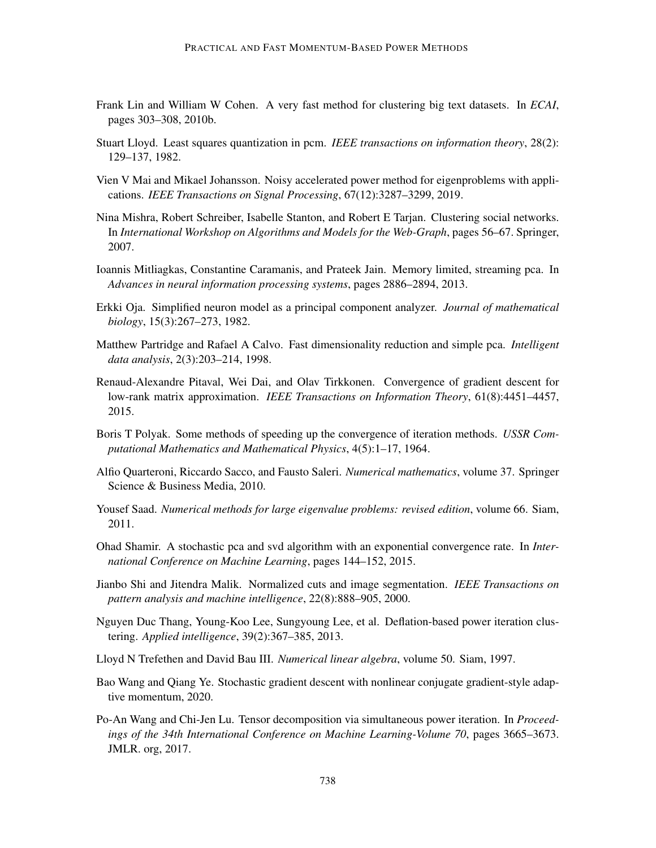- <span id="page-17-0"></span>Frank Lin and William W Cohen. A very fast method for clustering big text datasets. In *ECAI*, pages 303–308, 2010b.
- <span id="page-17-13"></span>Stuart Lloyd. Least squares quantization in pcm. *IEEE transactions on information theory*, 28(2): 129–137, 1982.
- <span id="page-17-2"></span>Vien V Mai and Mikael Johansson. Noisy accelerated power method for eigenproblems with applications. *IEEE Transactions on Signal Processing*, 67(12):3287–3299, 2019.
- <span id="page-17-14"></span>Nina Mishra, Robert Schreiber, Isabelle Stanton, and Robert E Tarjan. Clustering social networks. In *International Workshop on Algorithms and Models for the Web-Graph*, pages 56–67. Springer, 2007.
- <span id="page-17-7"></span>Ioannis Mitliagkas, Constantine Caramanis, and Prateek Jain. Memory limited, streaming pca. In *Advances in neural information processing systems*, pages 2886–2894, 2013.
- <span id="page-17-12"></span>Erkki Oja. Simplified neuron model as a principal component analyzer. *Journal of mathematical biology*, 15(3):267–273, 1982.
- <span id="page-17-11"></span>Matthew Partridge and Rafael A Calvo. Fast dimensionality reduction and simple pca. *Intelligent data analysis*, 2(3):203–214, 1998.
- <span id="page-17-9"></span>Renaud-Alexandre Pitaval, Wei Dai, and Olav Tirkkonen. Convergence of gradient descent for low-rank matrix approximation. *IEEE Transactions on Information Theory*, 61(8):4451–4457, 2015.
- <span id="page-17-4"></span>Boris T Polyak. Some methods of speeding up the convergence of iteration methods. *USSR Computational Mathematics and Mathematical Physics*, 4(5):1–17, 1964.
- <span id="page-17-16"></span>Alfio Quarteroni, Riccardo Sacco, and Fausto Saleri. *Numerical mathematics*, volume 37. Springer Science & Business Media, 2010.
- <span id="page-17-3"></span>Yousef Saad. *Numerical methods for large eigenvalue problems: revised edition*, volume 66. Siam, 2011.
- <span id="page-17-8"></span>Ohad Shamir. A stochastic pca and svd algorithm with an exponential convergence rate. In *International Conference on Machine Learning*, pages 144–152, 2015.
- <span id="page-17-15"></span>Jianbo Shi and Jitendra Malik. Normalized cuts and image segmentation. *IEEE Transactions on pattern analysis and machine intelligence*, 22(8):888–905, 2000.
- <span id="page-17-1"></span>Nguyen Duc Thang, Young-Koo Lee, Sungyoung Lee, et al. Deflation-based power iteration clustering. *Applied intelligence*, 39(2):367–385, 2013.
- <span id="page-17-5"></span>Lloyd N Trefethen and David Bau III. *Numerical linear algebra*, volume 50. Siam, 1997.
- <span id="page-17-10"></span>Bao Wang and Qiang Ye. Stochastic gradient descent with nonlinear conjugate gradient-style adaptive momentum, 2020.
- <span id="page-17-6"></span>Po-An Wang and Chi-Jen Lu. Tensor decomposition via simultaneous power iteration. In *Proceedings of the 34th International Conference on Machine Learning-Volume 70*, pages 3665–3673. JMLR. org, 2017.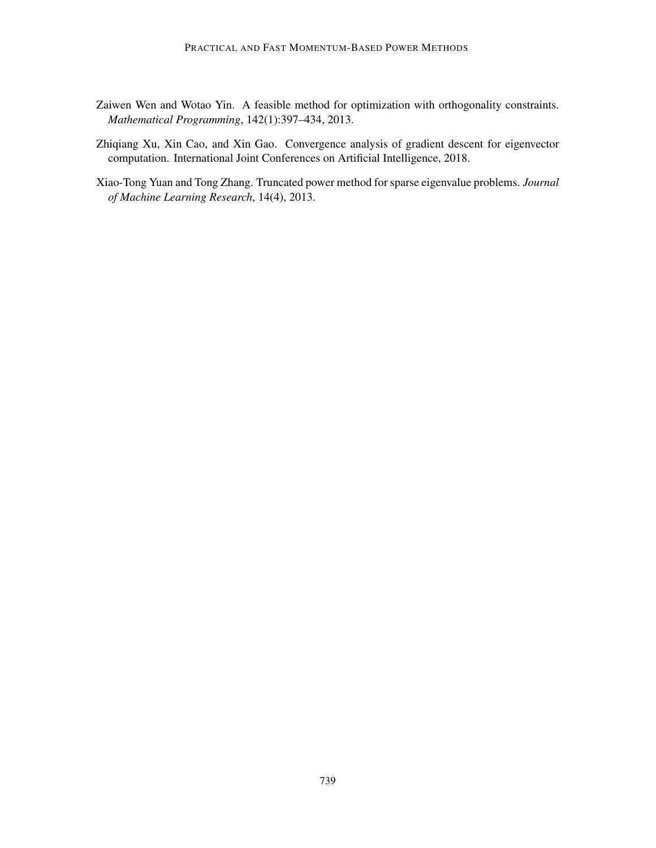- <span id="page-18-1"></span>Zaiwen Wen and Wotao Yin. A feasible method for optimization with orthogonality constraints. *Mathematical Programming*, 142(1):397–434, 2013.
- <span id="page-18-2"></span>Zhiqiang Xu, Xin Cao, and Xin Gao. Convergence analysis of gradient descent for eigenvector computation. International Joint Conferences on Artificial Intelligence, 2018.
- <span id="page-18-0"></span>Xiao-Tong Yuan and Tong Zhang. Truncated power method for sparse eigenvalue problems. *Journal of Machine Learning Research*, 14(4), 2013.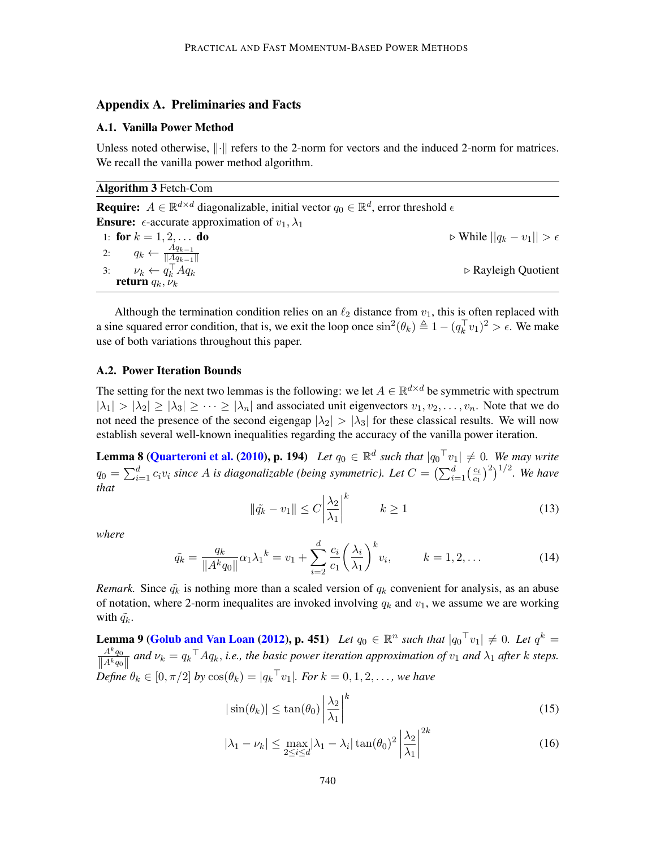### Appendix A. Preliminaries and Facts

#### A.1. Vanilla Power Method

Unless noted otherwise,  $\lVert \cdot \rVert$  refers to the 2-norm for vectors and the induced 2-norm for matrices. We recall the vanilla power method algorithm.

<span id="page-19-1"></span>Algorithm 3 Fetch-Com

**Require:**  $A \in \mathbb{R}^{d \times d}$  diagonalizable, initial vector  $q_0 \in \mathbb{R}^d$ , error threshold  $\epsilon$ **Ensure:**  $\epsilon$ -accurate approximation of  $v_1, \lambda_1$ 1: for  $k = 1, 2, ...$  do  $\triangleright$  While  $||q_k - v_1|| > \epsilon$ 2:  $q_k \leftarrow \frac{Aq_{k-1}}{\|Aq_{k-1}\|}$  $||Aq_{k-1}||$ 3:  $\nu_k \leftarrow q_k^{\top}$  $\triangleright$  Rayleigh Quotient return  $q_k, \ddot{\nu}_k$ 

Although the termination condition relies on an  $\ell_2$  distance from  $v_1$ , this is often replaced with a sine squared error condition, that is, we exit the loop once  $\sin^2(\theta_k) \triangleq 1 - (q_k^{\top} v_1)^2 > \epsilon$ . We make use of both variations throughout this paper.

## A.2. Power Iteration Bounds

The setting for the next two lemmas is the following: we let  $A \in \mathbb{R}^{d \times d}$  be symmetric with spectrum  $|\lambda_1| > |\lambda_2| \ge |\lambda_3| \ge \cdots \ge |\lambda_n|$  and associated unit eigenvectors  $v_1, v_2, \ldots, v_n$ . Note that we do not need the presence of the second eigengap  $|\lambda_2| > |\lambda_3|$  for these classical results. We will now establish several well-known inequalities regarding the accuracy of the vanilla power iteration.

**Lemma 8 [\(Quarteroni et al.](#page-17-16) [\(2010\)](#page-17-16), p. 194)** Let  $q_0 \in \mathbb{R}^d$  such that  $|q_0^\top v_1| \neq 0$ . We may write  $q_0 = \sum_{i=1}^d c_i v_i$  since A is diagonalizable (being symmetric). Let  $C = \left(\sum_{i=1}^d \left(\frac{c_i}{c_1}\right)^2\right)$  $(\frac{c_i}{c_1})^2)^{1/2}$ . We have *that*

$$
\|\tilde{q}_k - v_1\| \le C \left| \frac{\lambda_2}{\lambda_1} \right|^k \qquad k \ge 1 \tag{13}
$$

*where*

$$
\tilde{q_k} = \frac{q_k}{\|A^k q_0\|} \alpha_1 \lambda_1^k = v_1 + \sum_{i=2}^d \frac{c_i}{c_1} \left(\frac{\lambda_i}{\lambda_1}\right)^k v_i, \qquad k = 1, 2, \dots
$$
\n(14)

<span id="page-19-0"></span>*Remark.* Since  $\tilde{q}_k$  is nothing more than a scaled version of  $q_k$  convenient for analysis, as an abuse of notation, where 2-norm inequalites are invoked involving  $q_k$  and  $v_1$ , we assume we are working with  $q_k$ .

**Lemma 9 [\(Golub and Van Loan](#page-16-6) [\(2012\)](#page-16-6), p. 451)** Let  $q_0 \in \mathbb{R}^n$  such that  $|q_0^\top v_1| \neq 0$ . Let  $q^k =$  $A^kq_0$  $\frac{A^kq_0}{\|A^kq_0\|}$  and  $\nu_k = q_k^\top A q_k$ , *i.e., the basic power iteration approximation of*  $v_1$  *and*  $\lambda_1$  *after* k *steps.*  $Define \(\theta_k \in [0, \pi/2] \text{ by } \cos(\theta_k) = |q_k^\top v_1|. \text{ For } k = 0, 1, 2, \ldots, \text{ we have}$ 

$$
|\sin(\theta_k)| \le \tan(\theta_0) \left| \frac{\lambda_2}{\lambda_1} \right|^k \tag{15}
$$

$$
|\lambda_1 - \nu_k| \le \max_{2 \le i \le d} |\lambda_1 - \lambda_i| \tan(\theta_0)^2 \left| \frac{\lambda_2}{\lambda_1} \right|^{2k} \tag{16}
$$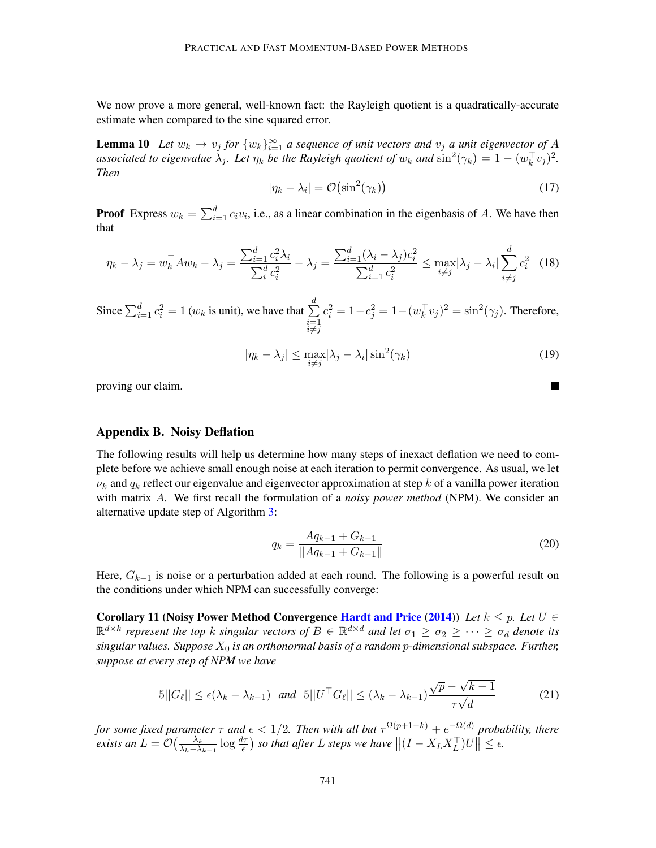We now prove a more general, well-known fact: the Rayleigh quotient is a quadratically-accurate estimate when compared to the sine squared error.

**Lemma 10** Let  $w_k \to v_j$  for  $\{w_k\}_{k=1}^{\infty}$  a sequence of unit vectors and  $v_j$  a unit eigenvector of A *associated to eigenvalue*  $\lambda_j$ . Let  $\eta_k$  be the Rayleigh quotient of  $w_k$  and  $\sin^2(\gamma_k) = 1 - (w_k^{\top} v_j)^2$ . *Then*

<span id="page-20-2"></span>
$$
|\eta_k - \lambda_i| = \mathcal{O}\left(\sin^2(\gamma_k)\right) \tag{17}
$$

**Proof** Express  $w_k = \sum_{i=1}^d c_i v_i$ , i.e., as a linear combination in the eigenbasis of A. We have then that

$$
\eta_k - \lambda_j = w_k^\top A w_k - \lambda_j = \frac{\sum_{i=1}^d c_i^2 \lambda_i}{\sum_i^d c_i^2} - \lambda_j = \frac{\sum_{i=1}^d (\lambda_i - \lambda_j) c_i^2}{\sum_{i=1}^d c_i^2} \le \max_{i \neq j} |\lambda_j - \lambda_i| \sum_{i \neq j}^d c_i^2 \tag{18}
$$

Since  $\sum_{i=1}^d c_i^2 = 1$  ( $w_k$  is unit), we have that  $\sum_{i=1}^d$  $\stackrel{i=1}{\neq}$  $c_i^2 = 1 - c_j^2 = 1 - (w_k^{\top} v_j)^2 = \sin^2(\gamma_j)$ . Therefore,

$$
|\eta_k - \lambda_j| \le \max_{i \neq j} |\lambda_j - \lambda_i| \sin^2(\gamma_k)
$$
\n(19)

proving our claim.

#### <span id="page-20-0"></span>Appendix B. Noisy Deflation

The following results will help us determine how many steps of inexact deflation we need to complete before we achieve small enough noise at each iteration to permit convergence. As usual, we let  $\nu_k$  and  $q_k$  reflect our eigenvalue and eigenvector approximation at step k of a vanilla power iteration with matrix A. We first recall the formulation of a *noisy power method* (NPM). We consider an alternative update step of Algorithm [3:](#page-19-1)

$$
q_k = \frac{Aq_{k-1} + G_{k-1}}{\|Aq_{k-1} + G_{k-1}\|} \tag{20}
$$

Here,  $G_{k-1}$  is noise or a perturbation added at each round. The following is a powerful result on the conditions under which NPM can successfully converge:

Corollary 11 (Noisy Power Method Convergence [Hardt and Price](#page-16-13) [\(2014\)](#page-16-13)) *Let*  $k \leq p$ *. Let*  $U \in$  $\mathbb{R}^{d\times k}$  represent the top k singular vectors of  $B\in\mathbb{R}^{d\times d}$  and let  $\sigma_1\ge\sigma_2\ge\cdots\ge\sigma_d$  denote its *singular values. Suppose* X<sup>0</sup> *is an orthonormal basis of a random* p*-dimensional subspace. Further, suppose at every step of NPM we have*

<span id="page-20-1"></span>
$$
5||G_{\ell}|| \le \epsilon(\lambda_k - \lambda_{k-1}) \quad \text{and} \quad 5||U^{\top}G_{\ell}|| \le (\lambda_k - \lambda_{k-1})\frac{\sqrt{p} - \sqrt{k-1}}{\tau\sqrt{d}} \tag{21}
$$

*for some fixed parameter*  $\tau$  *and*  $\epsilon < 1/2$ . Then with all but  $\tau^{\Omega(p+1-k)} + e^{-\Omega(d)}$  probability, there *exists an*  $L = \mathcal{O}\left(\frac{\lambda_k}{\lambda_k - \lambda}\right)$  $\frac{\lambda_k}{\lambda_k-\lambda_{k-1}}\log\frac{d\tau}{\epsilon}$  *so that after L steps we have*  $||(I-X_LX_L^{\top})U|| \leq \epsilon$ .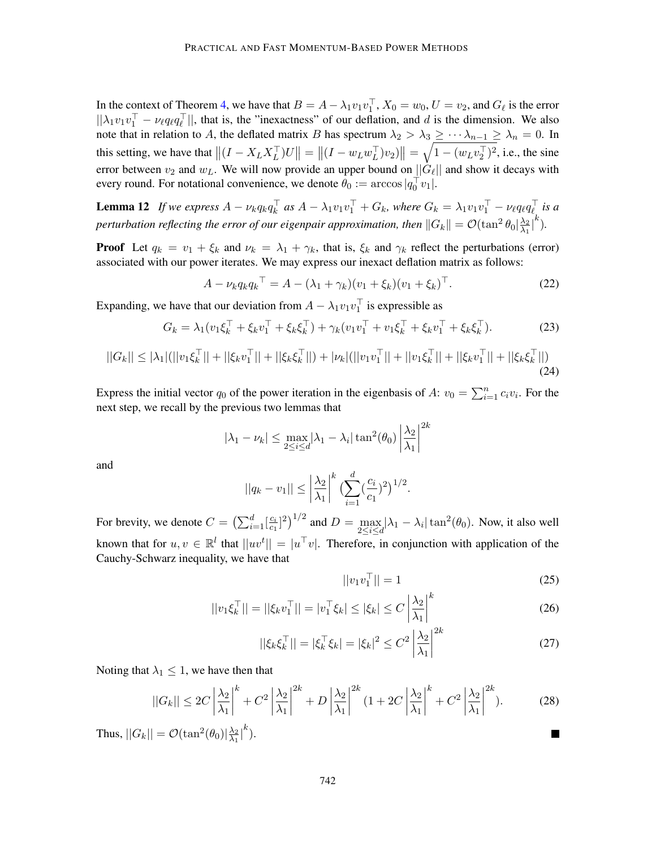In the context of Theorem [4,](#page-8-1) we have that  $B = A - \lambda_1 v_1 v_1^{\top}$ ,  $X_0 = w_0$ ,  $U = v_2$ , and  $G_{\ell}$  is the error  $||\lambda_1v_1v_1^{\top} - \nu_{\ell}q_{\ell}q_{\ell}^{\top}||$ , that is, the "inexactness" of our deflation, and d is the dimension. We also note that in relation to A, the deflated matrix B has spectrum  $\lambda_2 > \lambda_3 \leq \cdots \lambda_{n-1} \geq \lambda_n = 0$ . In this setting, we have that  $\|(I - X_L X_L^\top)U\| = \|(I - w_L w_L^\top) v_2)\| = \sqrt{1 - (w_L v_2^\top)^2}$ , i.e., the sine error between  $v_2$  and  $w_L$ . We will now provide an upper bound on  $||G_\ell||$  and show it decays with every round. For notational convenience, we denote  $\theta_0 := \arccos|q_0^{\top} v_1|$ .

<span id="page-21-0"></span>**Lemma 12** If we express  $A - \nu_k q_k q_k^{\top}$  as  $A - \lambda_1 v_1 v_1^{\top} + G_k$ , where  $G_k = \lambda_1 v_1 v_1^{\top} - \nu_\ell q_\ell q_\ell^{\top}$  is a *perturbation reflecting the error of our eigenpair approximation, then*  $||G_k|| = \mathcal{O}(\tan^2 \theta_0 |\frac{\lambda_2}{\lambda_1})$  $\frac{\lambda_2}{\lambda_1} \Big|^k$ ).

**Proof** Let  $q_k = v_1 + \xi_k$  and  $v_k = \lambda_1 + \gamma_k$ , that is,  $\xi_k$  and  $\gamma_k$  reflect the perturbations (error) associated with our power iterates. We may express our inexact deflation matrix as follows:

$$
A - \nu_k q_k q_k^{\top} = A - (\lambda_1 + \gamma_k)(v_1 + \xi_k)(v_1 + \xi_k)^{\top}.
$$
 (22)

Expanding, we have that our deviation from  $A - \lambda_1 v_1 v_1^{\top}$  is expressible as

$$
G_k = \lambda_1 (v_1 \xi_k^\top + \xi_k v_1^\top + \xi_k \xi_k^\top) + \gamma_k (v_1 v_1^\top + v_1 \xi_k^\top + \xi_k v_1^\top + \xi_k \xi_k^\top). \tag{23}
$$

$$
||G_k|| \le |\lambda_1| (||v_1\xi_k^\top|| + ||\xi_k v_1^\top|| + ||\xi_k \xi_k^\top||) + |\nu_k| (||v_1 v_1^\top|| + ||v_1 \xi_k^\top|| + ||\xi_k v_1^\top|| + ||\xi_k \xi_k^\top||)
$$
\n(24)

Express the initial vector  $q_0$  of the power iteration in the eigenbasis of A:  $v_0 = \sum_{i=1}^n c_i v_i$ . For the next step, we recall by the previous two lemmas that

$$
|\lambda_1 - \nu_k| \le \max_{2 \le i \le d} |\lambda_1 - \lambda_i| \tan^2(\theta_0) \left| \frac{\lambda_2}{\lambda_1} \right|^{2k}
$$

and

$$
||q_{k} - v_{1}|| \leq \left| \frac{\lambda_{2}}{\lambda_{1}} \right|^{k} \left( \sum_{i=1}^{d} \left( \frac{c_{i}}{c_{1}} \right)^{2} \right)^{1/2}.
$$

For brevity, we denote  $C = \left(\sum_{i=1}^{d} \left[\frac{c_i}{c_1}\right]\right)$  $\frac{c_i}{c_1}$ ]<sup>2</sup>)<sup>1/2</sup> and  $D = \max_{2 \le i \le d} |\lambda_1 - \lambda_i| \tan^2(\theta_0)$ . Now, it also well known that for  $u, v \in \mathbb{R}^l$  that  $||uv^t|| = |u^{\top}v|$ . Therefore, in conjunction with application of the Cauchy-Schwarz inequality, we have that

$$
||v_1v_1^\top|| = 1 \tag{25}
$$

$$
||v_1 \xi_k^\top|| = ||\xi_k v_1^\top|| = |v_1^\top \xi_k| \le |\xi_k| \le C \left| \frac{\lambda_2}{\lambda_1} \right|^k \tag{26}
$$

$$
||\xi_k \xi_k^{\top}|| = |\xi_k^{\top} \xi_k| = |\xi_k|^2 \le C^2 \left| \frac{\lambda_2}{\lambda_1} \right|^{2k}
$$
 (27)

Noting that  $\lambda_1 \leq 1$ , we have then that

$$
||G_k|| \leq 2C \left| \frac{\lambda_2}{\lambda_1} \right|^k + C^2 \left| \frac{\lambda_2}{\lambda_1} \right|^{2k} + D \left| \frac{\lambda_2}{\lambda_1} \right|^{2k} \left( 1 + 2C \left| \frac{\lambda_2}{\lambda_1} \right|^k + C^2 \left| \frac{\lambda_2}{\lambda_1} \right|^{2k} \right). \tag{28}
$$

Thus,  $||G_k|| = \mathcal{O}(\tan^2(\theta_0))\frac{\lambda_2}{\lambda_1}$  $\frac{\lambda_2}{\lambda_1}\Big|^k$ ).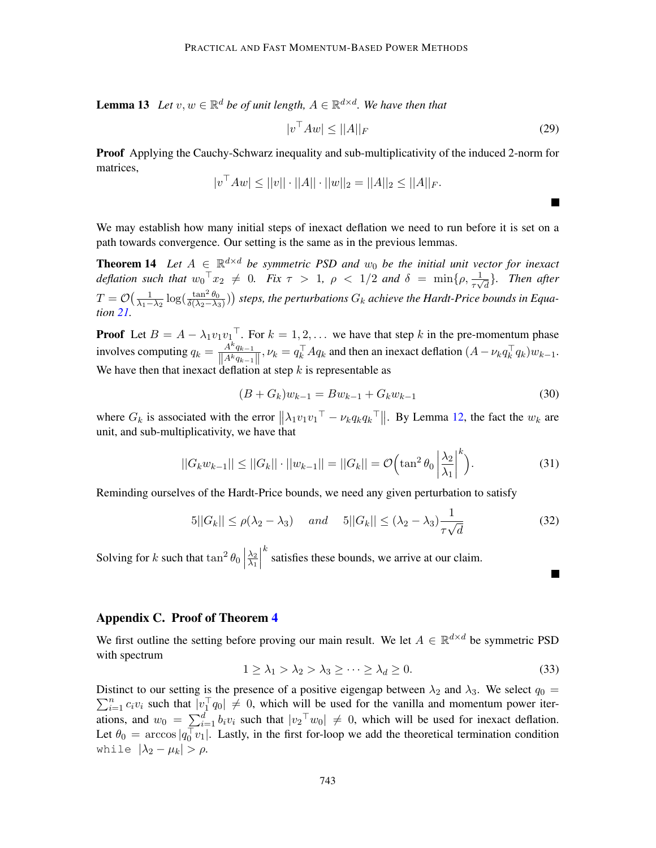**Lemma 13** Let  $v, w \in \mathbb{R}^d$  be of unit length,  $A \in \mathbb{R}^{d \times d}$ . We have then that

$$
|v^{\top} A w| \le ||A||_F \tag{29}
$$

<span id="page-22-1"></span> $\blacksquare$ 

**In the Second** 

Proof Applying the Cauchy-Schwarz inequality and sub-multiplicativity of the induced 2-norm for matrices,

$$
|v^{\top} Aw| \le ||v|| \cdot ||A|| \cdot ||w||_2 = ||A||_2 \le ||A||_F.
$$

We may establish how many initial steps of inexact deflation we need to run before it is set on a path towards convergence. Our setting is the same as in the previous lemmas.

**Theorem 14** Let  $A \in \mathbb{R}^{d \times d}$  be symmetric PSD and  $w_0$  be the initial unit vector for inexact *deflation such that*  $w_0^\top x_2 \neq 0$ . Fix  $\tau > 1$ ,  $\rho < 1/2$  and  $\delta = \min\{\rho, \frac{1}{\tau \sqrt{d}}\}$ . Then after  $T=\mathcal{O}\big(\frac{1}{\lambda_1-\lambda_2}\log(\frac{\tan^2\theta_0}{\delta(\lambda_2-\lambda_3)})\big)$  steps, the perturbations  $G_k$  achieve the Hardt-Price bounds in Equa*tion [21.](#page-20-1)*

**Proof** Let  $B = A - \lambda_1 v_1 v_1^{\top}$ . For  $k = 1, 2, ...$  we have that step k in the pre-momentum phase involves computing  $q_k = \frac{A^k q_{k-1}}{\prod_{k} A^k q_{k-1}}$  $\frac{A^kq_{k-1}}{\|A^kq_{k-1}\|}, \nu_k = q_k^\top Aq_k$  and then an inexact deflation  $(A - \nu_k q_k^\top q_k)w_{k-1}$ . We have then that inexact deflation at step  $k$  is representable as

$$
(B + G_k)w_{k-1} = Bw_{k-1} + G_k w_{k-1}
$$
\n(30)

where  $G_k$  is associated with the error  $\|\lambda_1 v_1 v_1^{\top} - \nu_k q_k q_k^{\top}\|$ . By Lemma [12,](#page-21-0) the fact the  $w_k$  are unit, and sub-multiplicativity, we have that

$$
||G_k w_{k-1}|| \le ||G_k|| \cdot ||w_{k-1}|| = ||G_k|| = \mathcal{O}\Big(\tan^2 \theta_0 \left| \frac{\lambda_2}{\lambda_1} \right|^k\Big). \tag{31}
$$

Reminding ourselves of the Hardt-Price bounds, we need any given perturbation to satisfy

$$
5||G_k|| \le \rho(\lambda_2 - \lambda_3) \quad and \quad 5||G_k|| \le (\lambda_2 - \lambda_3) \frac{1}{\tau \sqrt{d}} \tag{32}
$$

Solving for k such that  $\tan^2 \theta_0$  $\frac{\lambda_2}{\lambda_2}$  $\overline{\lambda_1}$   $k$  satisfies these bounds, we arrive at our claim.

## <span id="page-22-0"></span>Appendix C. Proof of Theorem [4](#page-8-1)

We first outline the setting before proving our main result. We let  $A \in \mathbb{R}^{d \times d}$  be symmetric PSD with spectrum

$$
1 \ge \lambda_1 > \lambda_2 > \lambda_3 \ge \cdots \ge \lambda_d \ge 0. \tag{33}
$$

Distinct to our setting is the presence of a positive eigengap between  $\lambda_2$  and  $\lambda_3$ . We select  $q_0 =$  $\sum_{i=1}^{n} c_i v_i$  such that  $|v_1^{\top} q_0| \neq 0$ , which will be used for the vanilla and momentum power iterations, and  $w_0 = \sum_{i=1}^d b_i v_i$  such that  $|v_2^\top w_0| \neq 0$ , which will be used for inexact deflation. Let  $\theta_0 = \arccos|q_0^{\top} v_1|$ . Lastly, in the first for-loop we add the theoretical termination condition while  $|\lambda_2 - \mu_k| > \rho$ .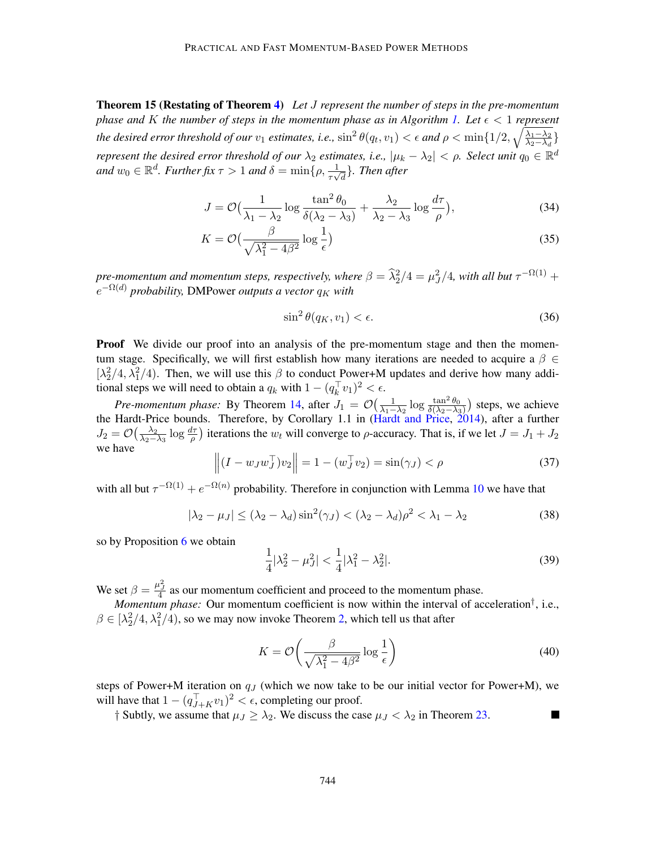Theorem 15 (Restating of Theorem [4\)](#page-8-1) *Let* J *represent the number of steps in the pre-momentum phase and* K *the number of steps in the momentum phase as in Algorithm [1.](#page-7-1) Let*  $\epsilon < 1$  *represent the desired error threshold of our*  $v_1$  *estimates, i.e.,*  $\sin^2\theta(q_t, v_1) < \epsilon$  and  $\rho < \min\{1/2, \sqrt{\frac{\lambda_1 - \lambda_2}{\lambda_2 - \lambda_3}}\}$  $\frac{\lambda_1 - \lambda_2}{\lambda_2 - \lambda_d}$ *represent the desired error threshold of our*  $\lambda_2$  *estimates, i.e.,*  $|\mu_k - \lambda_2| < \rho$ . Select unit  $q_0 \in \mathbb{R}^d$ and  $w_0 \in \mathbb{R}^d$ *. Further fix*  $\tau > 1$  and  $\delta = \min\{\rho, \frac{1}{\tau \sqrt{d}}\}$ *. Then after* 

$$
J = \mathcal{O}\left(\frac{1}{\lambda_1 - \lambda_2} \log \frac{\tan^2 \theta_0}{\delta(\lambda_2 - \lambda_3)} + \frac{\lambda_2}{\lambda_2 - \lambda_3} \log \frac{d\tau}{\rho}\right),\tag{34}
$$

$$
K = \mathcal{O}\left(\frac{\beta}{\sqrt{\lambda_1^2 - 4\beta^2}} \log \frac{1}{\epsilon}\right)
$$
 (35)

*pre-momentum and momentum steps, respectively, where*  $\beta = \frac{\widehat{\lambda}_2^2}{4} = \frac{\mu^2}{4}$ , with all but  $\tau^{-\Omega(1)} +$  $e^{-\Omega(d)}$  *probability, DMPower outputs a vector*  $q_K$  *with* 

$$
\sin^2 \theta(q_K, v_1) < \epsilon. \tag{36}
$$

**Proof** We divide our proof into an analysis of the pre-momentum stage and then the momentum stage. Specifically, we will first establish how many iterations are needed to acquire a  $\beta \in$ [ $\lambda_2^2/4$ ,  $\lambda_1^2/4$ ]. Then, we will use this  $\beta$  to conduct Power+M updates and derive how many additional steps we will need to obtain a  $q_k$  with  $1 - (q_k^{\top} v_1)^2 < \epsilon$ .

*Pre-momentum phase:* By Theorem [14,](#page-22-1) after  $J_1 = \mathcal{O}\left(\frac{1}{\lambda_1 - \lambda_2} \log \frac{\tan^2 \theta_0}{\delta(\lambda_2 - \lambda_3)}\right)$  steps, we achieve the Hardt-Price bounds. Therefore, by Corollary 1.1 in [\(Hardt and Price,](#page-16-13) [2014\)](#page-16-13), after a further  $J_2 = \mathcal{O}\left(\frac{\lambda_2}{\lambda_2 - 1}\right)$  $\frac{\lambda_2}{\lambda_2-\lambda_3}$  log  $\frac{d\tau}{\rho}$ ) iterations the w<sub>t</sub> will converge to  $\rho$ -accuracy. That is, if we let  $J = J_1 + J_2$ we have

$$
\left\| (I - w_J w_J^\top) v_2 \right\| = 1 - (w_J^\top v_2) = \sin(\gamma_J) < \rho \tag{37}
$$

with all but  $\tau^{-\Omega(1)} + e^{-\Omega(n)}$  probability. Therefore in conjunction with Lemma [10](#page-20-2) we have that

$$
|\lambda_2 - \mu_J| \le (\lambda_2 - \lambda_d) \sin^2(\gamma_J) < (\lambda_2 - \lambda_d)\rho^2 < \lambda_1 - \lambda_2 \tag{38}
$$

so by Proposition [6](#page-11-1) we obtain

$$
\frac{1}{4}|\lambda_2^2 - \mu_J^2| < \frac{1}{4}|\lambda_1^2 - \lambda_2^2|.\tag{39}
$$

We set  $\beta = \frac{\mu_J^2}{4}$  as our momentum coefficient and proceed to the momentum phase.

*Momentum phase:* Our momentum coefficient is now within the interval of acceleration† , i.e.,  $\beta \in [\lambda_2^2/4, \lambda_1^2/4)$ , so we may now invoke Theorem [2,](#page-4-1) which tell us that after

$$
K = \mathcal{O}\left(\frac{\beta}{\sqrt{\lambda_1^2 - 4\beta^2}} \log \frac{1}{\epsilon}\right)
$$
 (40)

steps of Power+M iteration on  $q_J$  (which we now take to be our initial vector for Power+M), we will have that  $1 - (q_{J+K}^{\top} v_1)^2 < \epsilon$ , completing our proof.

† Subtly, we assume that  $\mu_J \geq \lambda_2$ . We discuss the case  $\mu_J < \lambda_2$  in Theorem [23.](#page-32-0)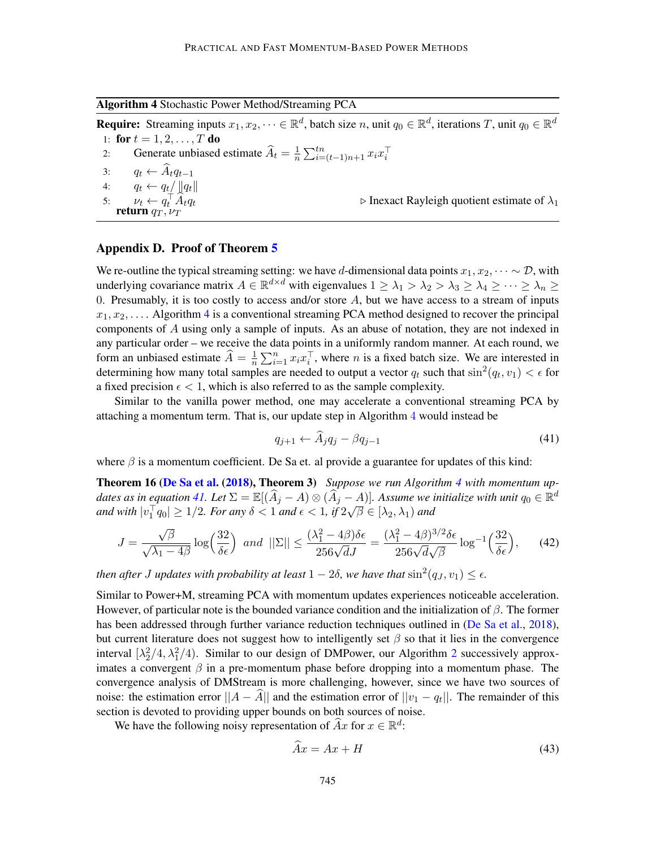<span id="page-24-1"></span>Algorithm 4 Stochastic Power Method/Streaming PCA

**Require:** Streaming inputs  $x_1, x_2, \dots \in \mathbb{R}^d$ , batch size n, unit  $q_0 \in \mathbb{R}^d$ , iterations T, unit  $q_0 \in \mathbb{R}^d$ 1: for  $t = 1, 2, ..., T$  do 2: Generate unbiased estimate  $\widehat{A}_t = \frac{1}{n}$  $\frac{1}{n} \sum_{i=(t-1)n+1}^{tn} x_i x_i^{\top}$ 3:  $q_t \leftarrow \widehat{A}_t q_{t-1}$ <br>4:  $q_t \leftarrow q_t / ||q_t||$  $q_t \leftarrow q_t / ||q_t||$ 5:  $\nu_t \leftarrow q_t^{\top}$  $\triangleright$  Inexact Rayleigh quotient estimate of  $\lambda_1$ return  $q_T, \nu_T$ 

## <span id="page-24-2"></span>Appendix D. Proof of Theorem [5](#page-9-0)

We re-outline the typical streaming setting: we have d-dimensional data points  $x_1, x_2, \dots \sim \mathcal{D}$ , with underlying covariance matrix  $A \in \mathbb{R}^{d \times d}$  with eigenvalues  $1 \geq \lambda_1 > \lambda_2 > \lambda_3 \geq \lambda_4 \geq \cdots \geq \lambda_n \geq$ 0. Presumably, it is too costly to access and/or store  $A$ , but we have access to a stream of inputs  $x_1, x_2, \ldots$ . Algorithm [4](#page-24-1) is a conventional streaming PCA method designed to recover the principal components of A using only a sample of inputs. As an abuse of notation, they are not indexed in any particular order – we receive the data points in a uniformly random manner. At each round, we form an unbiased estimate  $\widehat{A} = \frac{1}{n}$  $\frac{1}{n} \sum_{i=1}^{n} x_i x_i^{\top}$ , where *n* is a fixed batch size. We are interested in determining how many total samples are needed to output a vector  $q_t$  such that  $\sin^2(q_t, v_1) < \epsilon$  for a fixed precision  $\epsilon < 1$ , which is also referred to as the sample complexity.

Similar to the vanilla power method, one may accelerate a conventional streaming PCA by attaching a momentum term. That is, our update step in Algorithm [4](#page-24-1) would instead be

<span id="page-24-3"></span><span id="page-24-0"></span>
$$
q_{j+1} \leftarrow \tilde{A}_j q_j - \beta q_{j-1} \tag{41}
$$

where  $\beta$  is a momentum coefficient. De Sa et. al provide a guarantee for updates of this kind:

Theorem 16 [\(De Sa et al.](#page-16-4) [\(2018\)](#page-16-4), Theorem 3) *Suppose we run Algorithm [4](#page-24-1) with momentum up-dates as in equation [41.](#page-24-3)* Let  $\Sigma = \mathbb{E}[(\widehat{A}_j - A) \otimes (\widehat{A}_j - A)]$ *. Assume we initialize with unit*  $q_0 \in \mathbb{R}^d$ and with  $|v_1^\top q_0| \geq 1/2$ . For any  $\delta < 1$  and  $\epsilon < 1$ , if  $2\sqrt{\beta} \in [\lambda_2, \lambda_1)$  and

$$
J = \frac{\sqrt{\beta}}{\sqrt{\lambda_1 - 4\beta}} \log \left( \frac{32}{\delta \epsilon} \right) \text{ and } ||\Sigma|| \le \frac{(\lambda_1^2 - 4\beta)\delta \epsilon}{256\sqrt{d}J} = \frac{(\lambda_1^2 - 4\beta)^{3/2} \delta \epsilon}{256\sqrt{d}\sqrt{\beta}} \log^{-1} \left( \frac{32}{\delta \epsilon} \right), \tag{42}
$$

*then after J updates with probability at least*  $1-2\delta$ , we have that  $\sin^2(q_J, v_1) \leq \epsilon$ .

Similar to Power+M, streaming PCA with momentum updates experiences noticeable acceleration. However, of particular note is the bounded variance condition and the initialization of  $\beta$ . The former has been addressed through further variance reduction techniques outlined in [\(De Sa et al.,](#page-16-4) [2018\)](#page-16-4), but current literature does not suggest how to intelligently set  $\beta$  so that it lies in the convergence interval  $[\lambda_2^2/4, \lambda_1^2/4)$  $[\lambda_2^2/4, \lambda_1^2/4)$  $[\lambda_2^2/4, \lambda_1^2/4)$ . Similar to our design of DMPower, our Algorithm 2 successively approximates a convergent  $\beta$  in a pre-momentum phase before dropping into a momentum phase. The convergence analysis of DMStream is more challenging, however, since we have two sources of noise: the estimation error  $||A - A||$  and the estimation error of  $||v_1 - v_t||$ . The remainder of this section is devoted to providing upper bounds on both sources of noise.

We have the following noisy representation of  $\widehat{A}x$  for  $x \in \mathbb{R}^d$ :

<span id="page-24-4"></span>
$$
Ax = Ax + H \tag{43}
$$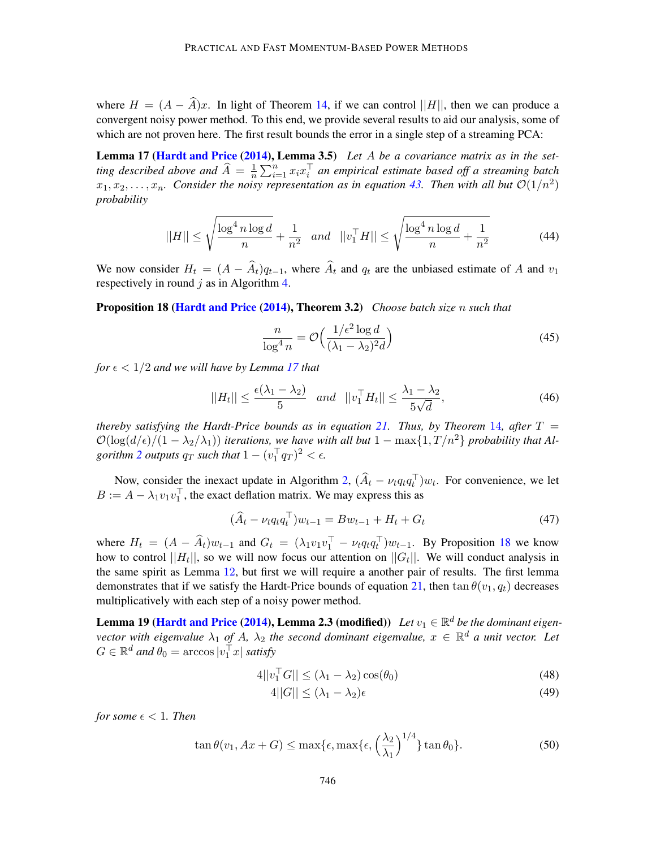where  $H = (A - \hat{A})x$ . In light of Theorem [14,](#page-22-1) if we can control ||H||, then we can produce a convergent noisy power method. To this end, we provide several results to aid our analysis, some of which are not proven here. The first result bounds the error in a single step of a streaming PCA:

Lemma 17 [\(Hardt and Price](#page-16-13) [\(2014\)](#page-16-13), Lemma 3.5) *Let* A *be a covariance matrix as in the setting described above and*  $\widehat{A} = \frac{1}{n}$  $\frac{1}{n} \sum_{i=1}^{n} x_i x_i^{\top}$  an empirical estimate based off a streaming batch  $x_1, x_2, \ldots, x_n$ . Consider the noisy representation as in equation [43.](#page-24-4) Then with all but  $\mathcal{O}(1/n^2)$ *probability*

$$
||H|| \le \sqrt{\frac{\log^4 n \log d}{n}} + \frac{1}{n^2} \quad and \quad ||v_1^\top H|| \le \sqrt{\frac{\log^4 n \log d}{n} + \frac{1}{n^2}} \tag{44}
$$

We now consider  $H_t = (A - \hat{A}_t)q_{t-1}$ , where  $\hat{A}_t$  and  $q_t$  are the unbiased estimate of A and  $v_1$ respectively in round  $j$  as in Algorithm [4.](#page-24-1)

<span id="page-25-0"></span>Proposition 18 [\(Hardt and Price](#page-16-13) [\(2014\)](#page-16-13), Theorem 3.2) *Choose batch size* n *such that*

<span id="page-25-1"></span>
$$
\frac{n}{\log^4 n} = \mathcal{O}\left(\frac{1/\epsilon^2 \log d}{(\lambda_1 - \lambda_2)^2 d}\right)
$$
(45)

*for*  $\epsilon$  < 1/2 *and we will have by Lemma [17](#page-25-1) that* 

$$
||H_t|| \le \frac{\epsilon(\lambda_1 - \lambda_2)}{5} \quad and \quad ||v_1^\top H_t|| \le \frac{\lambda_1 - \lambda_2}{5\sqrt{d}},\tag{46}
$$

*thereby satisfying the Hardt-Price bounds as in equation* [21.](#page-20-1) *Thus, by Theorem* [14](#page-22-1), after  $T =$  $\mathcal{O}(\log(d/\epsilon)/(1-\lambda_2/\lambda_1))$  *iterations, we have with all but*  $1 - \max\{1, T/n^2\}$  *probability that Algorithm* [2](#page-8-2) *outputs*  $q_T$  *such that*  $1 - (v_1^\top q_T)^2 < \epsilon$ .

Now, consider the inexact update in Algorithm [2,](#page-8-2)  $(\widehat{A}_t - \nu_t q_t q_t^{\top}) w_t$ . For convenience, we let  $B := A - \lambda_1 v_1 v_1^{\top}$ , the exact deflation matrix. We may express this as

<span id="page-25-3"></span>
$$
(\widehat{A}_t - \nu_t q_t q_t^{\top}) w_{t-1} = B w_{t-1} + H_t + G_t
$$
\n(47)

where  $H_t = (A - \widehat{A}_t)w_{t-1}$  and  $G_t = (\lambda_1 v_1 v_1^\top - \nu_t q_t q_t^\top)w_{t-1}$ . By Proposition [18](#page-25-0) we know how to control  $||H_t||$ , so we will now focus our attention on  $||G_t||$ . We will conduct analysis in the same spirit as Lemma [12](#page-21-0), but first we will require a another pair of results. The first lemma demonstrates that if we satisfy the Hardt-Price bounds of equation [21,](#page-20-1) then  $\tan \theta(v_1, q_t)$  decreases multiplicatively with each step of a noisy power method.

**Lemma 19 [\(Hardt and Price](#page-16-13) [\(2014\)](#page-16-13), Lemma 2.3 (modified))** Let  $v_1 \in \mathbb{R}^d$  be the dominant eigen*vector with eigenvalue*  $\lambda_1$  *of* A,  $\lambda_2$  *the second dominant eigenvalue,*  $x \in \mathbb{R}^d$  *a unit vector. Let*  $G \in \mathbb{R}^d$  and  $\theta_0 = \arccos|v_1^\top x|$  satisfy

<span id="page-25-2"></span>
$$
4||v_1^\top G|| \le (\lambda_1 - \lambda_2)\cos(\theta_0) \tag{48}
$$

$$
4||G|| \le (\lambda_1 - \lambda_2)\epsilon \tag{49}
$$

*for some*  $\epsilon$  < 1*. Then* 

$$
\tan \theta(v_1, Ax + G) \le \max\{\epsilon, \max\{\epsilon, \left(\frac{\lambda_2}{\lambda_1}\right)^{1/4}\}\tan \theta_0\}.
$$
\n(50)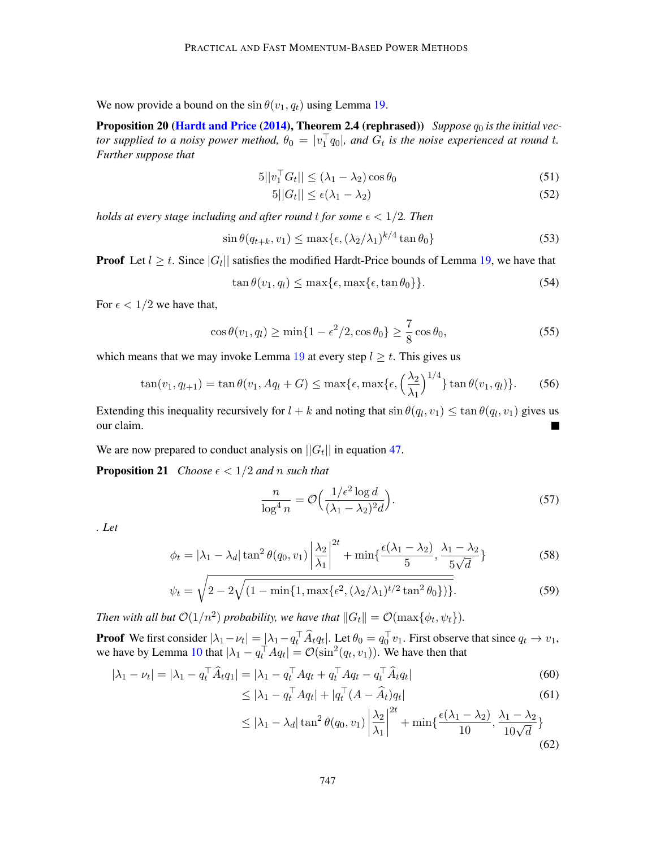We now provide a bound on the  $\sin \theta(v_1, q_t)$  using Lemma [19.](#page-25-2)

**Proposition 20 [\(Hardt and Price](#page-16-13) [\(2014\)](#page-16-13), Theorem 2.4 (rephrased))** Suppose  $q_0$  is the initial vec*tor supplied to a noisy power method,*  $\theta_0 = |v_1^\top q_0|$ , and  $G_t$  is the noise experienced at round t. *Further suppose that*

$$
5||v_1^\top G_t|| \le (\lambda_1 - \lambda_2)\cos\theta_0 \tag{51}
$$

<span id="page-26-1"></span>
$$
5||G_t|| \le \epsilon(\lambda_1 - \lambda_2) \tag{52}
$$

*holds at every stage including and after round t for some*  $\epsilon < 1/2$ *. Then* 

$$
\sin \theta(q_{t+k}, v_1) \le \max\{\epsilon, (\lambda_2/\lambda_1)^{k/4} \tan \theta_0\} \tag{53}
$$

**Proof** Let  $l \geq t$ . Since  $|G_l|$  satisfies the modified Hardt-Price bounds of Lemma [19,](#page-25-2) we have that

$$
\tan \theta(v_1, q_l) \le \max\{\epsilon, \max\{\epsilon, \tan \theta_0\}\}.
$$
\n(54)

For  $\epsilon < 1/2$  we have that,

$$
\cos \theta(v_1, q_l) \ge \min\{1 - \epsilon^2/2, \cos \theta_0\} \ge \frac{7}{8} \cos \theta_0,\tag{55}
$$

which means that we may invoke Lemma [19](#page-25-2) at every step  $l \geq t$ . This gives us

$$
\tan(v_1, q_{l+1}) = \tan \theta(v_1, Aq_l + G) \le \max\{\epsilon, \max\{\epsilon, \left(\frac{\lambda_2}{\lambda_1}\right)^{1/4}\}\tan \theta(v_1, q_l)\}.
$$
 (56)

Extending this inequality recursively for  $l + k$  and noting that  $\sin \theta(q_l, v_1) \leq \tan \theta(q_l, v_1)$  gives us our claim.

We are now prepared to conduct analysis on  $||G_t||$  in equation [47.](#page-25-3)

**Proposition 21** *Choose*  $\epsilon < 1/2$  *and n such that* 

<span id="page-26-0"></span>
$$
\frac{n}{\log^4 n} = \mathcal{O}\Big(\frac{1/\epsilon^2 \log d}{(\lambda_1 - \lambda_2)^2 d}\Big). \tag{57}
$$

*. Let*

$$
\phi_t = |\lambda_1 - \lambda_d| \tan^2 \theta(q_0, v_1) \left| \frac{\lambda_2}{\lambda_1} \right|^{2t} + \min\{\frac{\epsilon(\lambda_1 - \lambda_2)}{5}, \frac{\lambda_1 - \lambda_2}{5\sqrt{d}}\}
$$
(58)

$$
\psi_t = \sqrt{2 - 2\sqrt{(1 - \min\{1, \max\{\epsilon^2, (\lambda_2/\lambda_1)^{t/2} \tan^2 \theta_0\})\}}}. \tag{59}
$$

*Then with all but*  $\mathcal{O}(1/n^2)$  *probability, we have that*  $||G_t|| = \mathcal{O}(\max\{\phi_t, \psi_t\})$ *.* 

**Proof** We first consider  $|\lambda_1 - \nu_t| = |\lambda_1 - q_t^\top \widehat{A}_t q_t|$ . Let  $\theta_0 = q_0^\top v_1$ . First observe that since  $q_t \to v_1$ , we have by Lemma [10](#page-20-2) that  $|\lambda_1 - q_t^{\top} A q_t| = \mathcal{O}(\sin^2(q_t, v_1))$ . We have then that

$$
|\lambda_1 - \nu_t| = |\lambda_1 - q_t^\top \widehat{A}_t q_1| = |\lambda_1 - q_t^\top A q_t + q_t^\top A q_t - q_t^\top \widehat{A}_t q_t|
$$
\n
$$
\leq |\lambda_1 - q_t^\top A q_t| + |q_t^\top (A - \widehat{A}_t) q_t|
$$
\n(61)

$$
\leq |\lambda_1 - q_t^\top A q_t| + |q_t^\top (A - \widehat{A}_t) q_t| \tag{61}
$$

$$
\leq |\lambda_1 - \lambda_d| \tan^2 \theta(q_0, v_1) \left| \frac{\lambda_2}{\lambda_1} \right|^{2t} + \min\{\frac{\epsilon(\lambda_1 - \lambda_2)}{10}, \frac{\lambda_1 - \lambda_2}{10\sqrt{d}}\} \tag{62}
$$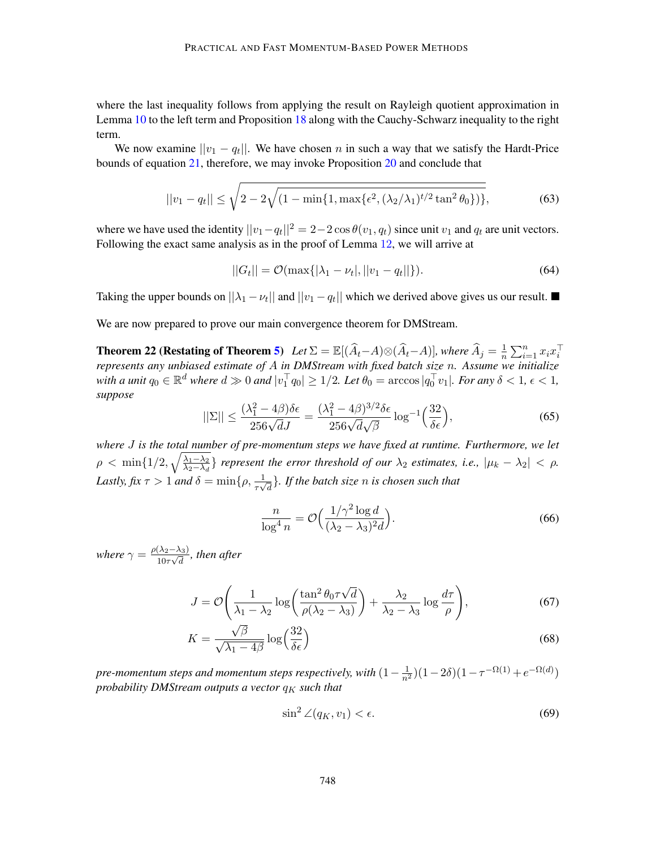where the last inequality follows from applying the result on Rayleigh quotient approximation in Lemma [10](#page-20-2) to the left term and Proposition [18](#page-25-0) along with the Cauchy-Schwarz inequality to the right term.

We now examine  $||v_1 - q_t||$ . We have chosen n in such a way that we satisfy the Hardt-Price bounds of equation [21,](#page-20-1) therefore, we may invoke Proposition [20](#page-26-1) and conclude that

$$
||v_1 - q_t|| \le \sqrt{2 - 2\sqrt{(1 - \min\{1, \max\{\epsilon^2, (\lambda_2/\lambda_1)^{t/2} \tan^2 \theta_0\})\}}},\tag{63}
$$

where we have used the identity  $||v_1 - v_1||^2 = 2 - 2 \cos \theta(v_1, q_t)$  since unit  $v_1$  and  $q_t$  are unit vectors. Following the exact same analysis as in the proof of Lemma [12](#page-21-0), we will arrive at

$$
||G_t|| = \mathcal{O}(\max\{|\lambda_1 - \nu_t|, ||v_1 - q_t||\}).\tag{64}
$$

Taking the upper bounds on  $||\lambda_1 - \nu_t||$  and  $||\nu_1 - \nu_t||$  which we derived above gives us our result.

We are now prepared to prove our main convergence theorem for DMStream.

**Theorem 22 (Restating of Theorem [5\)](#page-9-0)** *Let*  $\Sigma = \mathbb{E}[(\widehat{A}_t - A) \otimes (\widehat{A}_t - A)]$ *, where*  $\widehat{A}_j = \frac{1}{n}$  $\frac{1}{n} \sum_{i=1}^n x_i x_i^{\top}$ *represents any unbiased estimate of* A *in DMStream with fixed batch size* n*. Assume we initialize with a unit*  $q_0 \in \mathbb{R}^d$  *where*  $d \gg 0$  *and*  $|v_1^\top q_0| \geq 1/2$ *. Let*  $\theta_0 = \arccos|q_0^\top v_1|$ *. For any*  $\delta < 1$ *,*  $\epsilon < 1$ *, suppose*

$$
||\Sigma|| \le \frac{(\lambda_1^2 - 4\beta)\delta\epsilon}{256\sqrt{d}J} = \frac{(\lambda_1^2 - 4\beta)^{3/2}\delta\epsilon}{256\sqrt{d}\sqrt{\beta}}\log^{-1}\left(\frac{32}{\delta\epsilon}\right),\tag{65}
$$

*where* J *is the total number of pre-momentum steps we have fixed at runtime. Furthermore, we let*  $\rho < \min\{1/2, \sqrt{\frac{\lambda_1 - \lambda_2}{\lambda_2 - \lambda_1}}\}$  $\frac{\lambda_1-\lambda_2}{\lambda_2-\lambda_d}$  *represent the error threshold of our*  $\lambda_2$  *estimates, i.e.,*  $|\mu_k-\lambda_2| < \rho$ *.* Lastly, fix  $\tau > 1$  and  $\delta = \min\{\rho, \frac{1}{\tau\sqrt{d}}\}$ *. If the batch size n is chosen such that* 

$$
\frac{n}{\log^4 n} = \mathcal{O}\Big(\frac{1/\gamma^2 \log d}{(\lambda_2 - \lambda_3)^2 d}\Big). \tag{66}
$$

*where*  $\gamma = \frac{\rho(\lambda_2 - \lambda_3)}{10 \pi \sqrt{3}}$  $\frac{(\lambda_2 - \lambda_3)}{10\tau\sqrt{d}}$ , then after

$$
J = \mathcal{O}\left(\frac{1}{\lambda_1 - \lambda_2} \log\left(\frac{\tan^2 \theta_0 \tau \sqrt{d}}{\rho(\lambda_2 - \lambda_3)}\right) + \frac{\lambda_2}{\lambda_2 - \lambda_3} \log \frac{d\tau}{\rho}\right),\tag{67}
$$

$$
K = \frac{\sqrt{\beta}}{\sqrt{\lambda_1 - 4\beta}} \log \left( \frac{32}{\delta \epsilon} \right) \tag{68}
$$

*pre-momentum steps and momentum steps respectively, with*  $(1-\frac{1}{n^2})(1-2\delta)(1-\tau^{-\Omega(1)}+e^{-\Omega(d)})$ *probability DMStream outputs a vector*  $q_K$  *such that* 

$$
\sin^2 \angle (q_K, v_1) < \epsilon. \tag{69}
$$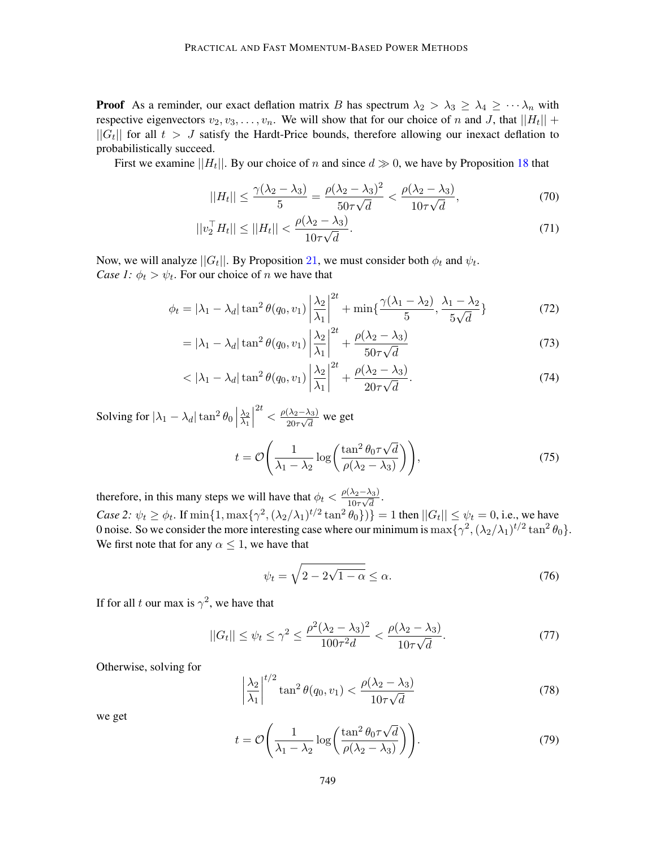**Proof** As a reminder, our exact deflation matrix B has spectrum  $\lambda_2 > \lambda_3 \geq \lambda_4 \geq \cdots \lambda_n$  with respective eigenvectors  $v_2, v_3, \ldots, v_n$ . We will show that for our choice of n and J, that  $||H_t|| +$  $||G_t||$  for all  $t > J$  satisfy the Hardt-Price bounds, therefore allowing our inexact deflation to probabilistically succeed.

First we examine  $||H_t||$ . By our choice of n and since  $d \gg 0$ , we have by Proposition [18](#page-25-0) that

$$
||H_t|| \le \frac{\gamma(\lambda_2 - \lambda_3)}{5} = \frac{\rho(\lambda_2 - \lambda_3)^2}{50\tau\sqrt{d}} < \frac{\rho(\lambda_2 - \lambda_3)}{10\tau\sqrt{d}},\tag{70}
$$

$$
||v_2^{\top} H_t|| \le ||H_t|| < \frac{\rho(\lambda_2 - \lambda_3)}{10\tau\sqrt{d}}.\tag{71}
$$

Now, we will analyze  $||G_t||$ . By Proposition [21](#page-26-0), we must consider both  $\phi_t$  and  $\psi_t$ . *Case 1:*  $\phi_t > \psi_t$ . For our choice of *n* we have that

$$
\phi_t = |\lambda_1 - \lambda_d| \tan^2 \theta(q_0, v_1) \left| \frac{\lambda_2}{\lambda_1} \right|^{2t} + \min\left\{ \frac{\gamma(\lambda_1 - \lambda_2)}{5}, \frac{\lambda_1 - \lambda_2}{5\sqrt{d}} \right\} \tag{72}
$$

$$
= |\lambda_1 - \lambda_d| \tan^2 \theta(q_0, v_1) \left| \frac{\lambda_2}{\lambda_1} \right|^{2t} + \frac{\rho(\lambda_2 - \lambda_3)}{50\tau\sqrt{d}} \tag{73}
$$

$$
\langle |\lambda_1 - \lambda_d| \tan^2 \theta(q_0, v_1) \left| \frac{\lambda_2}{\lambda_1} \right|^{2t} + \frac{\rho(\lambda_2 - \lambda_3)}{20\tau\sqrt{d}}.
$$
\n(74)

Solving for  $|\lambda_1 - \lambda_d| \tan^2 \theta_0$  $\frac{\lambda_2}{\lambda_2}$  $\overline{\lambda_1}$   $\frac{2t}{\sqrt{2}} < \frac{\rho(\lambda_2-\lambda_3)}{20-\sqrt{3}}$  $\frac{(2a-2a)}{20\tau\sqrt{d}}$  we get

$$
t = \mathcal{O}\left(\frac{1}{\lambda_1 - \lambda_2} \log\left(\frac{\tan^2 \theta_0 \tau \sqrt{d}}{\rho(\lambda_2 - \lambda_3)}\right)\right),\tag{75}
$$

therefore, in this many steps we will have that  $\phi_t < \frac{\rho(\lambda_2 - \lambda_3)}{10\pi\sqrt{d}}$  $\frac{(\lambda_2-\lambda_3)}{10\tau\sqrt{d}}$ . *Case 2:*  $\psi_t \ge \phi_t$ . If  $\min\{1, \max\{\gamma^2, (\lambda_2/\lambda_1)^{t/2} \tan^2 \theta_0\}\}\ = 1$  then  $||G_t|| \le \psi_t = 0$ , i.e., we have 0 noise. So we consider the more interesting case where our minimum is  $\max\{\gamma^2, (\lambda_2/\lambda_1)^{t/2} \tan^2 \theta_0\}.$ We first note that for any  $\alpha \leq 1$ , we have that

$$
\psi_t = \sqrt{2 - 2\sqrt{1 - \alpha}} \le \alpha. \tag{76}
$$

If for all t our max is  $\gamma^2$ , we have that

$$
||G_t|| \le \psi_t \le \gamma^2 \le \frac{\rho^2 (\lambda_2 - \lambda_3)^2}{100\tau^2 d} < \frac{\rho(\lambda_2 - \lambda_3)}{10\tau\sqrt{d}}.\tag{77}
$$

Otherwise, solving for

$$
\left|\frac{\lambda_2}{\lambda_1}\right|^{t/2} \tan^2 \theta(q_0, v_1) < \frac{\rho(\lambda_2 - \lambda_3)}{10\tau\sqrt{d}}\tag{78}
$$

we get

$$
t = \mathcal{O}\left(\frac{1}{\lambda_1 - \lambda_2} \log\left(\frac{\tan^2 \theta_0 \tau \sqrt{d}}{\rho(\lambda_2 - \lambda_3)}\right)\right).
$$
 (79)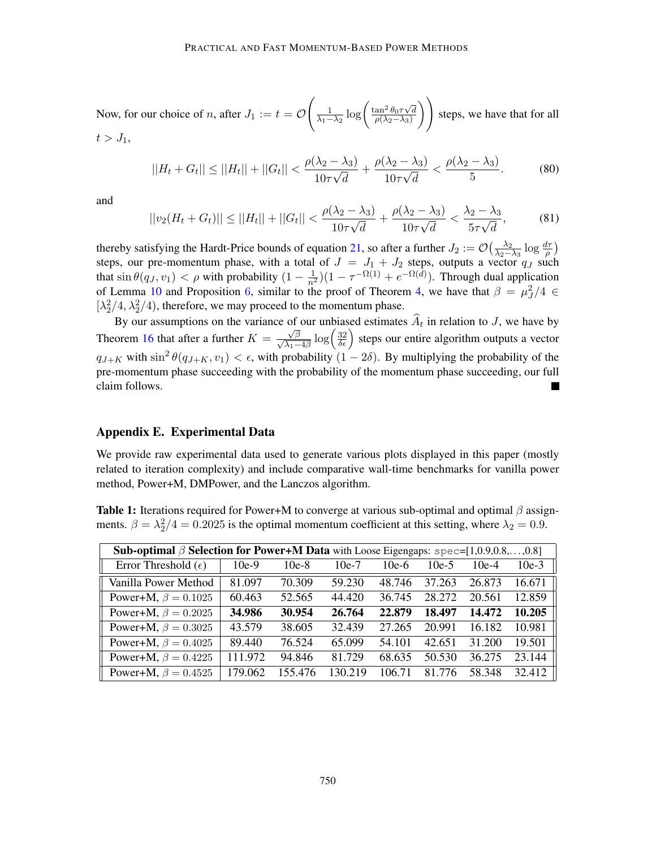Now, for our choice of *n*, after  $J_1 := t = \mathcal{O}$  $\int \frac{1}{\lambda_1 - \lambda_2} \log \left( \frac{\tan^2 \theta_0 \tau \sqrt{d}}{\rho(\lambda_2 - \lambda_3)} \right)$  $\rho(\lambda_2-\lambda_3)$ ) steps, we have that for all  $t > J_1$ ,

$$
||H_t + G_t|| \le ||H_t|| + ||G_t|| < \frac{\rho(\lambda_2 - \lambda_3)}{10\tau\sqrt{d}} + \frac{\rho(\lambda_2 - \lambda_3)}{10\tau\sqrt{d}} < \frac{\rho(\lambda_2 - \lambda_3)}{5}.\tag{80}
$$

and

$$
||v_2(H_t + G_t)|| \le ||H_t|| + ||G_t|| < \frac{\rho(\lambda_2 - \lambda_3)}{10\tau\sqrt{d}} + \frac{\rho(\lambda_2 - \lambda_3)}{10\tau\sqrt{d}} < \frac{\lambda_2 - \lambda_3}{5\tau\sqrt{d}},\tag{81}
$$

thereby satisfying the Hardt-Price bounds of equation [21,](#page-20-1) so after a further  $J_2 := \mathcal{O}(\frac{\lambda_2}{\lambda_2 - \lambda_1})$  $\frac{\lambda_2}{\lambda_2 - \lambda_3} \log \frac{d\tau}{\rho}$ steps, our pre-momentum phase, with a total of  $J = J_1 + J_2$  steps, outputs a vector  $q_J$  such that  $\sin \theta(q_J, v_1) < \rho$  with probability  $(1 - \frac{1}{n^2})(1 - \tau^{-\Omega(1)} + e^{-\Omega(d)})$ . Through dual application of Lemma [10](#page-20-2) and Proposition [6](#page-11-1), similar to the proof of Theorem [4,](#page-8-1) we have that  $\beta = \mu_J^2/4 \in$  $[\lambda_2^2/4, \lambda_2^2/4)$ , therefore, we may proceed to the momentum phase.

By our assumptions on the variance of our unbiased estimates  $A_t$  in relation to J, we have by Theorem [16](#page-24-0) that after a further  $K = \frac{\sqrt{\beta}}{\sqrt{\lambda_1 - 4\beta}} \log \left( \frac{32}{\delta \epsilon} \right)$  steps our entire algorithm outputs a vector  $q_{J+K}$  with  $\sin^2 \theta(q_{J+K}, v_1) < \epsilon$ , with probability  $(1 - 2\delta)$ . By multiplying the probability of the pre-momentum phase succeeding with the probability of the momentum phase succeeding, our full claim follows.

## Appendix E. Experimental Data

We provide raw experimental data used to generate various plots displayed in this paper (mostly related to iteration complexity) and include comparative wall-time benchmarks for vanilla power method, Power+M, DMPower, and the Lanczos algorithm.

**Table 1:** Iterations required for Power+M to converge at various sub-optimal and optimal  $\beta$  assignments.  $\beta = \lambda_2^2/4 = 0.2025$  is the optimal momentum coefficient at this setting, where  $\lambda_2 = 0.9$ .

| <b>Sub-optimal <math>\beta</math> Selection for Power+M Data</b> with Loose Eigengaps: $spec=[1,0.9,0.8,,0.8]$ |         |         |         |         |         |         |         |  |  |
|----------------------------------------------------------------------------------------------------------------|---------|---------|---------|---------|---------|---------|---------|--|--|
| Error Threshold $(\epsilon)$                                                                                   | $10e-9$ | $10e-8$ | $10e-7$ | $10e-6$ | $10e-5$ | $10e-4$ | $10e-3$ |  |  |
| Vanilla Power Method                                                                                           | 81.097  | 70.309  | 59.230  | 48.746  | 37.263  | 26.873  | 16.671  |  |  |
| Power+M, $\beta = 0.1025$                                                                                      | 60.463  | 52.565  | 44.420  | 36.745  | 28.272  | 20.561  | 12.859  |  |  |
| Power+M, $\beta = 0.2025$                                                                                      | 34.986  | 30.954  | 26.764  | 22.879  | 18.497  | 14.472  | 10.205  |  |  |
| Power+M, $\beta = 0.3025$                                                                                      | 43.579  | 38.605  | 32.439  | 27.265  | 20.991  | 16.182  | 10.981  |  |  |
| Power+M, $\beta = 0.4025$                                                                                      | 89.440  | 76.524  | 65.099  | 54.101  | 42.651  | 31.200  | 19.501  |  |  |
| Power+M, $\beta = 0.4225$                                                                                      | 111.972 | 94.846  | 81.729  | 68.635  | 50.530  | 36.275  | 23.144  |  |  |
| Power+M, $\beta = 0.4525$                                                                                      | 179.062 | 155.476 | 130.219 | 106.71  | 81 776  | 58.348  | 32.412  |  |  |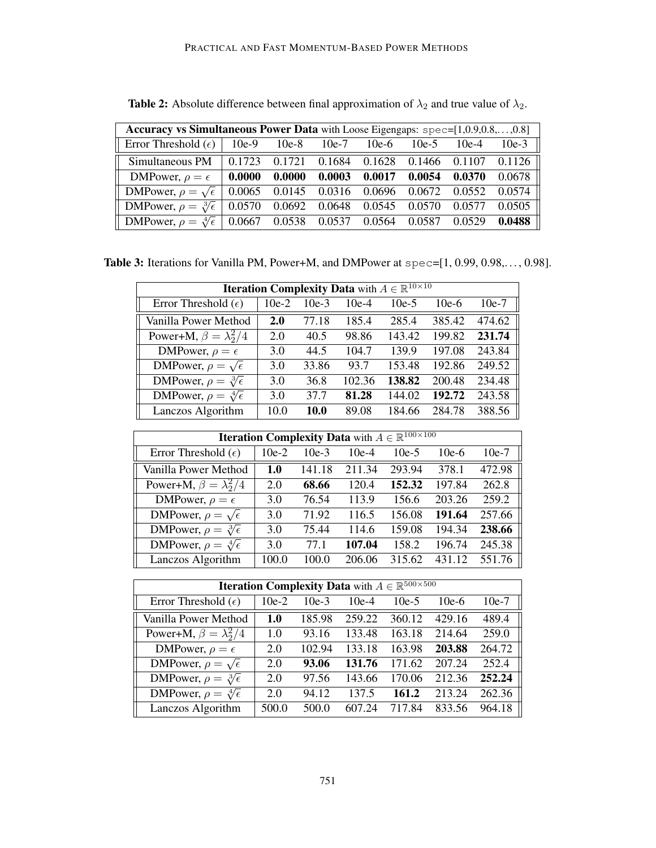| Accuracy vs Simultaneous Power Data with Loose Eigengaps: spec=[1,0.9,0.8,,0.8]  |        |        |                                              |  |         |                                    |          |  |
|----------------------------------------------------------------------------------|--------|--------|----------------------------------------------|--|---------|------------------------------------|----------|--|
| Error Threshold $(\epsilon)$                                                     |        |        | $10e-9$ $10e-8$ $10e-7$ $10e-6$              |  | $10e-5$ | $10e-4$                            | $10e-3$  |  |
| Simultaneous PM                                                                  | 0.1723 | 0.1721 |                                              |  |         | 0.1684 0.1628 0.1466 0.1107 0.1126 |          |  |
| DMPower, $\rho = \epsilon$   0.0000                                              |        |        | $0.0000$ $0.0003$ $0.0017$ $0.0054$ $0.0370$ |  |         |                                    | $0.0678$ |  |
| DMPower, $\rho = \sqrt{\epsilon}$   0.0065 0.0145 0.0316 0.0696 0.0672 0.0552    |        |        |                                              |  |         |                                    | $0.0574$ |  |
| DMPower, $\rho = \sqrt[3]{\epsilon}$   0.0570 0.0692 0.0648 0.0545               |        |        |                                              |  | 0.0570  | 0.0577                             | 0.0505   |  |
| DMPower, $\rho = \sqrt[4]{\epsilon}$   0.0667 0.0538 0.0537 0.0564 0.0587 0.0529 |        |        |                                              |  |         |                                    | $0.0488$ |  |

<span id="page-30-0"></span>**Table 2:** Absolute difference between final approximation of  $\lambda_2$  and true value of  $\lambda_2$ .

<span id="page-30-1"></span>Table 3: Iterations for Vanilla PM, Power+M, and DMPower at spec=[1, 0.99, 0.98,..., 0.98].

|                                      | <b>Iteration Complexity Data</b> with $A \in \mathbb{R}^{10 \times 10}$ |         |         |         |         |         |  |  |  |
|--------------------------------------|-------------------------------------------------------------------------|---------|---------|---------|---------|---------|--|--|--|
| Error Threshold $(\epsilon)$         | $10e-2$                                                                 | $10e-3$ | $10e-4$ | $10e-5$ | $10e-6$ | $10e-7$ |  |  |  |
| Vanilla Power Method                 | 2.0                                                                     | 77.18   | 185.4   | 285.4   | 385.42  | 474.62  |  |  |  |
| Power+M, $\beta = \lambda_2^2/4$     | 2.0                                                                     | 40.5    | 98.86   | 143.42  | 199.82  | 231.74  |  |  |  |
| DMPower, $\rho = \epsilon$           | 3.0                                                                     | 44.5    | 104.7   | 139.9   | 197.08  | 243.84  |  |  |  |
| DMPower, $\rho = \sqrt{\epsilon}$    | 3.0                                                                     | 33.86   | 93.7    | 153.48  | 192.86  | 249.52  |  |  |  |
| DMPower, $\rho = \sqrt[3]{\epsilon}$ | 3.0                                                                     | 36.8    | 102.36  | 138.82  | 200.48  | 234.48  |  |  |  |
| DMPower, $\rho = \sqrt[4]{\epsilon}$ | 3.0                                                                     | 37.7    | 81.28   | 144.02  | 192.72  | 243.58  |  |  |  |
| Lanczos Algorithm                    | 10.0                                                                    | 10.0    | 89.08   | 184.66  | 284.78  | 388.56  |  |  |  |

| <b>Iteration Complexity Data</b> with $A \in \mathbb{R}^{100 \times 100}$ |         |         |         |         |         |         |  |  |  |
|---------------------------------------------------------------------------|---------|---------|---------|---------|---------|---------|--|--|--|
| Error Threshold $(\epsilon)$                                              | $10e-2$ | $10e-3$ | $10e-4$ | $10e-5$ | $10e-6$ | $10e-7$ |  |  |  |
| Vanilla Power Method                                                      | 1.0     | 141.18  | 211.34  | 293.94  | 378.1   | 472.98  |  |  |  |
| Power+M, $\beta = \lambda_2^2/4$                                          | 2.0     | 68.66   | 120.4   | 152.32  | 197.84  | 262.8   |  |  |  |
| DMPower, $\rho = \epsilon$                                                | 3.0     | 76.54   | 113.9   | 156.6   | 203.26  | 259.2   |  |  |  |
| DMPower, $\rho = \sqrt{\epsilon}$                                         | 3.0     | 71.92   | 116.5   | 156.08  | 191.64  | 257.66  |  |  |  |
| DMPower, $\rho = \sqrt[3]{\epsilon}$                                      | 3.0     | 75.44   | 114.6   | 159.08  | 194.34  | 238.66  |  |  |  |
| DMPower, $\rho = \sqrt[4]{\epsilon}$                                      | 3.0     | 77.1    | 107.04  | 158.2   | 196.74  | 245.38  |  |  |  |
| Lanczos Algorithm                                                         | 100.0   | 100.0   | 206.06  | 315.62  | 431.12  | 551.76  |  |  |  |

| <b>Iteration Complexity Data</b> with $A \in \mathbb{R}^{500 \times 500}$ |         |         |         |         |         |         |  |  |  |  |
|---------------------------------------------------------------------------|---------|---------|---------|---------|---------|---------|--|--|--|--|
| Error Threshold $(\epsilon)$                                              | $10e-2$ | $10e-3$ | $10e-4$ | $10e-5$ | $10e-6$ | $10e-7$ |  |  |  |  |
| Vanilla Power Method                                                      | 1.0     | 185.98  | 259.22  | 360.12  | 429.16  | 489.4   |  |  |  |  |
| Power+M, $\beta = \lambda_2^2/4$                                          | 1.0     | 93.16   | 133.48  | 163.18  | 214.64  | 259.0   |  |  |  |  |
| DMPower, $\rho = \epsilon$                                                | 2.0     | 102.94  | 133.18  | 163.98  | 203.88  | 264.72  |  |  |  |  |
| DMPower, $\rho = \sqrt{\epsilon}$                                         | 2.0     | 93.06   | 131.76  | 171.62  | 207.24  | 252.4   |  |  |  |  |
| DMPower, $\rho = \sqrt[3]{\epsilon}$                                      | 2.0     | 97.56   | 143.66  | 170.06  | 212.36  | 252.24  |  |  |  |  |
| DMPower, $\rho = \sqrt[4]{\epsilon}$                                      | 2.0     | 94.12   | 137.5   | 161.2   | 213.24  | 262.36  |  |  |  |  |
| Lanczos Algorithm                                                         | 500.0   | 500.0   | 607.24  | 717.84  | 833.56  | 964.18  |  |  |  |  |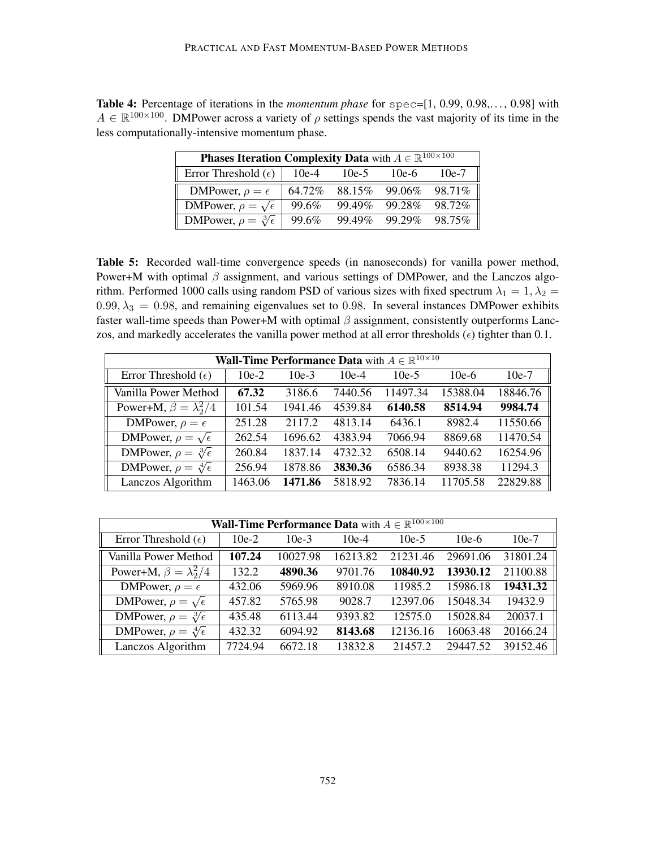<span id="page-31-0"></span>Table 4: Percentage of iterations in the *momentum phase* for spec=[1, 0.99, 0.98,..., 0.98] with  $A \in \mathbb{R}^{100 \times 100}$ . DMPower across a variety of  $\rho$  settings spends the vast majority of its time in the less computationally-intensive momentum phase.

| <b>Phases Iteration Complexity Data</b> with $A \in \mathbb{R}^{100 \times 100}$ |        |        |        |         |  |  |  |  |
|----------------------------------------------------------------------------------|--------|--------|--------|---------|--|--|--|--|
| Error Threshold $(\epsilon)$                                                     | 10e-4  | 10e-5  | 10e-6  | 10e-7   |  |  |  |  |
| DMPower, $\rho = \epsilon$                                                       | 64.72% | 88.15% | 99.06% | 98.71\% |  |  |  |  |
| DMPower, $\rho = \sqrt{\epsilon}$                                                | 99.6%  | 99.49% | 99.28% | 98.72%  |  |  |  |  |
| <b>DMP</b> ower, $\rho = \sqrt[3]{\epsilon}$                                     | 99.6%  | 99.49% | 99.29% | 98.75%  |  |  |  |  |

<span id="page-31-1"></span>Table 5: Recorded wall-time convergence speeds (in nanoseconds) for vanilla power method, Power+M with optimal  $\beta$  assignment, and various settings of DMPower, and the Lanczos algorithm. Performed 1000 calls using random PSD of various sizes with fixed spectrum  $\lambda_1 = 1, \lambda_2 =$  $0.99, \lambda_3 = 0.98$ , and remaining eigenvalues set to 0.98. In several instances DMPower exhibits faster wall-time speeds than Power+M with optimal  $\beta$  assignment, consistently outperforms Lanczos, and markedly accelerates the vanilla power method at all error thresholds  $(\epsilon)$  tighter than 0.1.

| <b>Wall-Time Performance Data</b> with $A \in \mathbb{R}^{10 \times 10}$ |         |         |         |          |          |          |  |  |
|--------------------------------------------------------------------------|---------|---------|---------|----------|----------|----------|--|--|
| Error Threshold $(\epsilon)$                                             | $10e-2$ | $10e-3$ | $10e-4$ | $10e-5$  | $10e-6$  | $10e-7$  |  |  |
| Vanilla Power Method                                                     | 67.32   | 3186.6  | 7440.56 | 11497.34 | 15388.04 | 18846.76 |  |  |
| Power+M, $\beta = \lambda_2^2/4$                                         | 101.54  | 1941.46 | 4539.84 | 6140.58  | 8514.94  | 9984.74  |  |  |
| DMPower, $\rho = \epsilon$                                               | 251.28  | 2117.2  | 4813.14 | 6436.1   | 8982.4   | 11550.66 |  |  |
| DMPower, $\rho = \sqrt{\epsilon}$                                        | 262.54  | 1696.62 | 4383.94 | 7066.94  | 8869.68  | 11470.54 |  |  |
| DMPower, $\rho = \sqrt[3]{\epsilon}$                                     | 260.84  | 1837.14 | 4732.32 | 6508.14  | 9440.62  | 16254.96 |  |  |
| DMPower, $\rho = \sqrt[4]{\epsilon}$                                     | 256.94  | 1878.86 | 3830.36 | 6586.34  | 8938.38  | 11294.3  |  |  |
| Lanczos Algorithm                                                        | 1463.06 | 1471.86 | 5818.92 | 7836.14  | 11705.58 | 22829.88 |  |  |

| <b>Wall-Time Performance Data</b> with $A \in \mathbb{R}^{100 \times 100}$ |         |          |          |          |          |          |  |  |
|----------------------------------------------------------------------------|---------|----------|----------|----------|----------|----------|--|--|
| Error Threshold $(\epsilon)$                                               | $10e-2$ | $10e-3$  | $10e-4$  | $10e-5$  | $10e-6$  | $10e-7$  |  |  |
| Vanilla Power Method                                                       | 107.24  | 10027.98 | 16213.82 | 21231.46 | 29691.06 | 31801.24 |  |  |
| Power+M, $\beta = \lambda_2^2/4$                                           | 132.2   | 4890.36  | 9701.76  | 10840.92 | 13930.12 | 21100.88 |  |  |
| DMPower, $\rho = \epsilon$                                                 | 432.06  | 5969.96  | 8910.08  | 11985.2  | 15986.18 | 19431.32 |  |  |
| DMPower, $\rho = \sqrt{\epsilon}$                                          | 457.82  | 5765.98  | 9028.7   | 12397.06 | 15048.34 | 19432.9  |  |  |
| DMPower, $\rho = \sqrt[3]{\epsilon}$                                       | 435.48  | 6113.44  | 9393.82  | 12575.0  | 15028.84 | 20037.1  |  |  |
| DMPower, $\rho = \sqrt[4]{\epsilon}$                                       | 432.32  | 6094.92  | 8143.68  | 12136.16 | 16063.48 | 20166.24 |  |  |
| Lanczos Algorithm                                                          | 7724.94 | 6672.18  | 13832.8  | 21457.2  | 29447.52 | 39152.46 |  |  |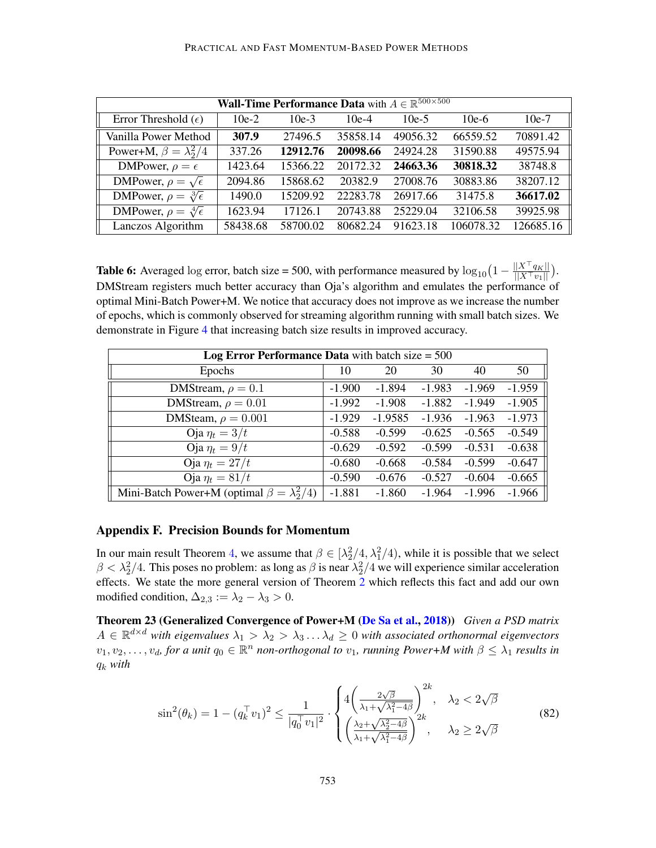| <b>Wall-Time Performance Data</b> with $A \in \mathbb{R}^{500 \times 500}$ |          |          |          |          |           |           |  |  |
|----------------------------------------------------------------------------|----------|----------|----------|----------|-----------|-----------|--|--|
| Error Threshold $(\epsilon)$                                               | $10e-2$  | $10e-3$  | $10e-4$  | $10e-5$  | $10e-6$   | $10e-7$   |  |  |
| Vanilla Power Method                                                       | 307.9    | 27496.5  | 35858.14 | 49056.32 | 66559.52  | 70891.42  |  |  |
| Power+M, $\beta = \lambda_2^2/4$                                           | 337.26   | 12912.76 | 20098.66 | 24924.28 | 31590.88  | 49575.94  |  |  |
| DMPower, $\rho = \epsilon$                                                 | 1423.64  | 15366.22 | 20172.32 | 24663.36 | 30818.32  | 38748.8   |  |  |
| DMPower, $\rho = \sqrt{\epsilon}$                                          | 2094.86  | 15868.62 | 20382.9  | 27008.76 | 30883.86  | 38207.12  |  |  |
| DMPower, $\rho = \sqrt[3]{\epsilon}$                                       | 1490.0   | 15209.92 | 22283.78 | 26917.66 | 31475.8   | 36617.02  |  |  |
| DMPower, $\rho = \sqrt[4]{\epsilon}$                                       | 1623.94  | 17126.1  | 20743.88 | 25229.04 | 32106.58  | 39925.98  |  |  |
| Lanczos Algorithm                                                          | 58438.68 | 58700.02 | 80682.24 | 91623.18 | 106078.32 | 126685.16 |  |  |

<span id="page-32-2"></span>**Table 6:** Averaged log error, batch size = 500, with performance measured by  $\log_{10}\left(1 - \frac{||X^\top q_K||}{||X^\top v_I||}\right)$  $\frac{||X-q_K||}{||X^\top v_1||}.$ DMStream registers much better accuracy than Oja's algorithm and emulates the performance of optimal Mini-Batch Power+M. We notice that accuracy does not improve as we increase the number of epochs, which is commonly observed for streaming algorithm running with small batch sizes. We demonstrate in Figure [4](#page-13-1) that increasing batch size results in improved accuracy.

| Log Error Performance Data with batch size $= 500$    |          |           |          |          |          |  |  |  |
|-------------------------------------------------------|----------|-----------|----------|----------|----------|--|--|--|
| Epochs                                                | 10       | 20        | 30       | 40       | 50       |  |  |  |
| DMStream, $\rho = 0.1$                                | $-1.900$ | $-1.894$  | $-1.983$ | $-1.969$ | $-1.959$ |  |  |  |
| DMStream, $\rho = 0.01$                               | $-1.992$ | $-1.908$  | $-1.882$ | $-1.949$ | $-1.905$ |  |  |  |
| DMSteam, $\rho = 0.001$                               | $-1.929$ | $-1.9585$ | $-1.936$ | $-1.963$ | $-1.973$ |  |  |  |
| Oja $\eta_t = 3/t$                                    | $-0.588$ | $-0.599$  | $-0.625$ | $-0.565$ | $-0.549$ |  |  |  |
| Oja $\eta_t = 9/t$                                    | $-0.629$ | $-0.592$  | $-0.599$ | $-0.531$ | $-0.638$ |  |  |  |
| Oja $\eta_t = 27/t$                                   | $-0.680$ | $-0.668$  | $-0.584$ | $-0.599$ | $-0.647$ |  |  |  |
| Oja $\eta_t = 81/t$                                   | $-0.590$ | $-0.676$  | $-0.527$ | $-0.604$ | $-0.665$ |  |  |  |
| Mini-Batch Power+M (optimal $\beta = \lambda_2^2/4$ ) | $-1.881$ | $-1.860$  | $-1.964$ | $-1.996$ | $-1.966$ |  |  |  |

## <span id="page-32-1"></span>Appendix F. Precision Bounds for Momentum

In our main result Theorem [4](#page-8-1), we assume that  $\beta \in [\lambda_2^2/4, \lambda_1^2/4)$ , while it is possible that we select  $\beta < \lambda_2^2/4$ . This poses no problem: as long as  $\beta$  is near  $\lambda_2^2/4$  we will experience similar acceleration effects. We state the more general version of Theorem [2](#page-4-1) which reflects this fact and add our own modified condition,  $\Delta_{2,3} := \lambda_2 - \lambda_3 > 0$ .

Theorem 23 (Generalized Convergence of Power+M [\(De Sa et al.,](#page-16-4) [2018\)](#page-16-4)) *Given a PSD matrix*  $A \in \mathbb{R}^{d \times d}$  with eigenvalues  $\lambda_1 > \lambda_2 > \lambda_3 \ldots \lambda_d \geq 0$  with associated orthonormal eigenvectors  $v_1, v_2, \ldots, v_d$ , for a unit  $q_0 \in \mathbb{R}^n$  non-orthogonal to  $v_1$ , running Power+M with  $\beta \leq \lambda_1$  results in q<sup>k</sup> *with*

<span id="page-32-0"></span>
$$
\sin^2(\theta_k) = 1 - (q_k^\top v_1)^2 \le \frac{1}{|q_0^\top v_1|^2} \cdot \begin{cases} 4\left(\frac{2\sqrt{\beta}}{\lambda_1 + \sqrt{\lambda_1^2 - 4\beta}}\right)^{2k}, & \lambda_2 < 2\sqrt{\beta} \\ \left(\frac{\lambda_2 + \sqrt{\lambda_2^2 - 4\beta}}{\lambda_1 + \sqrt{\lambda_1^2 - 4\beta}}\right)^{2k}, & \lambda_2 \ge 2\sqrt{\beta} \end{cases}
$$
(82)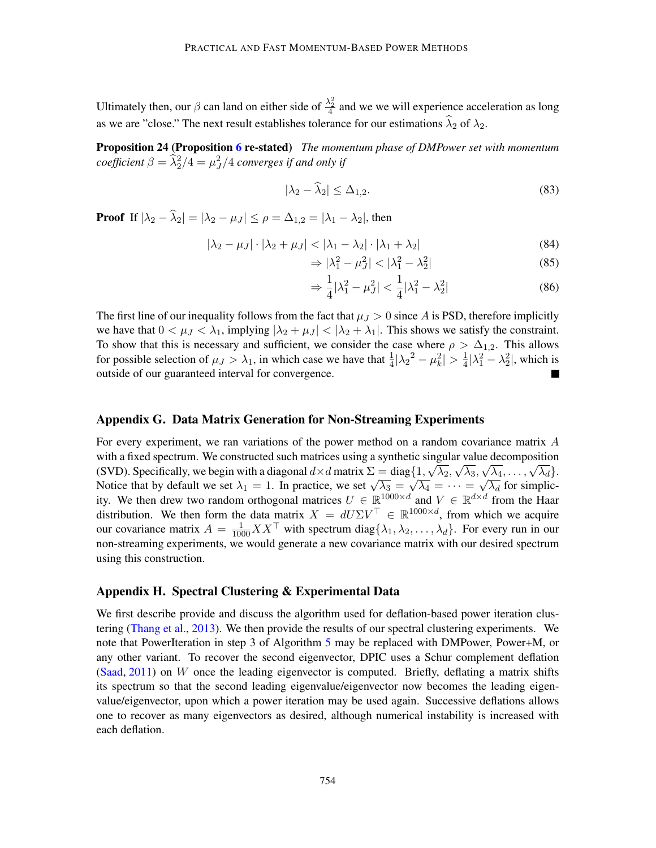Ultimately then, our  $\beta$  can land on either side of  $\frac{\lambda_2^2}{4}$  and we we will experience acceleration as long as we are "close." The next result establishes tolerance for our estimations  $\hat{\lambda}_2$  of  $\lambda_2$ .

Proposition 24 (Proposition [6](#page-11-1) re-stated) *The momentum phase of DMPower set with momentum coefficient*  $\beta = \frac{\widehat{\lambda}^2_2}{4} = \mu^2_J/4$  *converges if and only if* 

$$
|\lambda_2 - \widehat{\lambda}_2| \le \Delta_{1,2}.\tag{83}
$$

**Proof** If  $|\lambda_2 - \widehat{\lambda}_2| = |\lambda_2 - \mu_J| \le \rho = \Delta_{1,2} = |\lambda_1 - \lambda_2|$ , then

$$
|\lambda_2 - \mu_J| \cdot |\lambda_2 + \mu_J| < |\lambda_1 - \lambda_2| \cdot |\lambda_1 + \lambda_2| \tag{84}
$$

$$
\Rightarrow |\lambda_1^2 - \mu_J^2| < |\lambda_1^2 - \lambda_2^2| \tag{85}
$$

$$
\Rightarrow \frac{1}{4} |\lambda_1^2 - \mu_J^2| < \frac{1}{4} |\lambda_1^2 - \lambda_2^2| \tag{86}
$$

The first line of our inequality follows from the fact that  $\mu_J > 0$  since A is PSD, therefore implicitly we have that  $0 < \mu_J < \lambda_1$ , implying  $|\lambda_2 + \mu_J| < |\lambda_2 + \lambda_1|$ . This shows we satisfy the constraint. To show that this is necessary and sufficient, we consider the case where  $\rho > \Delta_{1,2}$ . This allows for possible selection of  $\mu_J > \lambda_1$ , in which case we have that  $\frac{1}{4} |\lambda_2^2 - \mu_k^2| > \frac{1}{4}$  $\frac{1}{4}|\lambda_1^2 - \lambda_2^2|$ , which is outside of our guaranteed interval for convergence.

#### Appendix G. Data Matrix Generation for Non-Streaming Experiments

For every experiment, we ran variations of the power method on a random covariance matrix A with a fixed spectrum. We constructed such matrices using a synthetic singular value decomposition with a fixed spectrum. We constructed such matrices using a symmetric singular value decomposition (SVD). Specifically, we begin with a diagonal  $d \times d$  matrix  $\Sigma = \text{diag}\{1, \sqrt{\lambda_2}, \sqrt{\lambda_3}, \sqrt{\lambda_4}, \dots, \sqrt{\lambda_d}\}$ . (SVD). Specifically, we begin with a diagonal  $a \times a$  matrix  $\Delta = \text{diag}$ <br>Notice that by default we set  $\lambda_1 = 1$ . In practice, we set  $\sqrt{\lambda_3} =$ √  $\overline{\lambda_4} = \cdots =$ √  $\overline{\lambda_d}$  for simplicity. We then drew two random orthogonal matrices  $U \in \mathbb{R}^{1000 \times d}$  and  $V \in \mathbb{R}^{d \times d}$  from the Haar distribution. We then form the data matrix  $X = dU\Sigma V^{\top} \in \mathbb{R}^{1000 \times d}$ , from which we acquire our covariance matrix  $A = \frac{1}{1000} XX^\top$  with spectrum diag $\{\lambda_1, \lambda_2, ..., \lambda_d\}$ . For every run in our non-streaming experiments, we would generate a new covariance matrix with our desired spectrum using this construction.

#### <span id="page-33-0"></span>Appendix H. Spectral Clustering & Experimental Data

We first describe provide and discuss the algorithm used for deflation-based power iteration clustering [\(Thang et al.,](#page-17-1) [2013\)](#page-17-1). We then provide the results of our spectral clustering experiments. We note that PowerIteration in step 3 of Algorithm [5](#page-34-0) may be replaced with DMPower, Power+M, or any other variant. To recover the second eigenvector, DPIC uses a Schur complement deflation  $(Saad, 2011)$  $(Saad, 2011)$  $(Saad, 2011)$  on W once the leading eigenvector is computed. Briefly, deflating a matrix shifts its spectrum so that the second leading eigenvalue/eigenvector now becomes the leading eigenvalue/eigenvector, upon which a power iteration may be used again. Successive deflations allows one to recover as many eigenvectors as desired, although numerical instability is increased with each deflation.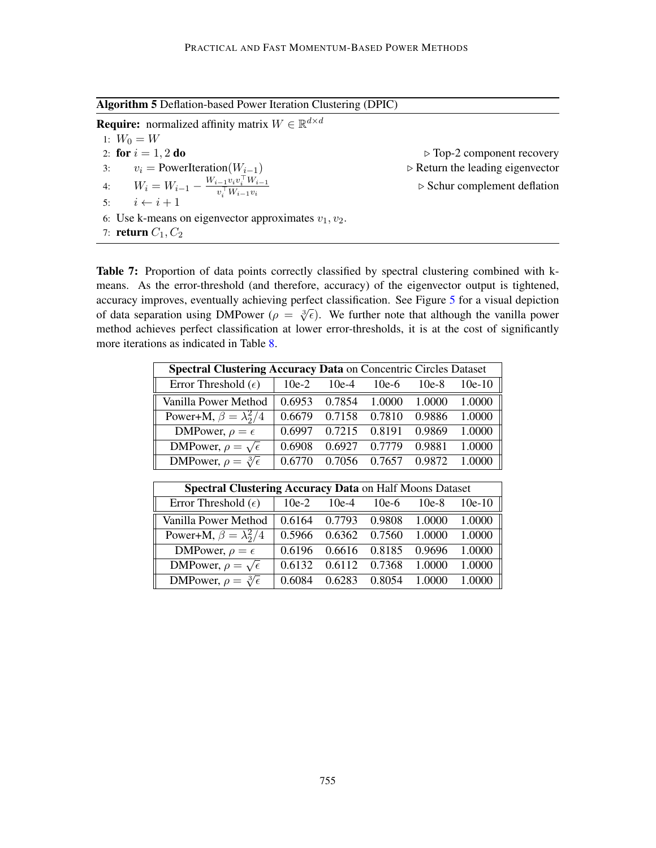<span id="page-34-0"></span>Algorithm 5 Deflation-based Power Iteration Clustering (DPIC)

**Require:** normalized affinity matrix  $W \in \mathbb{R}^{d \times d}$ 1:  $W_0 = W$ 2: for  $i = 1, 2$  do  $\triangleright$  Top-2 component recovery 3:  $v_i$  = PowerIteration( $W_{i-1}$ )  $\triangleright$  Return the leading eigenvector 4:  $W_i = W_{i-1} - \frac{W_{i-1}v_i v_i^{\top} W_{i-1}}{v^{\top} W_{i-1} w_i^{\top}}$  $v_i^\top W_{i-1}v_i$  $\triangleright$  Schur complement deflation 5:  $i \leftarrow i + 1$ 6: Use k-means on eigenvector approximates  $v_1, v_2$ . 7: return  $C_1, C_2$ 

<span id="page-34-1"></span>Table 7: Proportion of data points correctly classified by spectral clustering combined with kmeans. As the error-threshold (and therefore, accuracy) of the eigenvector output is tightened, accuracy improves, eventually achieving perfect classification. See Figure [5](#page-14-0) for a visual depiction accuracy improves, eventually achieving perfect classification. See Figure 5 for a visual depiction<br>of data separation using DMPower ( $\rho = \sqrt[3]{\epsilon}$ ). We further note that although the vanilla power method achieves perfect classification at lower error-thresholds, it is at the cost of significantly more iterations as indicated in Table [8.](#page-35-1)

| <b>Spectral Clustering Accuracy Data on Concentric Circles Dataset</b> |         |         |         |         |          |  |  |  |
|------------------------------------------------------------------------|---------|---------|---------|---------|----------|--|--|--|
| Error Threshold $(\epsilon)$                                           | $10e-2$ | $10e-4$ | $10e-6$ | $10e-8$ | $10e-10$ |  |  |  |
| Vanilla Power Method                                                   | 0.6953  | 0.7854  | 1.0000  | 1.0000  | 1.0000   |  |  |  |
| Power+M, $\beta = \lambda_2^2/4$                                       | 0.6679  | 0.7158  | 0.7810  | 0.9886  | 1.0000   |  |  |  |
| DMPower, $\rho = \epsilon$                                             | 0.6997  | 0.7215  | 0.8191  | 0.9869  | 1.0000   |  |  |  |
| DMPower, $\rho = \sqrt{\epsilon}$                                      | 0.6908  | 0.6927  | 0.7779  | 0.9881  | 1.0000   |  |  |  |
| DMPower, $\rho = \sqrt[3]{\epsilon}$                                   | 0.6770  | 0.7056  | 0.7657  | 0.9872  | 1.0000   |  |  |  |

| <b>Spectral Clustering Accuracy Data on Half Moons Dataset</b> |         |         |               |               |          |  |  |  |
|----------------------------------------------------------------|---------|---------|---------------|---------------|----------|--|--|--|
| Error Threshold $(\epsilon)$                                   | $10e-2$ | $10e-4$ | $10e-6$       | $10e-8$       | $10e-10$ |  |  |  |
| Vanilla Power Method                                           | 0.6164  | 0.7793  |               | 0.9808 1.0000 | 1.0000   |  |  |  |
| Power+M, $\beta = \lambda_2^2/4$                               | 0.5966  | 0.6362  | 0.7560 1.0000 |               | 1.0000   |  |  |  |
| DMPower, $\rho = \epsilon$                                     | 0.6196  | 0.6616  | 0.8185        | 0.9696        | 1.0000   |  |  |  |
| DMPower, $\rho = \sqrt{\epsilon}$                              | 0.6132  | 0.6112  | 0.7368        | 1.0000        | 1.0000   |  |  |  |
| DMPower, $\rho = \sqrt[3]{\epsilon}$                           | 0.6084  | 0.6283  | 0.8054        | 1.0000        |          |  |  |  |